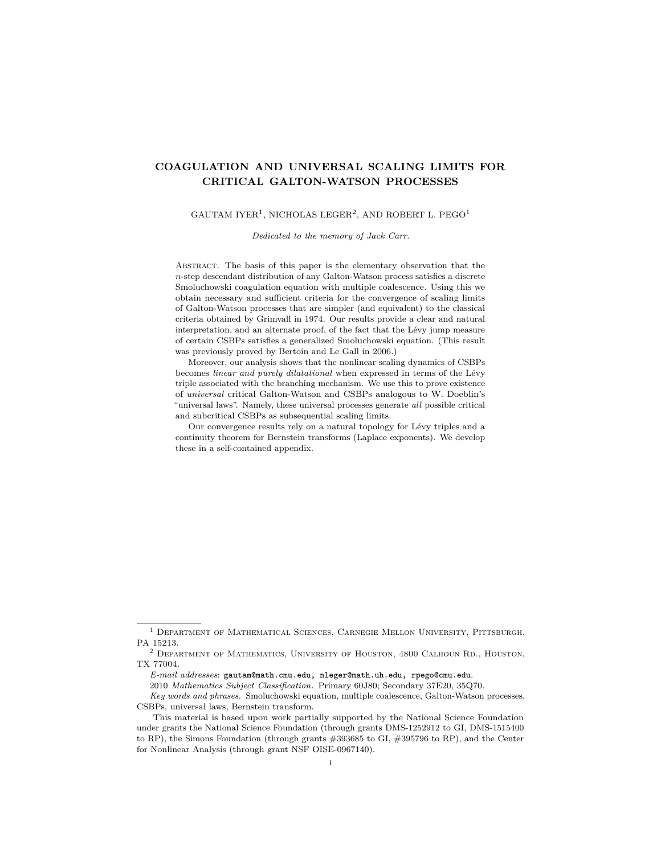# **COAGULATION AND UNIVERSAL SCALING LIMITS FOR CRITICAL GALTON-WATSON PROCESSES**

#### GAUTAM IYER<sup>1</sup>, NICHOLAS LEGER<sup>2</sup>, AND ROBERT L. PEGO<sup>1</sup>

*Dedicated to the memory of Jack Carr.*

Abstract. The basis of this paper is the elementary observation that the *n*-step descendant distribution of any Galton-Watson process satisfies a discrete Smoluchowski coagulation equation with multiple coalescence. Using this we obtain necessary and sufficient criteria for the convergence of scaling limits of Galton-Watson processes that are simpler (and equivalent) to the classical criteria obtained by Grimvall in 1974. Our results provide a clear and natural interpretation, and an alternate proof, of the fact that the Lévy jump measure of certain CSBPs satisfies a generalized Smoluchowski equation. (This result was previously proved by Bertoin and Le Gall in 2006.)

Moreover, our analysis shows that the nonlinear scaling dynamics of CSBPs becomes *linear and purely dilatational* when expressed in terms of the Lévy triple associated with the branching mechanism. We use this to prove existence of *universal* critical Galton-Watson and CSBPs analogous to W. Doeblin's "universal laws". Namely, these universal processes generate *all* possible critical and subcritical CSBPs as subsequential scaling limits.

Our convergence results rely on a natural topology for Lévy triples and a continuity theorem for Bernstein transforms (Laplace exponents). We develop these in a self-contained appendix.

<sup>1</sup> Department of Mathematical Sciences, Carnegie Mellon University, Pittsburgh, PA 15213.

 $^2$  DEPARTMENT OF MATHEMATICS, UNIVERSITY OF HOUSTON,  $4800$  CALHOUN RD., HOUSTON,  $\,$ TX 77004.

*E-mail addresses*: gautam@math.cmu.edu, nleger@math.uh.edu, rpego@cmu.edu.

<sup>2010</sup> *Mathematics Subject Classification.* Primary 60J80; Secondary 37E20, 35Q70.

*Key words and phrases.* Smoluchowski equation, multiple coalescence, Galton-Watson processes, CSBPs, universal laws, Bernstein transform.

This material is based upon work partially supported by the National Science Foundation under grants the National Science Foundation (through grants DMS-1252912 to GI, DMS-1515400 to RP), the Simons Foundation (through grants #393685 to GI, #395796 to RP), and the Center for Nonlinear Analysis (through grant NSF OISE-0967140).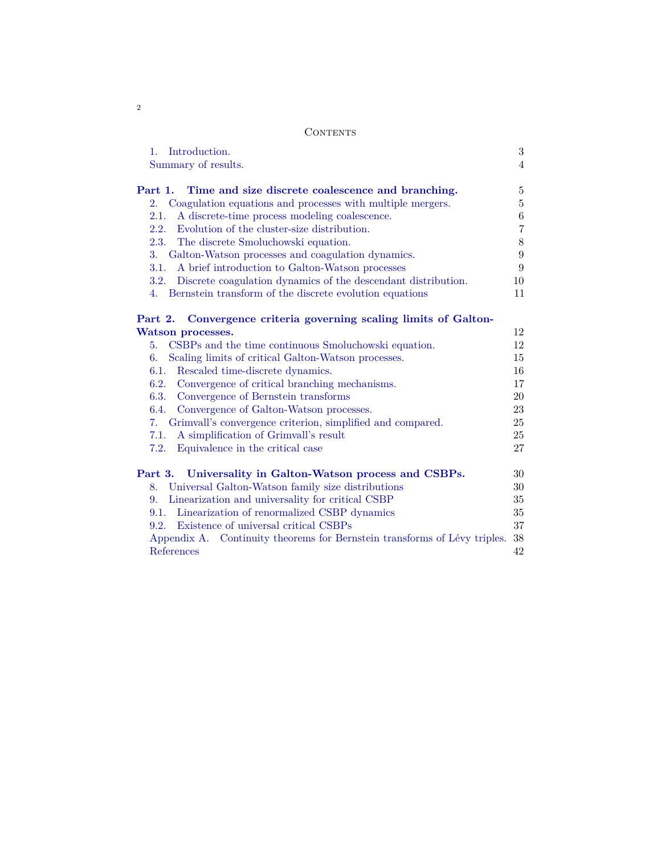2

| Summary of results.                                                                                                                                                                                                                                                                                                               | 4                                                   |
|-----------------------------------------------------------------------------------------------------------------------------------------------------------------------------------------------------------------------------------------------------------------------------------------------------------------------------------|-----------------------------------------------------|
| Part 1.<br>Time and size discrete coalescence and branching.                                                                                                                                                                                                                                                                      | 5                                                   |
| Coagulation equations and processes with multiple mergers.<br>2.                                                                                                                                                                                                                                                                  | $\overline{5}$                                      |
| A discrete-time process modeling coalescence.<br>2.1.                                                                                                                                                                                                                                                                             | 6                                                   |
| Evolution of the cluster-size distribution.<br>2.2.                                                                                                                                                                                                                                                                               | $\!\!7$                                             |
| 2.3.<br>The discrete Smoluchowski equation.                                                                                                                                                                                                                                                                                       | 8                                                   |
| Galton-Watson processes and coagulation dynamics.<br>3.                                                                                                                                                                                                                                                                           | $\boldsymbol{9}$                                    |
| A brief introduction to Galton-Watson processes<br>3.1.                                                                                                                                                                                                                                                                           | $\boldsymbol{9}$                                    |
| Discrete coagulation dynamics of the descendant distribution.<br>3.2.                                                                                                                                                                                                                                                             | 10                                                  |
| Bernstein transform of the discrete evolution equations<br>4.                                                                                                                                                                                                                                                                     | 11                                                  |
| Scaling limits of critical Galton-Watson processes.<br>6.<br>Rescaled time-discrete dynamics.<br>6.1.<br>6.2.<br>Convergence of critical branching mechanisms.<br>6.3.<br>Convergence of Bernstein transforms<br>Convergence of Galton-Watson processes.<br>6.4.<br>7. Grimvall's convergence criterion, simplified and compared. | 15<br>16<br>17<br><b>20</b><br>23<br>25<br>25<br>27 |
| A simplification of Grimvall's result<br>7.1.                                                                                                                                                                                                                                                                                     |                                                     |
| 7.2.<br>Equivalence in the critical case                                                                                                                                                                                                                                                                                          |                                                     |
|                                                                                                                                                                                                                                                                                                                                   | 30                                                  |
| 8. Universal Galton-Watson family size distributions                                                                                                                                                                                                                                                                              | 30                                                  |
| 9. Linearization and universality for critical CSBP                                                                                                                                                                                                                                                                               | $35\,$                                              |
| 9.1. Linearization of renormalized CSBP dynamics                                                                                                                                                                                                                                                                                  | 35                                                  |
| Existence of universal critical CSBPs<br>9.2.                                                                                                                                                                                                                                                                                     | 37                                                  |
| Part 3. Universality in Galton-Watson process and CSBPs.<br>Appendix A. Continuity theorems for Bernstein transforms of Lévy triples.                                                                                                                                                                                             | 38                                                  |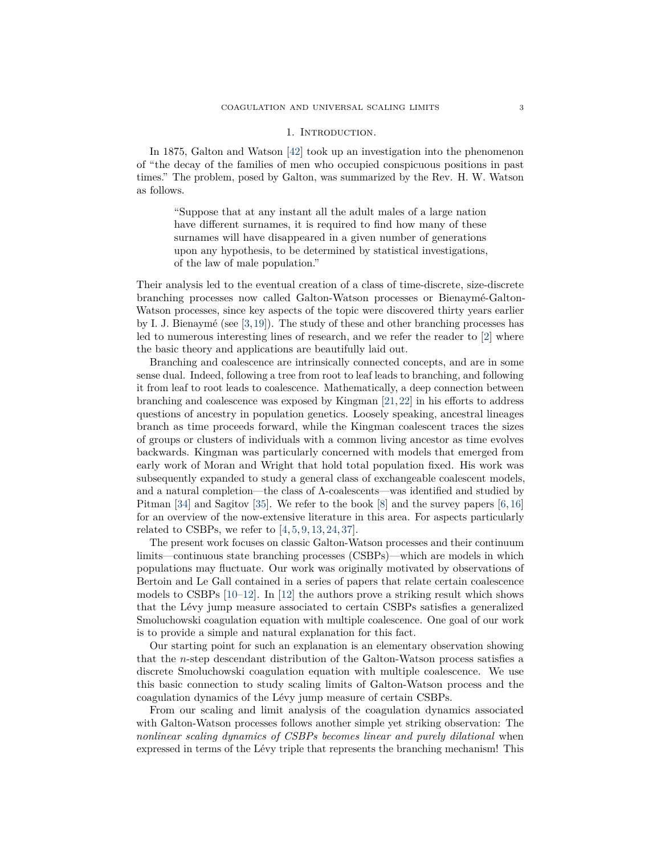#### 1. INTRODUCTION.

<span id="page-2-0"></span>In 1875, Galton and Watson [\[42\]](#page-42-0) took up an investigation into the phenomenon of "the decay of the families of men who occupied conspicuous positions in past times." The problem, posed by Galton, was summarized by the Rev. H. W. Watson as follows.

"Suppose that at any instant all the adult males of a large nation have different surnames, it is required to find how many of these surnames will have disappeared in a given number of generations upon any hypothesis, to be determined by statistical investigations, of the law of male population."

Their analysis led to the eventual creation of a class of time-discrete, size-discrete branching processes now called Galton-Watson processes or Bienaymé-Galton-Watson processes, since key aspects of the topic were discovered thirty years earlier by I. J. Bienaymé (see  $[3,19]$  $[3,19]$ ). The study of these and other branching processes has led to numerous interesting lines of research, and we refer the reader to [\[2\]](#page-41-2) where the basic theory and applications are beautifully laid out.

Branching and coalescence are intrinsically connected concepts, and are in some sense dual. Indeed, following a tree from root to leaf leads to branching, and following it from leaf to root leads to coalescence. Mathematically, a deep connection between branching and coalescence was exposed by Kingman [\[21,](#page-42-2)[22\]](#page-42-3) in his efforts to address questions of ancestry in population genetics. Loosely speaking, ancestral lineages branch as time proceeds forward, while the Kingman coalescent traces the sizes of groups or clusters of individuals with a common living ancestor as time evolves backwards. Kingman was particularly concerned with models that emerged from early work of Moran and Wright that hold total population fixed. His work was subsequently expanded to study a general class of exchangeable coalescent models, and a natural completion—the class of  $\Lambda$ -coalescents—was identified and studied by Pitman [\[34\]](#page-42-4) and Sagitov [\[35\]](#page-42-5). We refer to the book [\[8\]](#page-41-3) and the survey papers [\[6,](#page-41-4) [16\]](#page-42-6) for an overview of the now-extensive literature in this area. For aspects particularly related to CSBPs, we refer to  $[4, 5, 9, 13, 24, 37]$  $[4, 5, 9, 13, 24, 37]$  $[4, 5, 9, 13, 24, 37]$  $[4, 5, 9, 13, 24, 37]$  $[4, 5, 9, 13, 24, 37]$  $[4, 5, 9, 13, 24, 37]$  $[4, 5, 9, 13, 24, 37]$  $[4, 5, 9, 13, 24, 37]$  $[4, 5, 9, 13, 24, 37]$  $[4, 5, 9, 13, 24, 37]$  $[4, 5, 9, 13, 24, 37]$ .

The present work focuses on classic Galton-Watson processes and their continuum limits—continuous state branching processes (CSBPs)—which are models in which populations may fluctuate. Our work was originally motivated by observations of Bertoin and Le Gall contained in a series of papers that relate certain coalescence models to CSBPs [\[10–](#page-41-9)[12\]](#page-41-10). In [\[12\]](#page-41-10) the authors prove a striking result which shows that the Lévy jump measure associated to certain CSBPs satisfies a generalized Smoluchowski coagulation equation with multiple coalescence. One goal of our work is to provide a simple and natural explanation for this fact.

Our starting point for such an explanation is an elementary observation showing that the *n*-step descendant distribution of the Galton-Watson process satisfies a discrete Smoluchowski coagulation equation with multiple coalescence. We use this basic connection to study scaling limits of Galton-Watson process and the coagulation dynamics of the Lévy jump measure of certain CSBPs.

From our scaling and limit analysis of the coagulation dynamics associated with Galton-Watson processes follows another simple yet striking observation: The *nonlinear scaling dynamics of CSBPs becomes linear and purely dilational* when expressed in terms of the Lévy triple that represents the branching mechanism! This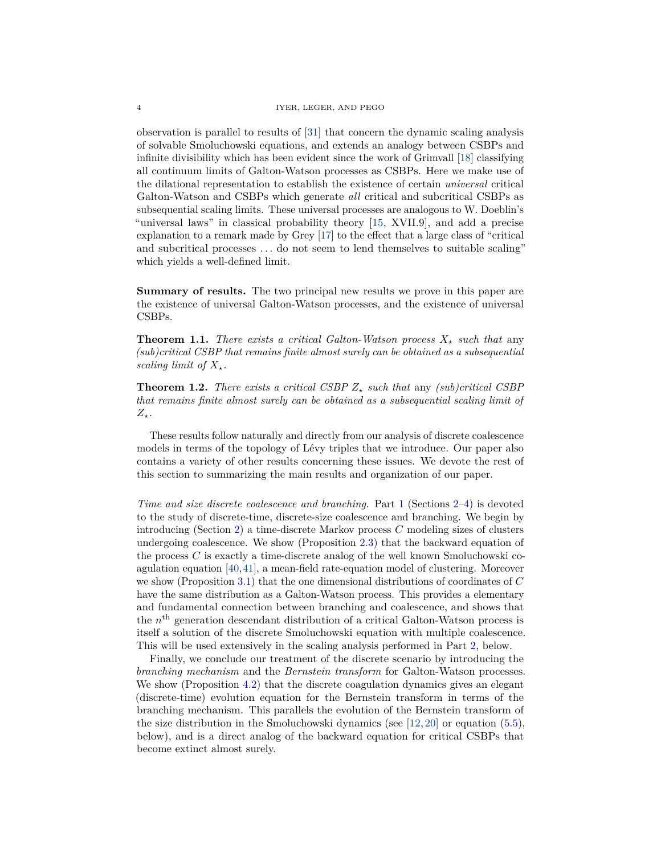observation is parallel to results of [\[31\]](#page-42-9) that concern the dynamic scaling analysis of solvable Smoluchowski equations, and extends an analogy between CSBPs and infinite divisibility which has been evident since the work of Grimvall [\[18\]](#page-42-10) classifying all continuum limits of Galton-Watson processes as CSBPs. Here we make use of the dilational representation to establish the existence of certain *universal* critical Galton-Watson and CSBPs which generate *all* critical and subcritical CSBPs as subsequential scaling limits. These universal processes are analogous to W. Doeblin's "universal laws" in classical probability theory [\[15,](#page-42-11) XVII.9], and add a precise explanation to a remark made by Grey [\[17\]](#page-42-12) to the effect that a large class of "critical and subcritical processes *. . .* do not seem to lend themselves to suitable scaling" which yields a well-defined limit.

<span id="page-3-0"></span>**Summary of results.** The two principal new results we prove in this paper are the existence of universal Galton-Watson processes, and the existence of universal CSBPs.

<span id="page-3-1"></span>**Theorem 1.1.** *There exists a critical Galton-Watson process*  $X_*$  *such that* any *(sub)critical CSBP that remains finite almost surely can be obtained as a subsequential scaling limit of*  $X_{\star}$ *.* 

<span id="page-3-2"></span>**Theorem 1.2.** *There exists a critical CSBP*  $Z_{\star}$  *such that* any *(sub)critical CSBP that remains finite almost surely can be obtained as a subsequential scaling limit of*  $Z_{\star}$ *.* 

These results follow naturally and directly from our analysis of discrete coalescence models in terms of the topology of Lévy triples that we introduce. Our paper also contains a variety of other results concerning these issues. We devote the rest of this section to summarizing the main results and organization of our paper.

*Time and size discrete coalescence and branching.* Part [1](#page-4-0) (Sections [2–](#page-4-1)[4\)](#page-10-0) is devoted to the study of discrete-time, discrete-size coalescence and branching. We begin by introducing (Section [2\)](#page-4-1) a time-discrete Markov process *C* modeling sizes of clusters undergoing coalescence. We show (Proposition [2.3\)](#page-7-1) that the backward equation of the process *C* is exactly a time-discrete analog of the well known Smoluchowski coagulation equation [\[40,](#page-42-13)[41\]](#page-42-14), a mean-field rate-equation model of clustering. Moreover we show (Proposition [3.1\)](#page-9-1) that the one dimensional distributions of coordinates of *C* have the same distribution as a Galton-Watson process. This provides a elementary and fundamental connection between branching and coalescence, and shows that the  $n<sup>th</sup>$  generation descendant distribution of a critical Galton-Watson process is itself a solution of the discrete Smoluchowski equation with multiple coalescence. This will be used extensively in the scaling analysis performed in Part [2,](#page-11-0) below.

Finally, we conclude our treatment of the discrete scenario by introducing the *branching mechanism* and the *Bernstein transform* for Galton-Watson processes. We show (Proposition [4.2\)](#page-10-1) that the discrete coagulation dynamics gives an elegant (discrete-time) evolution equation for the Bernstein transform in terms of the branching mechanism. This parallels the evolution of the Bernstein transform of the size distribution in the Smoluchowski dynamics (see  $[12, 20]$  $[12, 20]$  $[12, 20]$  or equation  $(5.5)$ , below), and is a direct analog of the backward equation for critical CSBPs that become extinct almost surely.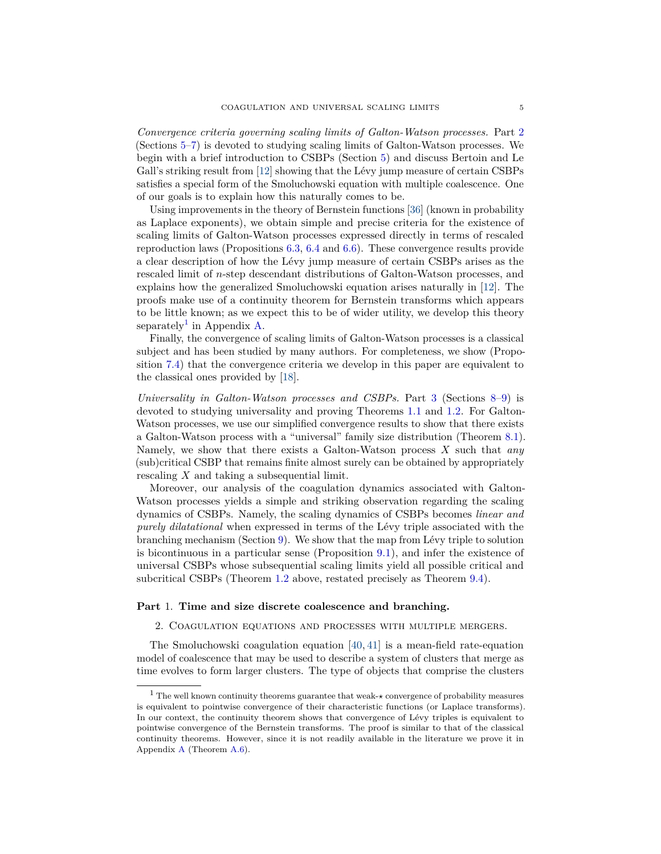*Convergence criteria governing scaling limits of Galton-Watson processes.* Part [2](#page-11-0) (Sections [5](#page-11-1)[–7\)](#page-24-0) is devoted to studying scaling limits of Galton-Watson processes. We begin with a brief introduction to CSBPs (Section [5\)](#page-11-1) and discuss Bertoin and Le Gall's striking result from [\[12\]](#page-41-10) showing that the Lévy jump measure of certain CSBPs satisfies a special form of the Smoluchowski equation with multiple coalescence. One of our goals is to explain how this naturally comes to be.

Using improvements in the theory of Bernstein functions [\[36\]](#page-42-16) (known in probability as Laplace exponents), we obtain simple and precise criteria for the existence of scaling limits of Galton-Watson processes expressed directly in terms of rescaled reproduction laws (Propositions [6.3,](#page-16-1) [6.4](#page-19-1) and [6.6\)](#page-22-1). These convergence results provide a clear description of how the Lévy jump measure of certain CSBPs arises as the rescaled limit of *n*-step descendant distributions of Galton-Watson processes, and explains how the generalized Smoluchowski equation arises naturally in [\[12\]](#page-41-10). The proofs make use of a continuity theorem for Bernstein transforms which appears to be little known; as we expect this to be of wider utility, we develop this theory separately<sup>[1](#page-4-2)</sup> in Appendix [A.](#page-37-0)

Finally, the convergence of scaling limits of Galton-Watson processes is a classical subject and has been studied by many authors. For completeness, we show (Proposition [7.4\)](#page-26-1) that the convergence criteria we develop in this paper are equivalent to the classical ones provided by [\[18\]](#page-42-10).

*Universality in Galton-Watson processes and CSBPs.* Part [3](#page-29-0) (Sections [8–](#page-29-1)[9\)](#page-34-0) is devoted to studying universality and proving Theorems [1.1](#page-3-1) and [1.2.](#page-3-2) For Galton-Watson processes, we use our simplified convergence results to show that there exists a Galton-Watson process with a "universal" family size distribution (Theorem [8.1\)](#page-29-2). Namely, we show that there exists a Galton-Watson process *X* such that *any* (sub)critical CSBP that remains finite almost surely can be obtained by appropriately rescaling *X* and taking a subsequential limit.

Moreover, our analysis of the coagulation dynamics associated with Galton-Watson processes yields a simple and striking observation regarding the scaling dynamics of CSBPs. Namely, the scaling dynamics of CSBPs becomes *linear and purely dilatational* when expressed in terms of the Lévy triple associated with the branching mechanism (Section [9\)](#page-34-0). We show that the map from Lévy triple to solution is bicontinuous in a particular sense (Proposition [9.1\)](#page-34-2), and infer the existence of universal CSBPs whose subsequential scaling limits yield all possible critical and subcritical CSBPs (Theorem [1.2](#page-3-2) above, restated precisely as Theorem [9.4\)](#page-37-1).

## <span id="page-4-1"></span><span id="page-4-0"></span>**Part** 1. **Time and size discrete coalescence and branching.**

2. Coagulation equations and processes with multiple mergers.

The Smoluchowski coagulation equation [\[40,](#page-42-13) [41\]](#page-42-14) is a mean-field rate-equation model of coalescence that may be used to describe a system of clusters that merge as time evolves to form larger clusters. The type of objects that comprise the clusters

<span id="page-4-2"></span><sup>&</sup>lt;sup>1</sup> The well known continuity theorems guarantee that weak- $\star$  convergence of probability measures is equivalent to pointwise convergence of their characteristic functions (or Laplace transforms). In our context, the continuity theorem shows that convergence of Lévy triples is equivalent to pointwise convergence of the Bernstein transforms. The proof is similar to that of the classical continuity theorems. However, since it is not readily available in the literature we prove it in Appendix [A](#page-37-0) (Theorem [A.6\)](#page-38-0).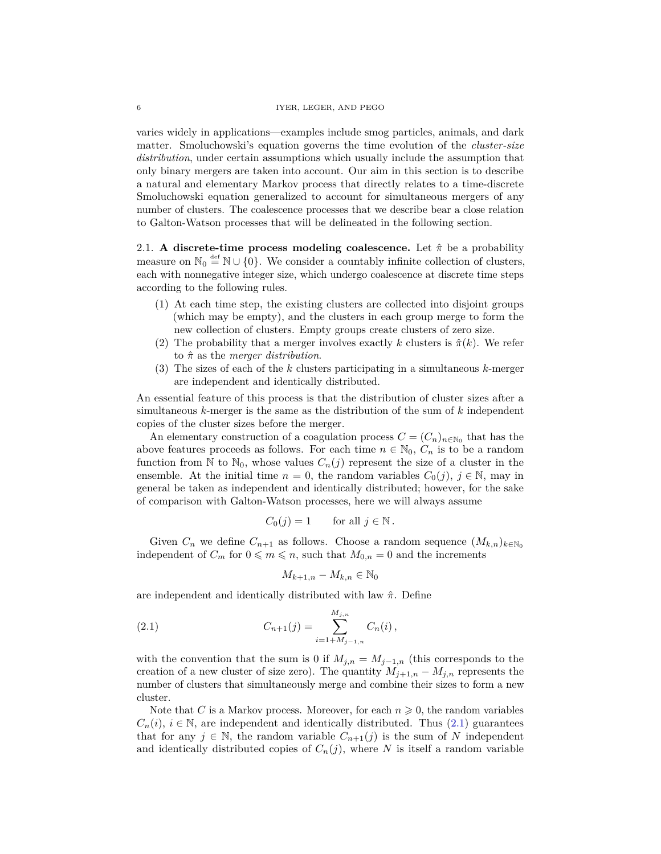varies widely in applications—examples include smog particles, animals, and dark matter. Smoluchowski's equation governs the time evolution of the *cluster-size distribution*, under certain assumptions which usually include the assumption that only binary mergers are taken into account. Our aim in this section is to describe a natural and elementary Markov process that directly relates to a time-discrete Smoluchowski equation generalized to account for simultaneous mergers of any number of clusters. The coalescence processes that we describe bear a close relation to Galton-Watson processes that will be delineated in the following section.

<span id="page-5-0"></span>2.1. **A discrete-time process modeling coalescence.** Let *π*ˆ be a probability measure on  $\mathbb{N}_0 \stackrel{\text{def}}{=} \mathbb{N} \cup \{0\}$ . We consider a countably infinite collection of clusters, each with nonnegative integer size, which undergo coalescence at discrete time steps according to the following rules.

- <span id="page-5-2"></span>(1) At each time step, the existing clusters are collected into disjoint groups (which may be empty), and the clusters in each group merge to form the new collection of clusters. Empty groups create clusters of zero size.
- (2) The probability that a merger involves exactly *k* clusters is  $\hat{\pi}(k)$ . We refer to *π*ˆ as the *merger distribution*.
- <span id="page-5-3"></span>(3) The sizes of each of the *k* clusters participating in a simultaneous *k*-merger are independent and identically distributed.

An essential feature of this process is that the distribution of cluster sizes after a simultaneous *k*-merger is the same as the distribution of the sum of *k* independent copies of the cluster sizes before the merger.

An elementary construction of a coagulation process  $C = (C_n)_{n \in \mathbb{N}_0}$  that has the above features proceeds as follows. For each time  $n \in \mathbb{N}_0$ ,  $C_n$  is to be a random function from N to  $\mathbb{N}_0$ , whose values  $C_n(j)$  represent the size of a cluster in the ensemble. At the initial time  $n = 0$ , the random variables  $C_0(j)$ ,  $j \in \mathbb{N}$ , may in general be taken as independent and identically distributed; however, for the sake of comparison with Galton-Watson processes, here we will always assume

$$
C_0(j) = 1 \qquad \text{for all } j \in \mathbb{N} \, .
$$

Given  $C_n$  we define  $C_{n+1}$  as follows. Choose a random sequence  $(M_{k,n})_{k \in \mathbb{N}_0}$ independent of  $C_m$  for  $0 \leq m \leq n$ , such that  $M_{0,n} = 0$  and the increments

<span id="page-5-1"></span>
$$
M_{k+1,n} - M_{k,n} \in \mathbb{N}_0
$$

are independent and identically distributed with law *π*ˆ. Define

(2.1) 
$$
C_{n+1}(j) = \sum_{i=1+M_{j-1,n}}^{M_{j,n}} C_n(i),
$$

with the convention that the sum is 0 if  $M_{j,n} = M_{j-1,n}$  (this corresponds to the creation of a new cluster of size zero). The quantity  $M_{j+1,n} - M_{j,n}$  represents the number of clusters that simultaneously merge and combine their sizes to form a new cluster.

Note that *C* is a Markov process. Moreover, for each  $n \geq 0$ , the random variables  $C_n(i)$ ,  $i \in \mathbb{N}$ , are independent and identically distributed. Thus [\(2.1\)](#page-5-1) guarantees that for any  $j \in \mathbb{N}$ , the random variable  $C_{n+1}(j)$  is the sum of *N* independent and identically distributed copies of  $C_n(j)$ , where *N* is itself a random variable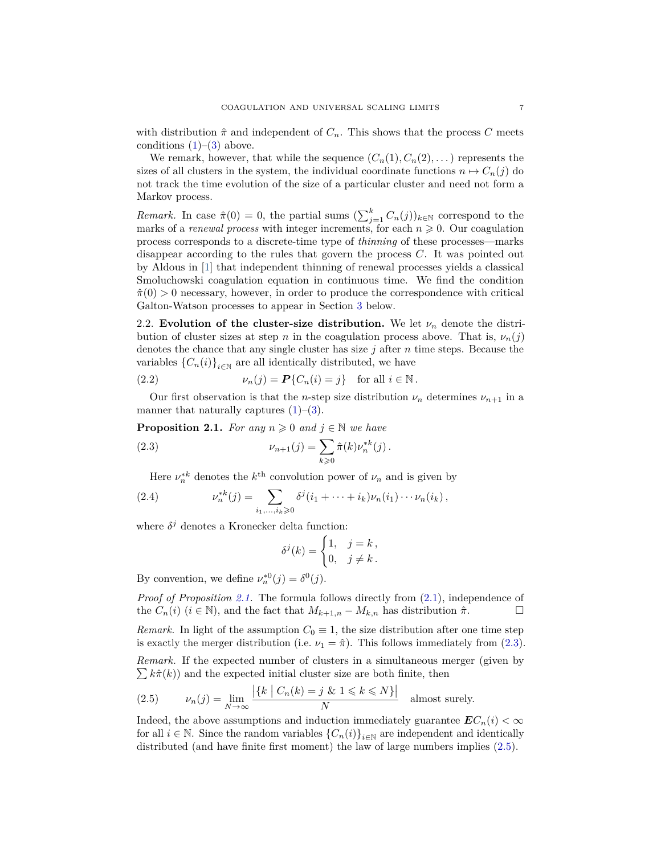with distribution  $\hat{\pi}$  and independent of  $C_n$ . This shows that the process C meets conditions  $(1)$ – $(3)$  above.

We remark, however, that while the sequence  $(C_n(1), C_n(2), \dots)$  represents the sizes of all clusters in the system, the individual coordinate functions  $n \mapsto C_n(j)$  do not track the time evolution of the size of a particular cluster and need not form a Markov process.

*Remark.* In case  $\hat{\pi}(0) = 0$ , the partial sums  $(\sum_{j=1}^{k} C_n(j))_{k \in \mathbb{N}}$  correspond to the marks of a *renewal process* with integer increments, for each  $n \geq 0$ . Our coagulation process corresponds to a discrete-time type of *thinning* of these processes—marks disappear according to the rules that govern the process *C*. It was pointed out by Aldous in [\[1\]](#page-41-11) that independent thinning of renewal processes yields a classical Smoluchowski coagulation equation in continuous time. We find the condition  $\hat{\pi}(0) > 0$  necessary, however, in order to produce the correspondence with critical Galton-Watson processes to appear in Section [3](#page-8-0) below.

<span id="page-6-0"></span>2.2. **Evolution of the cluster-size distribution.** We let  $\nu_n$  denote the distribution of cluster sizes at step *n* in the coagulation process above. That is,  $\nu_n(j)$ denotes the chance that any single cluster has size *j* after *n* time steps. Because the variables  ${C_n(i)}_{i \in \mathbb{N}}$  are all identically distributed, we have

<span id="page-6-4"></span>(2.2) 
$$
\nu_n(j) = \mathbf{P}\{C_n(i) = j\} \text{ for all } i \in \mathbb{N}.
$$

Our first observation is that the *n*-step size distribution  $\nu_n$  determines  $\nu_{n+1}$  in a manner that naturally captures  $(1)$ – $(3)$ .

<span id="page-6-1"></span>**Proposition 2.1.** *For any*  $n \geq 0$  *and*  $j \in \mathbb{N}$  *we have* 

(2.3) 
$$
\nu_{n+1}(j) = \sum_{k \geq 0} \hat{\pi}(k) \nu_n^{*k}(j).
$$

Here  $\nu_n^{*k}$  denotes the  $k^{\text{th}}$  convolution power of  $\nu_n$  and is given by

(2.4) 
$$
\nu_n^{*k}(j) = \sum_{i_1,\dots,i_k \geq 0} \delta^j(i_1 + \dots + i_k) \nu_n(i_1) \cdots \nu_n(i_k),
$$

where  $\delta^j$  denotes a Kronecker delta function:

<span id="page-6-2"></span>
$$
\delta^j(k) = \begin{cases} 1, & j = k \\ 0, & j \neq k \end{cases}.
$$

By convention, we define  $\nu_n^{*0}(j) = \delta^0(j)$ .

*Proof of Proposition [2.1.](#page-6-1)* The formula follows directly from [\(2.1\)](#page-5-1), independence of the  $C_n(i)$  ( $i \in \mathbb{N}$ ), and the fact that  $M_{k+1,n} - M_{k,n}$  has distribution  $\hat{\pi}$ .

*Remark.* In light of the assumption  $C_0 \equiv 1$ , the size distribution after one time step is exactly the merger distribution (i.e.  $\nu_1 = \hat{\pi}$ ). This follows immediately from [\(2.3\)](#page-6-2).

*Remark.* If the expected number of clusters in a simultaneous merger (given by  $\sum k\hat{\pi}(k)$  and the expected initial cluster size are both finite, then

<span id="page-6-3"></span>(2.5) 
$$
\nu_n(j) = \lim_{N \to \infty} \frac{|\{k \mid C_n(k) = j \& 1 \le k \le N\}|}{N}
$$
 almost surely.

Indeed, the above assumptions and induction immediately guarantee  $EC_n(i) < \infty$ for all  $i \in \mathbb{N}$ . Since the random variables  ${C_n(i)}_{i \in \mathbb{N}}$  are independent and identically distributed (and have finite first moment) the law of large numbers implies [\(2.5\)](#page-6-3).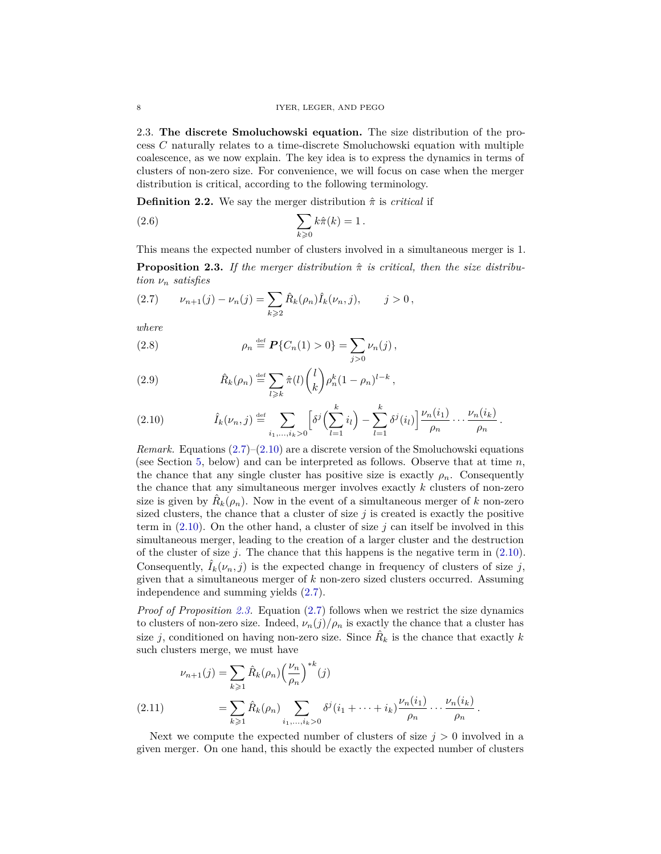<span id="page-7-0"></span>2.3. **The discrete Smoluchowski equation.** The size distribution of the process *C* naturally relates to a time-discrete Smoluchowski equation with multiple coalescence, as we now explain. The key idea is to express the dynamics in terms of clusters of non-zero size. For convenience, we will focus on case when the merger distribution is critical, according to the following terminology.

<span id="page-7-4"></span>**Definition 2.2.** We say the merger distribution  $\hat{\pi}$  is *critical* if

$$
\sum_{k\geqslant 0}k\hat{\pi}(k)=1.
$$

This means the expected number of clusters involved in a simultaneous merger is 1.

<span id="page-7-1"></span>**Proposition 2.3.** If the merger distribution  $\hat{\pi}$  is critical, then the size distribu*tion ν<sup>n</sup> satisfies*

<span id="page-7-2"></span>
$$
(2.7) \t\nu_{n+1}(j) - \nu_n(j) = \sum_{k \geq 2} \hat{R}_k(\rho_n) \hat{I}_k(\nu_n, j), \t j > 0,
$$

*where*

<span id="page-7-7"></span>(2.8) 
$$
\rho_n \stackrel{\text{def}}{=} \mathbf{P}\{C_n(1) > 0\} = \sum_{j > 0} \nu_n(j) \,,
$$

<span id="page-7-6"></span>(2.9) 
$$
\hat{R}_k(\rho_n) \stackrel{\text{def}}{=} \sum_{l \geqslant k} \hat{\pi}(l) {l \choose k} \rho_n^k (1 - \rho_n)^{l-k},
$$

<span id="page-7-3"></span>(2.10) 
$$
\hat{I}_k(\nu_n, j) \stackrel{\text{def}}{=} \sum_{i_1, ..., i_k > 0} \left[ \delta^j \left( \sum_{l=1}^k i_l \right) - \sum_{l=1}^k \delta^j(i_l) \right] \frac{\nu_n(i_1)}{\rho_n} \cdots \frac{\nu_n(i_k)}{\rho_n}.
$$

*Remark.* Equations [\(2.7\)](#page-7-2)–[\(2.10\)](#page-7-3) are a discrete version of the Smoluchowski equations (see Section [5,](#page-11-1) below) and can be interpreted as follows. Observe that at time *n*, the chance that any single cluster has positive size is exactly  $\rho_n$ . Consequently the chance that any simultaneous merger involves exactly *k* clusters of non-zero size is given by  $\hat{R}_k(\rho_n)$ . Now in the event of a simultaneous merger of *k* non-zero sized clusters, the chance that a cluster of size  $j$  is created is exactly the positive term in [\(2.10\)](#page-7-3). On the other hand, a cluster of size *j* can itself be involved in this simultaneous merger, leading to the creation of a larger cluster and the destruction of the cluster of size *j*. The chance that this happens is the negative term in [\(2.10\)](#page-7-3). Consequently,  $I_k(\nu_n, j)$  is the expected change in frequency of clusters of size *j*, given that a simultaneous merger of *k* non-zero sized clusters occurred. Assuming independence and summing yields [\(2.7\)](#page-7-2).

*Proof of Proposition [2.3.](#page-7-1)* Equation [\(2.7\)](#page-7-2) follows when we restrict the size dynamics to clusters of non-zero size. Indeed,  $\nu_n(j)/\rho_n$  is exactly the chance that a cluster has size *j*, conditioned on having non-zero size. Since  $\hat{R}_k$  is the chance that exactly *k* such clusters merge, we must have

<span id="page-7-5"></span>
$$
\nu_{n+1}(j) = \sum_{k \geq 1} \hat{R}_k(\rho_n) \left(\frac{\nu_n}{\rho_n}\right)^{*k}(j)
$$
  
(2.11) 
$$
= \sum_{k \geq 1} \hat{R}_k(\rho_n) \sum_{i_1, ..., i_k > 0} \delta^j(i_1 + \dots + i_k) \frac{\nu_n(i_1)}{\rho_n} \dots \frac{\nu_n(i_k)}{\rho_n}.
$$

Next we compute the expected number of clusters of size  $j > 0$  involved in a given merger. On one hand, this should be exactly the expected number of clusters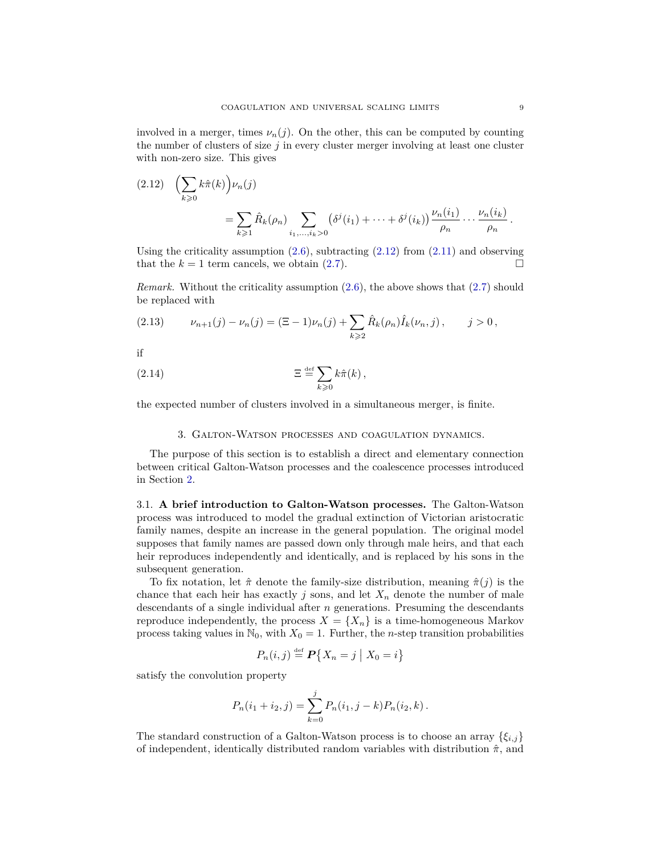involved in a merger, times  $\nu_n(j)$ . On the other, this can be computed by counting the number of clusters of size  $j$  in every cluster merger involving at least one cluster with non-zero size. This gives

<span id="page-8-2"></span>
$$
(2.12) \quad \left(\sum_{k\geqslant 0} k\hat{\pi}(k)\right)\nu_n(j)
$$
\n
$$
= \sum_{k\geqslant 1} \hat{R}_k(\rho_n) \sum_{i_1,\dots,i_k>0} \left(\delta^j(i_1) + \dots + \delta^j(i_k)\right) \frac{\nu_n(i_1)}{\rho_n} \dots \frac{\nu_n(i_k)}{\rho_n}.
$$

Using the criticality assumption  $(2.6)$ , subtracting  $(2.12)$  from  $(2.11)$  and observing that the  $k = 1$  term cancels, we obtain [\(2.7\)](#page-7-2).

*Remark.* Without the criticality assumption [\(2.6\)](#page-7-4), the above shows that [\(2.7\)](#page-7-2) should be replaced with

<span id="page-8-3"></span>
$$
(2.13) \t\nu_{n+1}(j) - \nu_n(j) = (\Xi - 1)\nu_n(j) + \sum_{k \geq 2} \hat{R}_k(\rho_n)\hat{I}_k(\nu_n, j), \t j > 0,
$$

if

(2.14) 
$$
\Xi \stackrel{\text{def}}{=} \sum_{k \geqslant 0} k \hat{\pi}(k),
$$

the expected number of clusters involved in a simultaneous merger, is finite.

#### 3. Galton-Watson processes and coagulation dynamics.

<span id="page-8-0"></span>The purpose of this section is to establish a direct and elementary connection between critical Galton-Watson processes and the coalescence processes introduced in Section [2.](#page-4-1)

<span id="page-8-1"></span>3.1. **A brief introduction to Galton-Watson processes.** The Galton-Watson process was introduced to model the gradual extinction of Victorian aristocratic family names, despite an increase in the general population. The original model supposes that family names are passed down only through male heirs, and that each heir reproduces independently and identically, and is replaced by his sons in the subsequent generation.

To fix notation, let  $\hat{\pi}$  denote the family-size distribution, meaning  $\hat{\pi}(j)$  is the chance that each heir has exactly  $j$  sons, and let  $X_n$  denote the number of male descendants of a single individual after *n* generations. Presuming the descendants reproduce independently, the process  $X = \{X_n\}$  is a time-homogeneous Markov process taking values in  $\mathbb{N}_0$ , with  $X_0 = 1$ . Further, the *n*-step transition probabilities

$$
P_n(i,j) \stackrel{\text{def}}{=} \mathbf{P}\{X_n = j \mid X_0 = i\}
$$

satisfy the convolution property

$$
P_n(i_1 + i_2, j) = \sum_{k=0}^{j} P_n(i_1, j - k) P_n(i_2, k).
$$

The standard construction of a Galton-Watson process is to choose an array {*ξi,j*} of independent, identically distributed random variables with distribution  $\hat{\pi}$ , and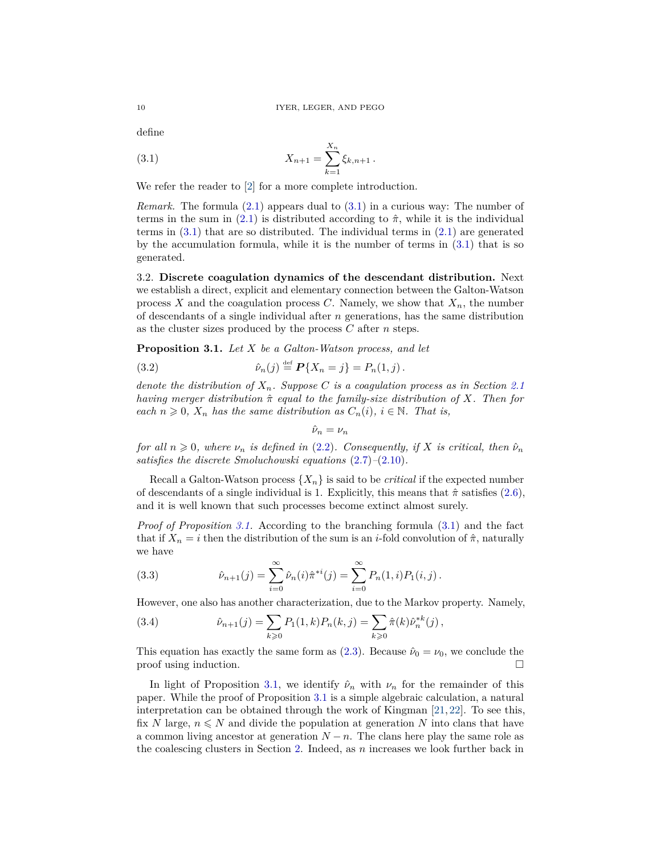define

<span id="page-9-2"></span>(3.1) 
$$
X_{n+1} = \sum_{k=1}^{X_n} \xi_{k,n+1}.
$$

We refer the reader to [\[2\]](#page-41-2) for a more complete introduction.

*Remark.* The formula [\(2.1\)](#page-5-1) appears dual to [\(3.1\)](#page-9-2) in a curious way: The number of terms in the sum in [\(2.1\)](#page-5-1) is distributed according to  $\hat{\pi}$ , while it is the individual terms in  $(3.1)$  that are so distributed. The individual terms in  $(2.1)$  are generated by the accumulation formula, while it is the number of terms in [\(3.1\)](#page-9-2) that is so generated.

<span id="page-9-0"></span>3.2. **Discrete coagulation dynamics of the descendant distribution.** Next we establish a direct, explicit and elementary connection between the Galton-Watson process *X* and the coagulation process *C*. Namely, we show that  $X_n$ , the number of descendants of a single individual after *n* generations, has the same distribution as the cluster sizes produced by the process *C* after *n* steps.

<span id="page-9-1"></span>**Proposition 3.1.** *Let X be a Galton-Watson process, and let*

(3.2) 
$$
\hat{\nu}_n(j) \stackrel{\text{def}}{=} \mathbf{P}\{X_n = j\} = P_n(1, j).
$$

*denote the distribution of*  $X_n$ *. Suppose C is a coagulation process as in Section* [2.1](#page-5-0) *having merger distribution π*ˆ *equal to the family-size distribution of X. Then for each*  $n \geq 0$ ,  $X_n$  *has the same distribution as*  $C_n(i)$ ,  $i \in \mathbb{N}$ . That is,

 $\hat{\nu}_n = \nu_n$ 

*for all*  $n \geq 0$ *, where*  $\nu_n$  *is defined in* [\(2.2\)](#page-6-4)*. Consequently, if X is critical, then*  $\hat{\nu}_n$ *satisfies the discrete Smoluchowski equations* [\(2.7\)](#page-7-2)*–*[\(2.10\)](#page-7-3)*.*

Recall a Galton-Watson process  $\{X_n\}$  is said to be *critical* if the expected number of descendants of a single individual is 1. Explicitly, this means that  $\hat{\pi}$  satisfies [\(2.6\)](#page-7-4), and it is well known that such processes become extinct almost surely.

*Proof of Proposition [3.1.](#page-9-1)* According to the branching formula [\(3.1\)](#page-9-2) and the fact that if  $X_n = i$  then the distribution of the sum is an *i*-fold convolution of  $\hat{\pi}$ , naturally we have

(3.3) 
$$
\hat{\nu}_{n+1}(j) = \sum_{i=0}^{\infty} \hat{\nu}_n(i) \hat{\pi}^{*i}(j) = \sum_{i=0}^{\infty} P_n(1,i) P_1(i,j).
$$

However, one also has another characterization, due to the Markov property. Namely,

(3.4) 
$$
\hat{\nu}_{n+1}(j) = \sum_{k \geq 0} P_1(1,k) P_n(k,j) = \sum_{k \geq 0} \hat{\pi}(k) \hat{\nu}_n^{*k}(j),
$$

This equation has exactly the same form as  $(2.3)$ . Because  $\hat{\nu}_0 = \nu_0$ , we conclude the proof using induction.

In light of Proposition [3.1,](#page-9-1) we identify  $\hat{\nu}_n$  with  $\nu_n$  for the remainder of this paper. While the proof of Proposition [3.1](#page-9-1) is a simple algebraic calculation, a natural interpretation can be obtained through the work of Kingman [\[21,](#page-42-2) [22\]](#page-42-3). To see this, fix *N* large,  $n \leq N$  and divide the population at generation *N* into clans that have a common living ancestor at generation  $N - n$ . The clans here play the same role as the coalescing clusters in Section [2.](#page-4-1) Indeed, as *n* increases we look further back in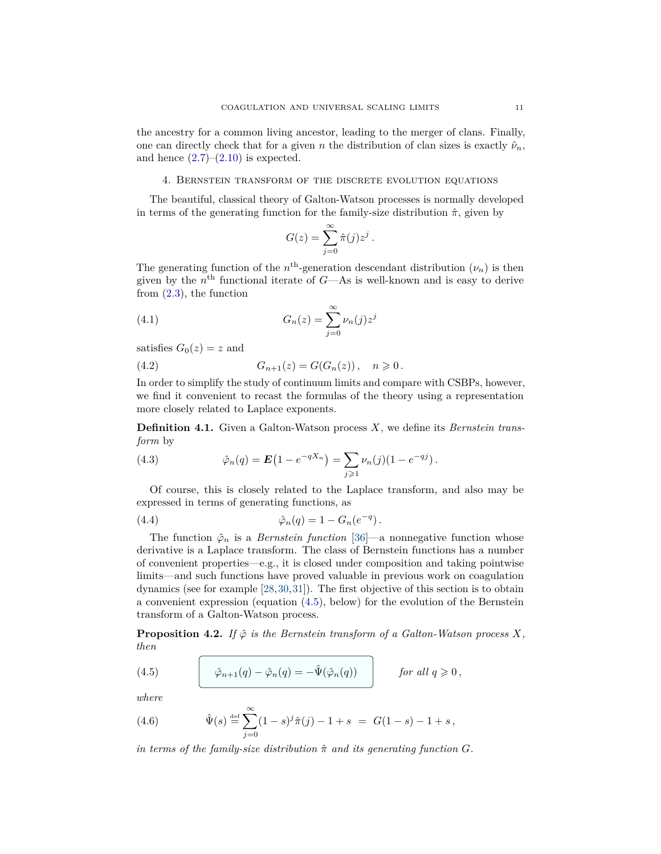the ancestry for a common living ancestor, leading to the merger of clans. Finally, one can directly check that for a given *n* the distribution of clan sizes is exactly  $\hat{\nu}_n$ , and hence  $(2.7)$ – $(2.10)$  is expected.

# 4. Bernstein transform of the discrete evolution equations

<span id="page-10-0"></span>The beautiful, classical theory of Galton-Watson processes is normally developed in terms of the generating function for the family-size distribution  $\hat{\pi}$ , given by

$$
G(z) = \sum_{j=0}^{\infty} \hat{\pi}(j) z^j.
$$

The generating function of the  $n<sup>th</sup>$ -generation descendant distribution  $(\nu_n)$  is then given by the *n* th functional iterate of *G*—As is well-known and is easy to derive from  $(2.3)$ , the function

(4.1) 
$$
G_n(z) = \sum_{j=0}^{\infty} \nu_n(j) z^j
$$

satisfies  $G_0(z) = z$  and

<span id="page-10-4"></span>(4.2) 
$$
G_{n+1}(z) = G(G_n(z)), \quad n \geq 0.
$$

In order to simplify the study of continuum limits and compare with CSBPs, however, we find it convenient to recast the formulas of the theory using a representation more closely related to Laplace exponents.

**Definition 4.1.** Given a Galton-Watson process *X*, we define its *Bernstein transform* by

(4.3) 
$$
\hat{\varphi}_n(q) = \mathbf{E}\left(1 - e^{-qX_n}\right) = \sum_{j \geq 1} \nu_n(j) (1 - e^{-qj}).
$$

Of course, this is closely related to the Laplace transform, and also may be expressed in terms of generating functions, as

<span id="page-10-3"></span>(4.4) 
$$
\hat{\varphi}_n(q) = 1 - G_n(e^{-q}).
$$

The function  $\hat{\varphi}_n$  is a *Bernstein function* [\[36\]](#page-42-16)—a nonnegative function whose derivative is a Laplace transform. The class of Bernstein functions has a number of convenient properties—e.g., it is closed under composition and taking pointwise limits—and such functions have proved valuable in previous work on coagulation dynamics (see for example [\[28,](#page-42-17)[30,](#page-42-18)[31\]](#page-42-9)). The first objective of this section is to obtain a convenient expression (equation [\(4.5\)](#page-10-2), below) for the evolution of the Bernstein transform of a Galton-Watson process.

<span id="page-10-1"></span>**Proposition 4.2.** *If*  $\hat{\varphi}$  *is the Bernstein transform of a Galton-Watson process X, then*

<span id="page-10-2"></span>(4.5) 
$$
\hat{\varphi}_{n+1}(q) - \hat{\varphi}_n(q) = -\hat{\Psi}(\hat{\varphi}_n(q)) \quad \text{for all } q \geq 0,
$$

*where*

<span id="page-10-5"></span>(4.6) 
$$
\hat{\Psi}(s) \stackrel{\text{def}}{=} \sum_{j=0}^{\infty} (1-s)^j \hat{\pi}(j) - 1 + s = G(1-s) - 1 + s,
$$

*in terms of the family-size distribution*  $\hat{\pi}$  *and its generating function G.*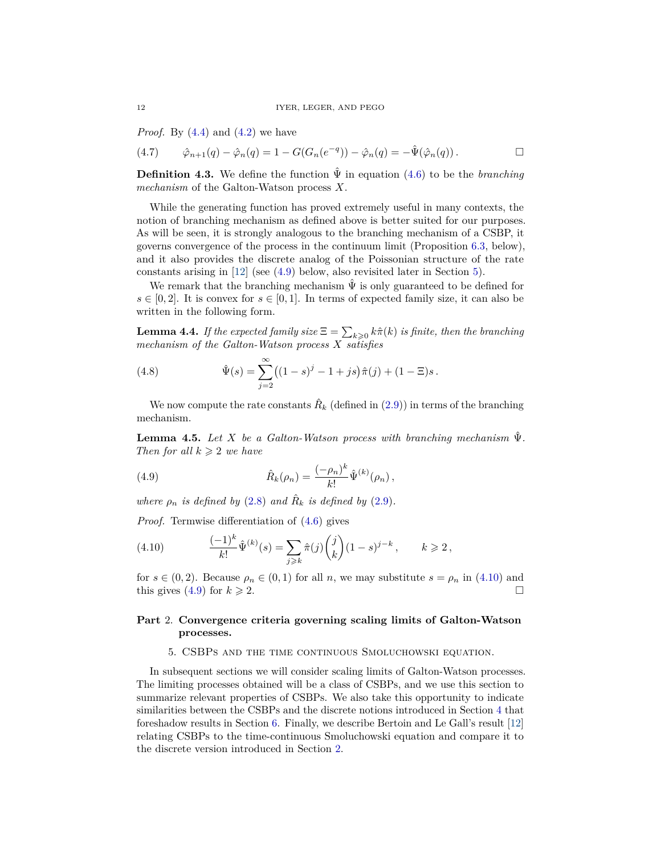*Proof.* By [\(4.4\)](#page-10-3) and [\(4.2\)](#page-10-4) we have

$$
(4.7) \qquad \hat{\varphi}_{n+1}(q) - \hat{\varphi}_n(q) = 1 - G(G_n(e^{-q})) - \hat{\varphi}_n(q) = -\hat{\Psi}(\hat{\varphi}_n(q)). \qquad \Box
$$

<span id="page-11-4"></span>**Definition 4.3.** We define the function  $\hat{\Psi}$  in equation [\(4.6\)](#page-10-5) to be the *branching mechanism* of the Galton-Watson process *X*.

While the generating function has proved extremely useful in many contexts, the notion of branching mechanism as defined above is better suited for our purposes. As will be seen, it is strongly analogous to the branching mechanism of a CSBP, it governs convergence of the process in the continuum limit (Proposition [6.3,](#page-16-1) below), and it also provides the discrete analog of the Poissonian structure of the rate constants arising in [\[12\]](#page-41-10) (see [\(4.9\)](#page-11-2) below, also revisited later in Section [5\)](#page-11-1).

We remark that the branching mechanism  $\hat{\Psi}$  is only guaranteed to be defined for  $s \in [0,2]$ . It is convex for  $s \in [0,1]$ . In terms of expected family size, it can also be written in the following form.

**Lemma 4.4.** *If the expected family size*  $\Xi = \sum_{k\geqslant 0} k\hat{\pi}(k)$  *is finite, then the branching mechanism of the Galton-Watson process X satisfies*

<span id="page-11-5"></span>(4.8) 
$$
\hat{\Psi}(s) = \sum_{j=2}^{\infty} ((1-s)^j - 1 + js)\hat{\pi}(j) + (1-\Xi)s.
$$

We now compute the rate constants  $\hat{R}_k$  (defined in  $(2.9)$ ) in terms of the branching mechanism.

<span id="page-11-6"></span>**Lemma 4.5.** *Let X be a Galton-Watson process with branching mechanism*  $\hat{\Psi}$ . *Then for all*  $k \geq 2$  *we have* 

<span id="page-11-2"></span>(4.9) 
$$
\hat{R}_k(\rho_n) = \frac{(-\rho_n)^k}{k!} \hat{\Psi}^{(k)}(\rho_n) ,
$$

*where*  $\rho_n$  *is defined by* [\(2.8\)](#page-7-7) *and*  $\hat{R}_k$  *is defined by* [\(2.9\)](#page-7-6)*.* 

*Proof.* Termwise differentiation of [\(4.6\)](#page-10-5) gives

<span id="page-11-3"></span>(4.10) 
$$
\frac{(-1)^k}{k!} \hat{\Psi}^{(k)}(s) = \sum_{j \geq k} \hat{\pi}(j) {j \choose k} (1-s)^{j-k}, \qquad k \geq 2,
$$

for  $s \in (0, 2)$ . Because  $\rho_n \in (0, 1)$  for all *n*, we may substitute  $s = \rho_n$  in [\(4.10\)](#page-11-3) and this gives [\(4.9\)](#page-11-2) for  $k \ge 2$ .

# <span id="page-11-0"></span>**Part** 2. **Convergence criteria governing scaling limits of Galton-Watson processes.**

# 5. CSBPs and the time continuous Smoluchowski equation.

<span id="page-11-1"></span>In subsequent sections we will consider scaling limits of Galton-Watson processes. The limiting processes obtained will be a class of CSBPs, and we use this section to summarize relevant properties of CSBPs. We also take this opportunity to indicate similarities between the CSBPs and the discrete notions introduced in Section [4](#page-10-0) that foreshadow results in Section [6.](#page-14-0) Finally, we describe Bertoin and Le Gall's result [\[12\]](#page-41-10) relating CSBPs to the time-continuous Smoluchowski equation and compare it to the discrete version introduced in Section [2.](#page-4-1)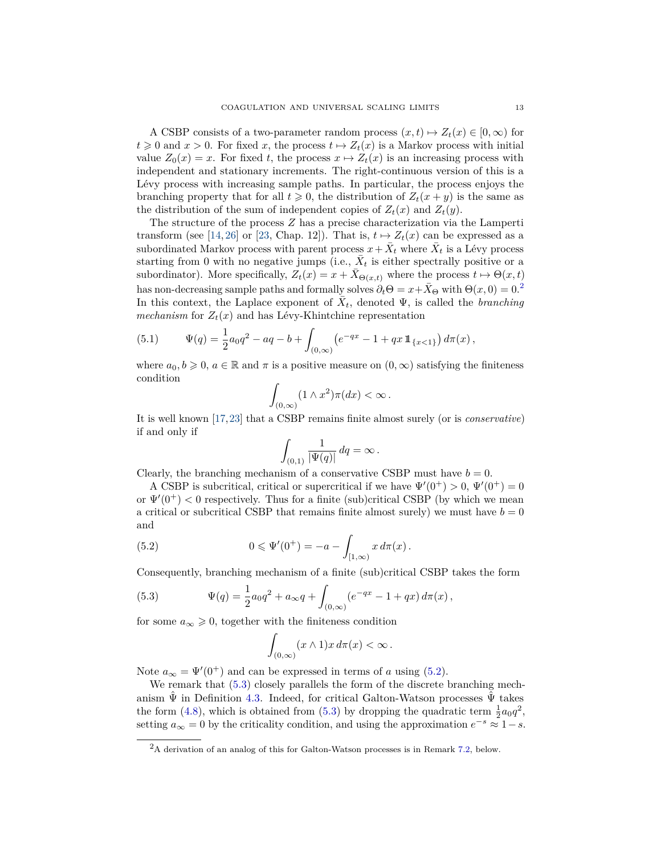A CSBP consists of a two-parameter random process  $(x, t) \mapsto Z_t(x) \in [0, \infty)$  for  $t \geq 0$  and  $x > 0$ . For fixed *x*, the process  $t \mapsto Z_t(x)$  is a Markov process with initial value  $Z_0(x) = x$ . For fixed *t*, the process  $x \mapsto Z_t(x)$  is an increasing process with independent and stationary increments. The right-continuous version of this is a Lévy process with increasing sample paths. In particular, the process enjoys the branching property that for all  $t \geq 0$ , the distribution of  $Z_t(x + y)$  is the same as the distribution of the sum of independent copies of  $Z_t(x)$  and  $Z_t(y)$ .

The structure of the process *Z* has a precise characterization via the Lamperti transform (see [\[14,](#page-41-12) [26\]](#page-42-19) or [\[23,](#page-42-20) Chap. 12]). That is,  $t \mapsto Z_t(x)$  can be expressed as a subordinated Markov process with parent process  $x + \bar{X}_t$  where  $\bar{X}_t$  is a Lévy process starting from 0 with no negative jumps (i.e.,  $\bar{X}_t$  is either spectrally positive or a subordinator). More specifically,  $Z_t(x) = x + \overline{X}_{\Theta(x,t)}$  where the process  $t \mapsto \Theta(x,t)$ has non-decreasing sample paths and formally solves  $\partial_t \Theta = x + \bar{X}_{\Theta}$  with  $\Theta(x, 0) = 0$ .<sup>[2](#page-12-0)</sup> In this context, the Laplace exponent of  $\overline{X}_t$ , denoted  $\Psi$ , is called the *branching mechanism* for  $Z_t(x)$  and has Lévy-Khintchine representation

(5.1) 
$$
\Psi(q) = \frac{1}{2}a_0q^2 - aq - b + \int_{(0,\infty)} \left( e^{-qx} - 1 + qx \, \mathbb{1}_{\{x < 1\}} \right) d\pi(x),
$$

where  $a_0, b \geq 0, a \in \mathbb{R}$  and  $\pi$  is a positive measure on  $(0, \infty)$  satisfying the finiteness condition

$$
\int_{(0,\infty)} (1 \wedge x^2) \pi(dx) < \infty.
$$

It is well known [\[17,](#page-42-12)[23\]](#page-42-20) that a CSBP remains finite almost surely (or is *conservative*) if and only if

$$
\int_{(0,1)} \frac{1}{|\Psi(q)|} dq = \infty.
$$

Clearly, the branching mechanism of a conservative CSBP must have  $b = 0$ .

A CSBP is subcritical, critical or supercritical if we have  $\Psi'(0^+) > 0$ ,  $\Psi'(0^+) = 0$ or  $\Psi'(0^+)$  < 0 respectively. Thus for a finite (sub)critical CSBP (by which we mean a critical or subcritical CSBP that remains finite almost surely) we must have  $b = 0$ and

(5.2) 
$$
0 \leqslant \Psi'(0^+) = -a - \int_{[1,\infty)} x \, d\pi(x) \, .
$$

Consequently, branching mechanism of a finite (sub)critical CSBP takes the form

<span id="page-12-2"></span>(5.3) 
$$
\Psi(q) = \frac{1}{2}a_0q^2 + a_\infty q + \int_{(0,\infty)} (e^{-qx} - 1 + qx) d\pi(x),
$$

for some  $a_{\infty} \geq 0$ , together with the finiteness condition

<span id="page-12-1"></span>
$$
\int_{(0,\infty)} (x \wedge 1)x \, d\pi(x) < \infty \, .
$$

Note  $a_{\infty} = \Psi'(0^+)$  and can be expressed in terms of *a* using [\(5.2\)](#page-12-1).

We remark that  $(5.3)$  closely parallels the form of the discrete branching mechanism  $\tilde{\Psi}$  in Definition [4.3.](#page-11-4) Indeed, for critical Galton-Watson processes  $\tilde{\Psi}$  takes the form [\(4.8\)](#page-11-5), which is obtained from [\(5.3\)](#page-12-2) by dropping the quadratic term  $\frac{1}{2}a_0q^2$ , setting  $a_{\infty} = 0$  by the criticality condition, and using the approximation  $e^{-s} \approx 1 - s$ .

<span id="page-12-0"></span><sup>2</sup>A derivation of an analog of this for Galton-Watson processes is in Remark [7.2,](#page-24-2) below.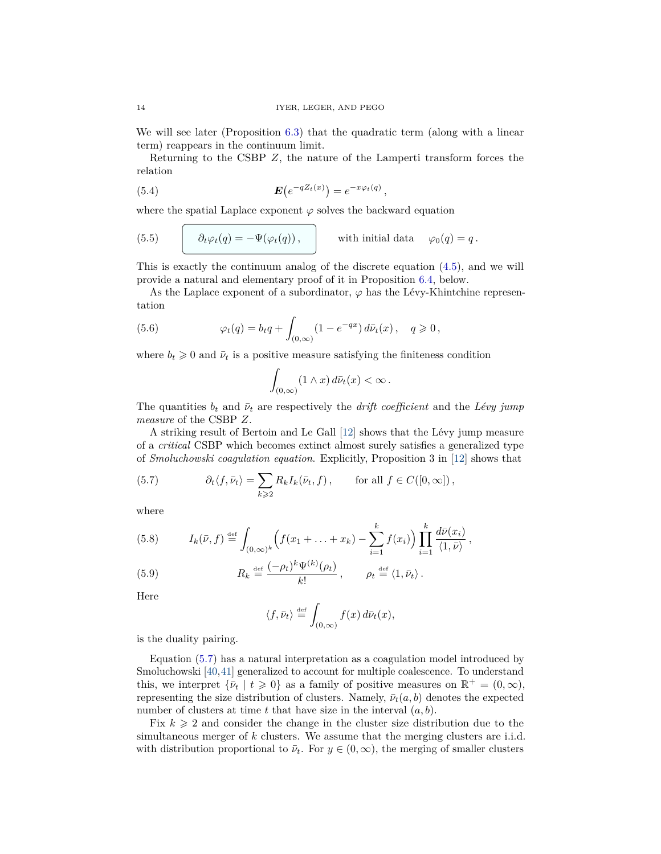We will see later (Proposition [6.3\)](#page-16-1) that the quadratic term (along with a linear term) reappears in the continuum limit.

Returning to the CSBP *Z*, the nature of the Lamperti transform forces the relation

$$
E(e^{-qZ_t(x)}) = e^{-x\varphi_t(q)},
$$

where the spatial Laplace exponent  $\varphi$  solves the backward equation

<span id="page-13-0"></span>(5.5) 
$$
\partial_t \varphi_t(q) = -\Psi(\varphi_t(q)), \qquad \text{with initial data} \quad \varphi_0(q) = q.
$$

This is exactly the continuum analog of the discrete equation [\(4.5\)](#page-10-2), and we will provide a natural and elementary proof of it in Proposition [6.4,](#page-19-1) below.

As the Laplace exponent of a subordinator,  $\varphi$  has the Lévy-Khintchine representation

(5.6) 
$$
\varphi_t(q) = b_t q + \int_{(0,\infty)} (1 - e^{-qx}) d\bar{\nu}_t(x), \quad q \geq 0,
$$

where  $b_t \geq 0$  and  $\bar{\nu}_t$  is a positive measure satisfying the finiteness condition

$$
\int_{(0,\infty)} (1 \wedge x) d\bar{\nu}_t(x) < \infty.
$$

The quantities  $b_t$  and  $\bar{\nu}_t$  are respectively the *drift coefficient* and the *Lévy jump measure* of the CSBP *Z*.

A striking result of Bertoin and Le Gall [\[12\]](#page-41-10) shows that the Lévy jump measure of a *critical* CSBP which becomes extinct almost surely satisfies a generalized type of *Smoluchowski coagulation equation*. Explicitly, Proposition 3 in [\[12\]](#page-41-10) shows that

<span id="page-13-1"></span>(5.7) 
$$
\partial_t \langle f, \bar{\nu}_t \rangle = \sum_{k \geqslant 2} R_k I_k(\bar{\nu}_t, f), \quad \text{for all } f \in C([0, \infty])
$$

where

<span id="page-13-3"></span>(5.8) 
$$
I_k(\bar{\nu}, f) \stackrel{\text{def}}{=} \int_{(0,\infty)^k} \left( f(x_1 + \ldots + x_k) - \sum_{i=1}^k f(x_i) \right) \prod_{i=1}^k \frac{d\bar{\nu}(x_i)}{\langle 1, \bar{\nu} \rangle},
$$

<span id="page-13-2"></span>(5.9) 
$$
R_k \stackrel{\text{def}}{=} \frac{(-\rho_t)^k \Psi^{(k)}(\rho_t)}{k!}, \qquad \rho_t \stackrel{\text{def}}{=} \langle 1, \bar{\nu}_t \rangle.
$$

Here

$$
\langle f, \bar{\nu}_t \rangle \stackrel{\text{def}}{=} \int_{(0,\infty)} f(x) d\bar{\nu}_t(x),
$$

is the duality pairing.

Equation [\(5.7\)](#page-13-1) has a natural interpretation as a coagulation model introduced by Smoluchowski [\[40,](#page-42-13)[41\]](#page-42-14) generalized to account for multiple coalescence. To understand this, we interpret  ${\bar{\nu}_t} | t \geq 0$  as a family of positive measures on  $\mathbb{R}^+ = (0, \infty)$ , representing the size distribution of clusters. Namely,  $\bar{\nu}_t(a, b)$  denotes the expected number of clusters at time *t* that have size in the interval (*a, b*).

Fix  $k \geq 2$  and consider the change in the cluster size distribution due to the simultaneous merger of *k* clusters. We assume that the merging clusters are i.i.d. with distribution proportional to  $\bar{\nu}_t$ . For  $y \in (0,\infty)$ , the merging of smaller clusters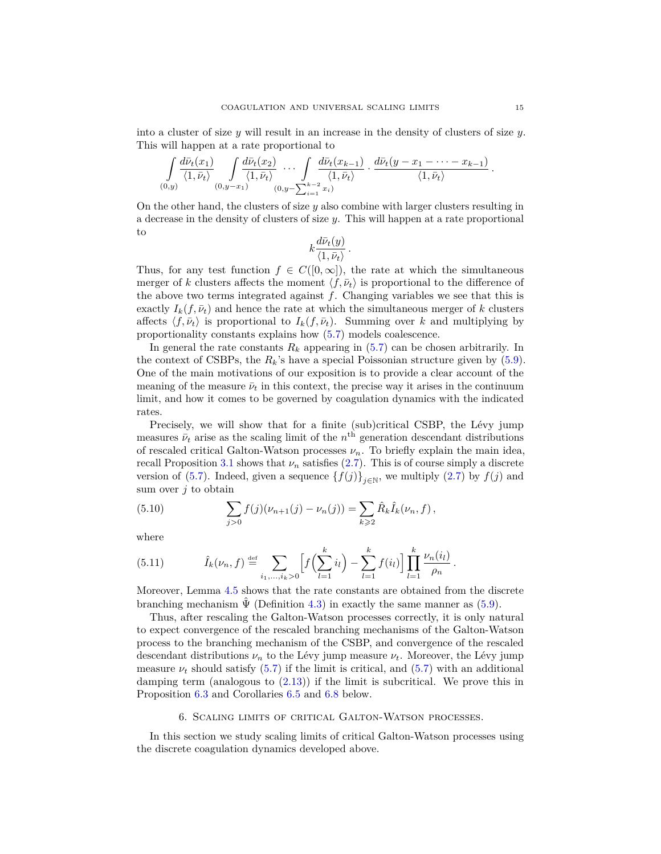into a cluster of size *y* will result in an increase in the density of clusters of size *y*. This will happen at a rate proportional to

$$
\int\limits_{(0,y)}\frac{d\bar{\nu}_t(x_1)}{\langle 1,\bar{\nu}_t\rangle}\int\limits_{(0,y-x_1)}\frac{d\bar{\nu}_t(x_2)}{\langle 1,\bar{\nu}_t\rangle}\cdots\int\limits_{(0,y-\sum_{i=1}^{k-2}x_i)}\frac{d\bar{\nu}_t(x_{k-1})}{\langle 1,\bar{\nu}_t\rangle}\cdot\frac{d\bar{\nu}_t(y-x_1-\cdots-x_{k-1})}{\langle 1,\bar{\nu}_t\rangle}.
$$

On the other hand, the clusters of size *y* also combine with larger clusters resulting in a decrease in the density of clusters of size *y*. This will happen at a rate proportional to

$$
k \frac{d\bar{\nu}_t(y)}{\langle 1, \bar{\nu}_t \rangle}
$$

*.*

Thus, for any test function  $f \in C([0,\infty])$ , the rate at which the simultaneous merger of *k* clusters affects the moment  $\langle f, \bar{\nu}_t \rangle$  is proportional to the difference of the above two terms integrated against *f*. Changing variables we see that this is exactly  $I_k(f, \bar{\nu}_t)$  and hence the rate at which the simultaneous merger of *k* clusters affects  $\langle f, \bar{\nu}_t \rangle$  is proportional to  $I_k(f, \bar{\nu}_t)$ . Summing over *k* and multiplying by proportionality constants explains how [\(5.7\)](#page-13-1) models coalescence.

In general the rate constants  $R_k$  appearing in  $(5.7)$  can be chosen arbitrarily. In the context of CSBPs, the *Rk*'s have a special Poissonian structure given by [\(5.9\)](#page-13-2). One of the main motivations of our exposition is to provide a clear account of the meaning of the measure  $\bar{\nu}_t$  in this context, the precise way it arises in the continuum limit, and how it comes to be governed by coagulation dynamics with the indicated rates.

Precisely, we will show that for a finite (sub)critical CSBP, the Lévy jump measures  $\bar{\nu}_t$  arise as the scaling limit of the  $n^{\text{th}}$  generation descendant distributions of rescaled critical Galton-Watson processes  $\nu_n$ . To briefly explain the main idea, recall Proposition [3.1](#page-9-1) shows that  $\nu_n$  satisfies [\(2.7\)](#page-7-2). This is of course simply a discrete version of [\(5.7\)](#page-13-1). Indeed, given a sequence  $\{f(j)\}_{j\in\mathbb{N}}$ , we multiply [\(2.7\)](#page-7-2) by  $f(j)$  and sum over *j* to obtain

<span id="page-14-1"></span>(5.10) 
$$
\sum_{j>0} f(j)(\nu_{n+1}(j) - \nu_n(j)) = \sum_{k\geqslant 2} \hat{R}_k \hat{I}_k(\nu_n, f),
$$

where

(5.11) 
$$
\hat{I}_k(\nu_n, f) \stackrel{\text{def}}{=} \sum_{i_1, ..., i_k > 0} \left[ f\left(\sum_{l=1}^k i_l\right) - \sum_{l=1}^k f(i_l) \right] \prod_{l=1}^k \frac{\nu_n(i_l)}{\rho_n}.
$$

Moreover, Lemma [4.5](#page-11-6) shows that the rate constants are obtained from the discrete branching mechanism  $\hat{\Psi}$  (Definition [4.3\)](#page-11-4) in exactly the same manner as [\(5.9\)](#page-13-2).

Thus, after rescaling the Galton-Watson processes correctly, it is only natural to expect convergence of the rescaled branching mechanisms of the Galton-Watson process to the branching mechanism of the CSBP, and convergence of the rescaled descendant distributions  $\nu_n$  to the Lévy jump measure  $\nu_t$ . Moreover, the Lévy jump measure  $\nu_t$  should satisfy [\(5.7\)](#page-13-1) if the limit is critical, and (5.7) with an additional damping term (analogous to [\(2.13\)](#page-8-3)) if the limit is subcritical. We prove this in Proposition [6.3](#page-16-1) and Corollaries [6.5](#page-20-0) and [6.8](#page-24-3) below.

#### 6. Scaling limits of critical Galton-Watson processes.

<span id="page-14-0"></span>In this section we study scaling limits of critical Galton-Watson processes using the discrete coagulation dynamics developed above.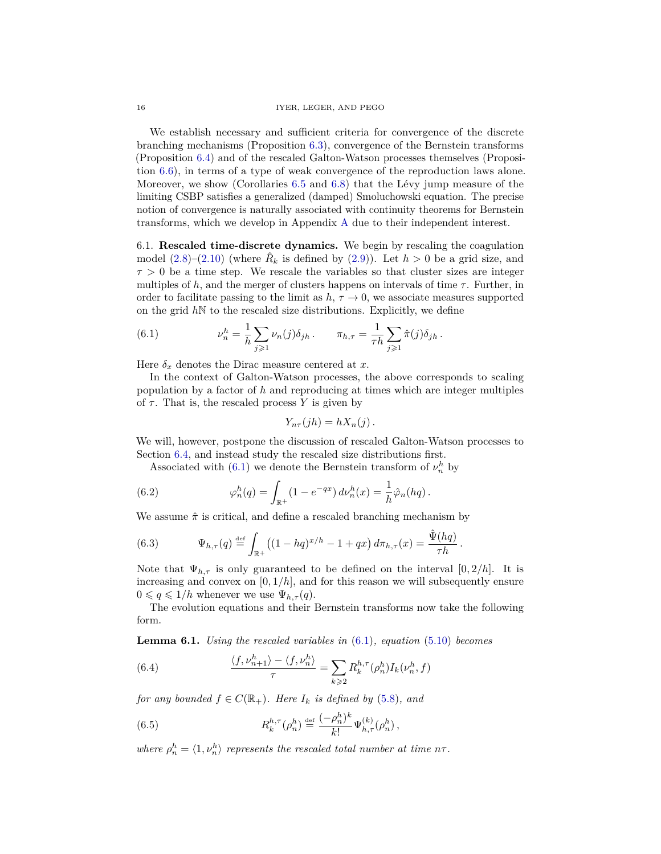We establish necessary and sufficient criteria for convergence of the discrete branching mechanisms (Proposition [6.3\)](#page-16-1), convergence of the Bernstein transforms (Proposition [6.4\)](#page-19-1) and of the rescaled Galton-Watson processes themselves (Proposition [6.6\)](#page-22-1), in terms of a type of weak convergence of the reproduction laws alone. Moreover, we show (Corollaries [6.5](#page-20-0) and [6.8\)](#page-24-3) that the Lévy jump measure of the limiting CSBP satisfies a generalized (damped) Smoluchowski equation. The precise notion of convergence is naturally associated with continuity theorems for Bernstein transforms, which we develop in Appendix [A](#page-37-0) due to their independent interest.

<span id="page-15-0"></span>6.1. **Rescaled time-discrete dynamics.** We begin by rescaling the coagulation model  $(2.8)$ – $(2.10)$  (where  $\hat{R}_k$  is defined by  $(2.9)$ ). Let  $h > 0$  be a grid size, and  $\tau > 0$  be a time step. We rescale the variables so that cluster sizes are integer multiples of *h*, and the merger of clusters happens on intervals of time  $\tau$ . Further, in order to facilitate passing to the limit as  $h, \tau \to 0$ , we associate measures supported on the grid  $h\mathbb{N}$  to the rescaled size distributions. Explicitly, we define

<span id="page-15-1"></span>(6.1) 
$$
\nu_n^h = \frac{1}{h} \sum_{j \geq 1} \nu_n(j) \delta_{jh} \, . \qquad \pi_{h,\tau} = \frac{1}{\tau h} \sum_{j \geq 1} \hat{\pi}(j) \delta_{jh} \, .
$$

Here  $\delta_x$  denotes the Dirac measure centered at *x*.

In the context of Galton-Watson processes, the above corresponds to scaling population by a factor of *h* and reproducing at times which are integer multiples of  $\tau$ . That is, the rescaled process Y is given by

$$
Y_{n\tau}(jh) = hX_n(j).
$$

We will, however, postpone the discussion of rescaled Galton-Watson processes to Section [6.4,](#page-22-0) and instead study the rescaled size distributions first.

Associated with [\(6.1\)](#page-15-1) we denote the Bernstein transform of  $\nu_n^h$  by

(6.2) 
$$
\varphi_n^h(q) = \int_{\mathbb{R}^+} (1 - e^{-qx}) \, d\nu_n^h(x) = \frac{1}{h} \hat{\varphi}_n(hq) \, .
$$

We assume  $\hat{\pi}$  is critical, and define a rescaled branching mechanism by

<span id="page-15-2"></span>(6.3) 
$$
\Psi_{h,\tau}(q) \stackrel{\text{def}}{=} \int_{\mathbb{R}^+} \left( (1-hq)^{x/h} - 1 + qx \right) d\pi_{h,\tau}(x) = \frac{\hat{\Psi}(hq)}{\tau h}.
$$

Note that  $\Psi_{h,\tau}$  is only guaranteed to be defined on the interval  $[0,2/h]$ . It is increasing and convex on  $[0, 1/h]$ , and for this reason we will subsequently ensure  $0 \leqslant q \leqslant 1/h$  whenever we use  $\Psi_{h,\tau}(q)$ .

The evolution equations and their Bernstein transforms now take the following form.

**Lemma 6.1.** *Using the rescaled variables in* [\(6.1\)](#page-15-1)*, equation* [\(5.10\)](#page-14-1) *becomes*

(6.4) 
$$
\frac{\langle f, \nu_{n+1}^h \rangle - \langle f, \nu_n^h \rangle}{\tau} = \sum_{k \geqslant 2} R_k^{h,\tau} (\rho_n^h) I_k(\nu_n^h, f)
$$

*for any bounded*  $f \in C(\mathbb{R}_+)$ *. Here*  $I_k$  *is defined by* [\(5.8\)](#page-13-3)*, and* 

(6.5) 
$$
R_k^{h,\tau}(\rho_n^h) \stackrel{\text{def}}{=} \frac{(-\rho_n^h)^k}{k!} \Psi_{h,\tau}^{(k)}(\rho_n^h) ,
$$

*where*  $\rho_n^h = \langle 1, v_n^h \rangle$  *represents the rescaled total number at time*  $n\tau$ *.*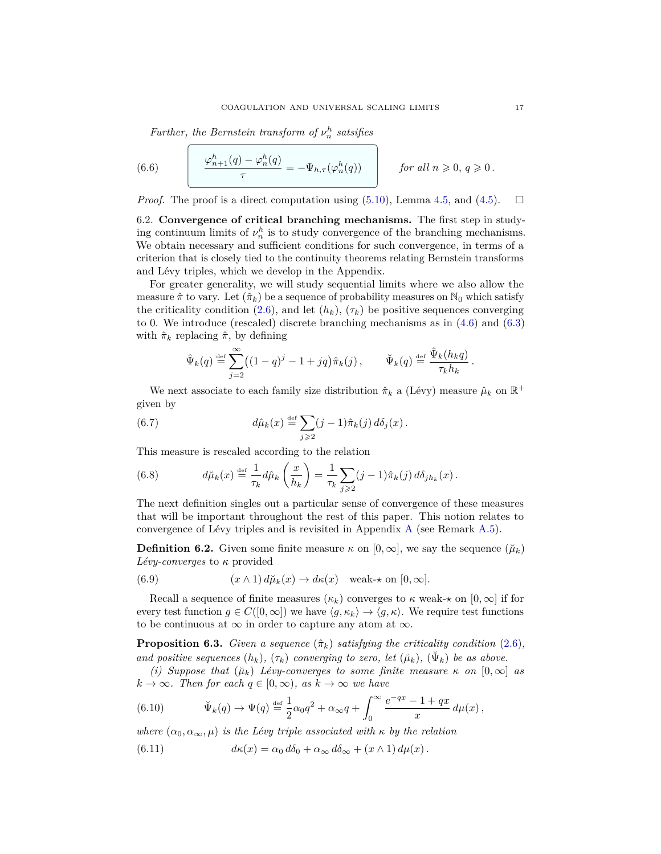<span id="page-16-5"></span>*Further, the Bernstein transform of*  $\nu_n^h$  *satsifies* 

(6.6) 
$$
\frac{\varphi_{n+1}^h(q) - \varphi_n^h(q)}{\tau} = -\Psi_{h,\tau}(\varphi_n^h(q)) \quad \text{for all } n \geqslant 0, q \geqslant 0.
$$

*Proof.* The proof is a direct computation using  $(5.10)$ , Lemma [4.5,](#page-11-6) and  $(4.5)$ .  $\Box$ 

<span id="page-16-0"></span>6.2. **Convergence of critical branching mechanisms.** The first step in studying continuum limits of  $\nu_n^h$  is to study convergence of the branching mechanisms. We obtain necessary and sufficient conditions for such convergence, in terms of a criterion that is closely tied to the continuity theorems relating Bernstein transforms and Lévy triples, which we develop in the Appendix.

For greater generality, we will study sequential limits where we also allow the measure  $\hat{\pi}$  to vary. Let  $(\hat{\pi}_k)$  be a sequence of probability measures on N<sub>0</sub> which satisfy the criticality condition [\(2.6\)](#page-7-4), and let  $(h_k)$ ,  $(\tau_k)$  be positive sequences converging to 0. We introduce (rescaled) discrete branching mechanisms as in [\(4.6\)](#page-10-5) and [\(6.3\)](#page-15-2) with  $\hat{\pi}_k$  replacing  $\hat{\pi}$ , by defining

$$
\hat{\Psi}_k(q) \stackrel{\text{def}}{=} \sum_{j=2}^{\infty} \left( (1-q)^j - 1 + jq \right) \hat{\pi}_k(j), \qquad \check{\Psi}_k(q) \stackrel{\text{def}}{=} \frac{\hat{\Psi}_k(h_k q)}{\tau_k h_k}
$$

We next associate to each family size distribution  $\hat{\pi}_k$  a (Lévy) measure  $\hat{\mu}_k$  on  $\mathbb{R}^+$ given by

(6.7) 
$$
d\hat{\mu}_k(x) \stackrel{\text{def}}{=} \sum_{j\geqslant 2} (j-1)\hat{\pi}_k(j) d\delta_j(x).
$$

This measure is rescaled according to the relation

<span id="page-16-7"></span>(6.8) 
$$
d\breve{\mu}_k(x) \stackrel{\text{def}}{=} \frac{1}{\tau_k} d\hat{\mu}_k\left(\frac{x}{h_k}\right) = \frac{1}{\tau_k} \sum_{j\geqslant 2} (j-1)\hat{\pi}_k(j) d\delta_{jh_k}(x).
$$

The next definition singles out a particular sense of convergence of these measures that will be important throughout the rest of this paper. This notion relates to convergence of Lévy triples and is revisited in Appendix [A](#page-37-0) (see Remark [A.5\)](#page-38-1).

<span id="page-16-6"></span>**Definition 6.2.** Given some finite measure  $\kappa$  on  $[0, \infty]$ , we say the sequence  $(\check{\mu}_k)$ *Lévy-converges* to *κ* provided

<span id="page-16-4"></span>(6.9) 
$$
(x \wedge 1) d\mu_k(x) \to d\kappa(x) \text{ weak-} \star \text{ on } [0, \infty].
$$

Recall a sequence of finite measures  $(\kappa_k)$  converges to  $\kappa$  weak- $\star$  on  $[0,\infty]$  if for every test function  $g \in C([0,\infty])$  we have  $\langle g, \kappa_k \rangle \to \langle g, \kappa \rangle$ . We require test functions to be continuous at  $\infty$  in order to capture any atom at  $\infty$ .

<span id="page-16-1"></span>**Proposition 6.3.** *Given a sequence*  $(\hat{\pi}_k)$  *satisfying the criticality condition* [\(2.6\)](#page-7-4)*, and positive sequences*  $(h_k)$ ,  $(\tau_k)$  *converging to zero, let*  $(\check{\mu}_k)$ ,  $(\check{\Psi}_k)$  *be as above.* 

*(i) Suppose that*  $(\mu_k)$  *Lévy-converges to some finite measure*  $\kappa$  *on*  $[0,\infty]$  *as*  $k \to \infty$ *. Then for each*  $q \in [0, \infty)$ *, as*  $k \to \infty$  *we have* 

<span id="page-16-2"></span>(6.10) 
$$
\Psi_k(q) \to \Psi(q) \stackrel{\text{def}}{=} \frac{1}{2} \alpha_0 q^2 + \alpha_\infty q + \int_0^\infty \frac{e^{-qx} - 1 + qx}{x} d\mu(x) ,
$$

*where*  $(\alpha_0, \alpha_\infty, \mu)$  *is the Lévy triple associated with*  $\kappa$  *by the relation* 

<span id="page-16-3"></span>(6.11) 
$$
d\kappa(x) = \alpha_0 d\delta_0 + \alpha_\infty d\delta_\infty + (x \wedge 1) d\mu(x).
$$

*.*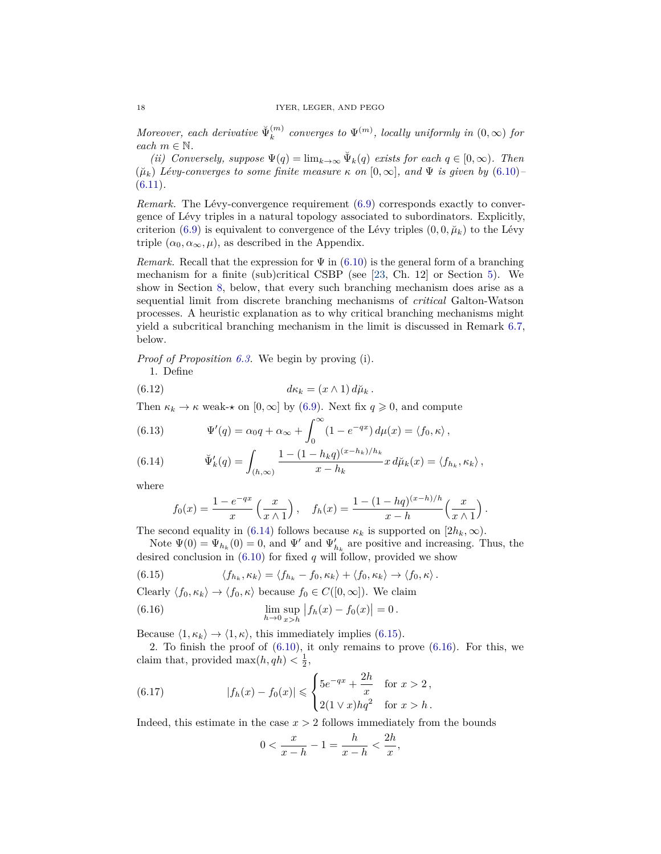*Moreover, each derivative*  $\breve{\Psi}_k^{(m)}$  $\mathcal{L}_{k}^{(m)}$  converges to  $\Psi^{(m)}$ , locally uniformly in  $(0,\infty)$  for *each*  $m \in \mathbb{N}$ *.* 

*(ii) Conversely, suppose*  $\Psi(q) = \lim_{k \to \infty} \Psi_k(q)$  *exists for each*  $q \in [0, \infty)$ *. Then*  $(\mu_k)$  *Lévy-converges to some finite measure*  $\kappa$  *on*  $[0, \infty]$ *, and*  $\Psi$  *is given by* [\(6.10\)](#page-16-2) [\(6.11\)](#page-16-3)*.*

*Remark.* The Lévy-convergence requirement [\(6.9\)](#page-16-4) corresponds exactly to convergence of Lévy triples in a natural topology associated to subordinators. Explicitly, criterion [\(6.9\)](#page-16-4) is equivalent to convergence of the Lévy triples  $(0, 0, \mu_k)$  to the Lévy triple  $(\alpha_0, \alpha_\infty, \mu)$ , as described in the Appendix.

*Remark.* Recall that the expression for  $\Psi$  in [\(6.10\)](#page-16-2) is the general form of a branching mechanism for a finite (sub)critical CSBP (see [\[23,](#page-42-20) Ch. 12] or Section [5\)](#page-11-1). We show in Section [8,](#page-29-1) below, that every such branching mechanism does arise as a sequential limit from discrete branching mechanisms of *critical* Galton-Watson processes. A heuristic explanation as to why critical branching mechanisms might yield a subcritical branching mechanism in the limit is discussed in Remark [6.7,](#page-23-0) below.

*Proof of Proposition [6.3.](#page-16-1)* We begin by proving (i).

<span id="page-17-5"></span>1. Define

(6.12) 
$$
d\kappa_k = (x \wedge 1) d\breve{\mu}_k.
$$

Then  $\kappa_k \to \kappa$  weak- $\star$  on [0,  $\infty$ ] by [\(6.9\)](#page-16-4). Next fix  $q \geq 0$ , and compute

<span id="page-17-4"></span>(6.13) 
$$
\Psi'(q) = \alpha_0 q + \alpha_\infty + \int_0^\infty (1 - e^{-qx}) d\mu(x) = \langle f_0, \kappa \rangle,
$$

<span id="page-17-0"></span>(6.14) 
$$
\check{\Psi}'_k(q) = \int_{(h,\infty)} \frac{1 - (1 - h_k q)^{(x - h_k)/h_k}}{x - h_k} x \, d\check{\mu}_k(x) = \langle f_{h_k}, \kappa_k \rangle,
$$

where

$$
f_0(x) = \frac{1 - e^{-qx}}{x} \left( \frac{x}{x \wedge 1} \right), \quad f_h(x) = \frac{1 - (1 - hq)^{(x-h)/h}}{x - h} \left( \frac{x}{x \wedge 1} \right).
$$

The second equality in [\(6.14\)](#page-17-0) follows because  $\kappa_k$  is supported on  $[2h_k, \infty)$ .

Note  $\Psi(0) = \Psi_{h_k}(0) = 0$ , and  $\Psi'$  and  $\Psi'_{h_k}$  are positive and increasing. Thus, the desired conclusion in  $(6.10)$  for fixed  $q$  will follow, provided we show

<span id="page-17-1"></span>(6.15) 
$$
\langle f_{h_k}, \kappa_k \rangle = \langle f_{h_k} - f_0, \kappa_k \rangle + \langle f_0, \kappa_k \rangle \to \langle f_0, \kappa \rangle.
$$

Clearly  $\langle f_0, \kappa_k \rangle \rightarrow \langle f_0, \kappa \rangle$  because  $f_0 \in C([0,\infty])$ . We claim

<span id="page-17-2"></span>(6.16) 
$$
\lim_{h \to 0} \sup_{x > h} |f_h(x) - f_0(x)| = 0.
$$

Because  $\langle 1, \kappa_k \rangle \rightarrow \langle 1, \kappa \rangle$ , this immediately implies [\(6.15\)](#page-17-1).

2. To finish the proof of  $(6.10)$ , it only remains to prove  $(6.16)$ . For this, we claim that, provided  $\max(h, qh) < \frac{1}{2}$ ,

(6.17) 
$$
|f_h(x) - f_0(x)| \leq \begin{cases} 5e^{-qx} + \frac{2h}{x} & \text{for } x > 2, \\ 2(1 \vee x)hq^2 & \text{for } x > h. \end{cases}
$$

Indeed, this estimate in the case *x >* 2 follows immediately from the bounds

<span id="page-17-3"></span>
$$
0 < \frac{x}{x-h} - 1 = \frac{h}{x-h} < \frac{2h}{x},
$$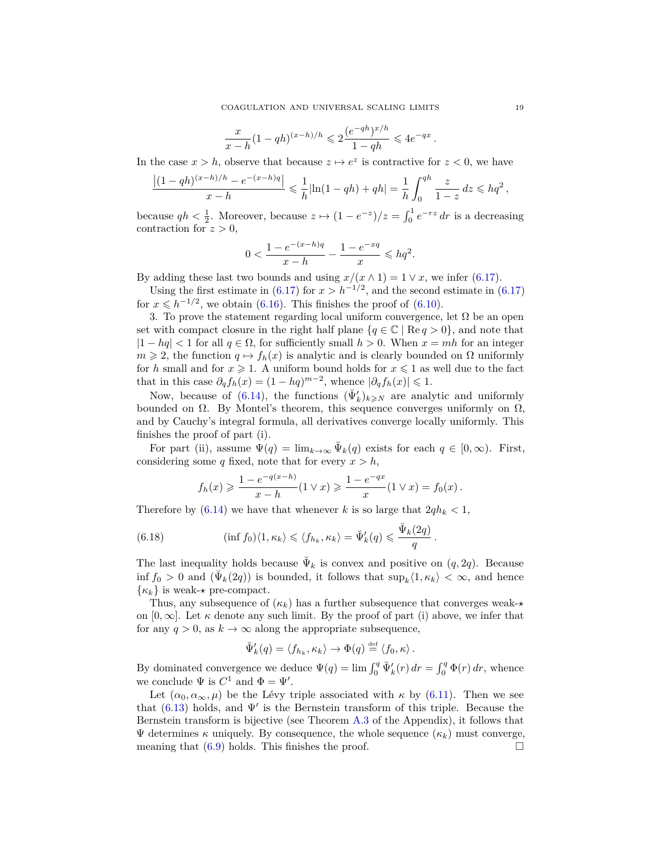$$
\frac{x}{x-h}(1-qh)^{(x-h)/h} \leq 2\frac{(e^{-qh})^{x/h}}{1-qh} \leq 4e^{-qx}.
$$

In the case  $x > h$ , observe that because  $z \mapsto e^z$  is contractive for  $z < 0$ , we have

$$
\frac{|(1-qh)^{(x-h)/h} - e^{-(x-h)q}|}{x-h} \leq \frac{1}{h} |\ln(1-qh) + qh| = \frac{1}{h} \int_0^{qh} \frac{z}{1-z} dz \leq hq^2,
$$

because  $qh < \frac{1}{2}$ . Moreover, because  $z \mapsto (1 - e^{-z})/z = \int_0^1 e^{-rz} dr$  is a decreasing contraction for  $z > 0$ ,

$$
0 < \frac{1 - e^{-(x - h)q}}{x - h} - \frac{1 - e^{-xq}}{x} \leq hq^2.
$$

By adding these last two bounds and using  $x/(x \wedge 1) = 1 \vee x$ , we infer [\(6.17\)](#page-17-3).

Using the first estimate in [\(6.17\)](#page-17-3) for  $x > h^{-1/2}$ , and the second estimate in (6.17) for  $x \leq h^{-1/2}$ , we obtain [\(6.16\)](#page-17-2). This finishes the proof of [\(6.10\)](#page-16-2).

3. To prove the statement regarding local uniform convergence, let  $\Omega$  be an open set with compact closure in the right half plane  ${q \in \mathbb{C} \mid \text{Re } q > 0}$ , and note that  $|1 - hq| < 1$  for all  $q \in \Omega$ , for sufficiently small  $h > 0$ . When  $x = mh$  for an integer  $m \geq 2$ , the function  $q \mapsto f_h(x)$  is analytic and is clearly bounded on  $\Omega$  uniformly for *h* small and for  $x \ge 1$ . A uniform bound holds for  $x \le 1$  as well due to the fact that in this case  $\partial_q f_h(x) = (1 - hq)^{m-2}$ , whence  $|\partial_q f_h(x)| \leq 1$ .

Now, because of [\(6.14\)](#page-17-0), the functions  $(\Psi'_k)_{k\geqslant N}$  are analytic and uniformly bounded on  $\Omega$ . By Montel's theorem, this sequence converges uniformly on  $\Omega$ , and by Cauchy's integral formula, all derivatives converge locally uniformly. This finishes the proof of part (i).

For part (ii), assume  $\Psi(q) = \lim_{k \to \infty} \Psi_k(q)$  exists for each  $q \in [0, \infty)$ . First, considering some *q* fixed, note that for every  $x > h$ ,

<span id="page-18-0"></span>
$$
f_h(x) \ge \frac{1 - e^{-q(x-h)}}{x-h}(1 \vee x) \ge \frac{1 - e^{-qx}}{x}(1 \vee x) = f_0(x).
$$

Therefore by  $(6.14)$  we have that whenever *k* is so large that  $2qh_k < 1$ ,

(6.18) 
$$
(\inf f_0)\langle 1, \kappa_k \rangle \leq \langle f_{h_k}, \kappa_k \rangle = \check{\Psi}'_k(q) \leq \frac{\check{\Psi}_k(2q)}{q}.
$$

The last inequality holds because  $\Psi_k$  is convex and positive on  $(q, 2q)$ . Because  $\inf f_0 > 0$  and  $(\Psi_k(2q))$  is bounded, it follows that  $\sup_k \langle 1, \kappa_k \rangle < \infty$ , and hence  $\{\kappa_k\}$  is weak- $\star$  pre-compact.

Thus, any subsequence of  $(\kappa_k)$  has a further subsequence that converges weak- $\star$ on  $[0, \infty]$ . Let  $\kappa$  denote any such limit. By the proof of part (i) above, we infer that for any  $q > 0$ , as  $k \to \infty$  along the appropriate subsequence,

$$
\breve{\Psi}'_k(q) = \langle f_{h_k}, \kappa_k \rangle \to \Phi(q) \stackrel{\text{def}}{=} \langle f_0, \kappa \rangle.
$$

By dominated convergence we deduce  $\Psi(q) = \lim_{n \to \infty} \int_0^q \Psi'_k(r) dr = \int_0^q \Phi(r) dr$ , whence we conclude  $\Psi$  is  $C^1$  and  $\Phi = \Psi'$ .

Let  $(\alpha_0, \alpha_\infty, \mu)$  be the Lévy triple associated with  $\kappa$  by [\(6.11\)](#page-16-3). Then we see that [\(6.13\)](#page-17-4) holds, and  $\Psi'$  is the Bernstein transform of this triple. Because the Bernstein transform is bijective (see Theorem [A.3](#page-38-2) of the Appendix), it follows that Ψ determines *κ* uniquely. By consequence, the whole sequence (*κk*) must converge, meaning that  $(6.9)$  holds. This finishes the proof.  $\square$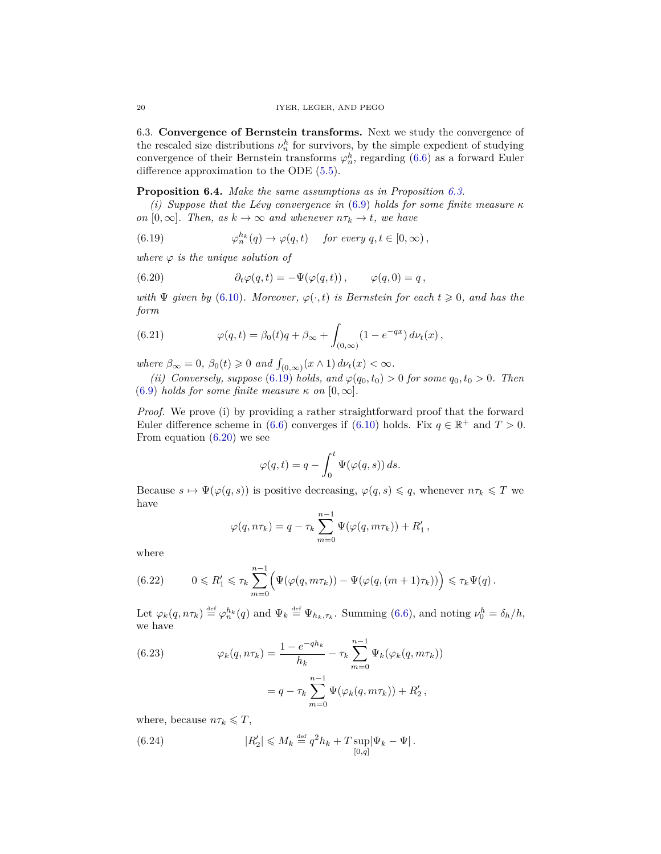<span id="page-19-0"></span>6.3. **Convergence of Bernstein transforms.** Next we study the convergence of the rescaled size distributions  $\nu_n^h$  for survivors, by the simple expedient of studying convergence of their Bernstein transforms  $\varphi_n^h$ , regarding [\(6.6\)](#page-16-5) as a forward Euler difference approximation to the ODE [\(5.5\)](#page-13-0).

# <span id="page-19-1"></span>**Proposition 6.4.** *Make the same assumptions as in Proposition [6.3.](#page-16-1)*

*(i) Suppose that the Lévy convergence in* [\(6.9\)](#page-16-4) *holds for some finite measure κ on*  $[0, \infty]$ *. Then, as*  $k \to \infty$  *and whenever*  $n\tau_k \to t$ *, we have* 

<span id="page-19-2"></span>(6.19) 
$$
\varphi_n^{h_k}(q) \to \varphi(q,t) \quad \text{for every } q, t \in [0,\infty),
$$

*where*  $\varphi$  *is the unique solution of* 

<span id="page-19-3"></span>(6.20) 
$$
\partial_t \varphi(q,t) = -\Psi(\varphi(q,t)), \qquad \varphi(q,0) = q,
$$

*with*  $\Psi$  *given by* [\(6.10\)](#page-16-2)*. Moreover,*  $\varphi(\cdot, t)$  *is Bernstein for each*  $t \geq 0$ *, and has the form*

<span id="page-19-4"></span>(6.21) 
$$
\varphi(q,t) = \beta_0(t)q + \beta_\infty + \int_{(0,\infty)} (1 - e^{-qx}) d\nu_t(x),
$$

*where*  $\beta_{\infty} = 0$ ,  $\beta_0(t) \geq 0$  *and*  $\int_{(0,\infty)} (x \wedge 1) d\nu_t(x) < \infty$ .

*(ii) Conversely, suppose* [\(6.19\)](#page-19-2) *holds, and*  $\varphi(q_0, t_0) > 0$  *for some*  $q_0, t_0 > 0$ *. Then*  $(6.9)$  *holds for some finite measure*  $\kappa$  *on*  $[0, \infty]$ *.* 

*Proof.* We prove (i) by providing a rather straightforward proof that the forward Euler difference scheme in [\(6.6\)](#page-16-5) converges if [\(6.10\)](#page-16-2) holds. Fix  $q \in \mathbb{R}^+$  and  $T > 0$ . From equation [\(6.20\)](#page-19-3) we see

$$
\varphi(q,t) = q - \int_0^t \Psi(\varphi(q,s)) ds.
$$

Because  $s \mapsto \Psi(\varphi(q, s))$  is positive decreasing,  $\varphi(q, s) \leq q$ , whenever  $n\tau_k \leq T$  we have

$$
\varphi(q, n\tau_k) = q - \tau_k \sum_{m=0}^{n-1} \Psi(\varphi(q, m\tau_k)) + R'_1,
$$

where

(6.22) 
$$
0 \leq R'_1 \leq \tau_k \sum_{m=0}^{n-1} \Big( \Psi(\varphi(q, m\tau_k)) - \Psi(\varphi(q, (m+1)\tau_k)) \Big) \leq \tau_k \Psi(q).
$$

Let  $\varphi_k(q, n\tau_k) \stackrel{\text{def}}{=} \varphi_n^{h_k}(q)$  and  $\Psi_k \stackrel{\text{def}}{=} \Psi_{h_k, \tau_k}$ . Summing [\(6.6\)](#page-16-5), and noting  $\nu_0^h = \delta_h/h$ , we have

<span id="page-19-5"></span>(6.23) 
$$
\varphi_k(q, n\tau_k) = \frac{1 - e^{-q h_k}}{h_k} - \tau_k \sum_{m=0}^{n-1} \Psi_k(\varphi_k(q, m\tau_k))
$$

$$
= q - \tau_k \sum_{m=0}^{n-1} \Psi(\varphi_k(q, m\tau_k)) + R'_2,
$$

where, because  $n\tau_k \leq T$ ,

(6.24) 
$$
|R_2'| \leq M_k \stackrel{\text{def}}{=} q^2 h_k + T \sup_{[0,q]} |\Psi_k - \Psi|.
$$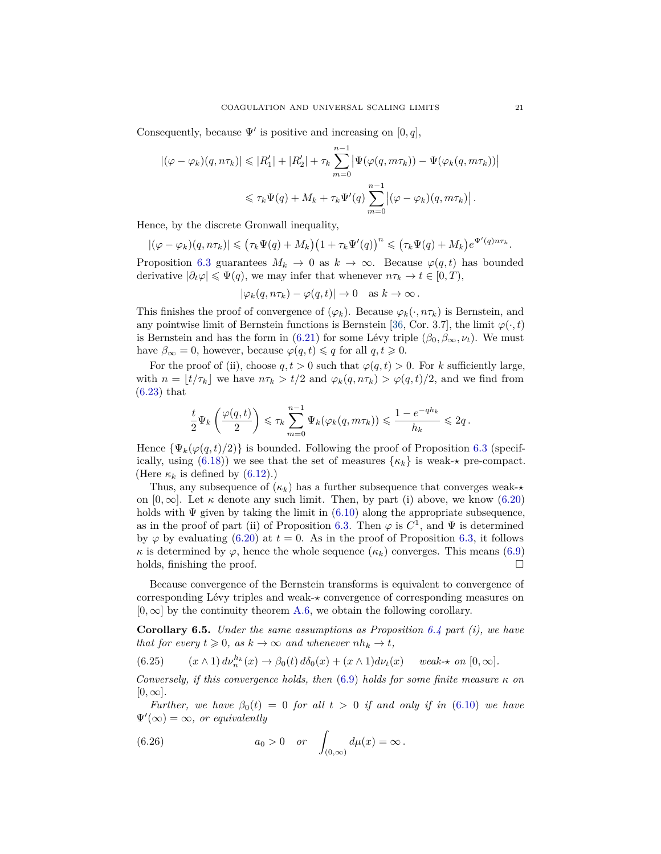Consequently, because  $\Psi'$  is positive and increasing on [0, q],

$$
\begin{aligned} \left| (\varphi - \varphi_k)(q, n\tau_k) \right| &\leq |R_1'| + |R_2'| + \tau_k \sum_{m=0}^{n-1} \left| \Psi(\varphi(q, m\tau_k)) - \Psi(\varphi_k(q, m\tau_k)) \right| \\ &\leq \tau_k \Psi(q) + M_k + \tau_k \Psi'(q) \sum_{m=0}^{n-1} \left| (\varphi - \varphi_k)(q, m\tau_k) \right|. \end{aligned}
$$

Hence, by the discrete Gronwall inequality,

$$
|(\varphi - \varphi_k)(q, n\tau_k)| \leq (\tau_k \Psi(q) + M_k) \left(1 + \tau_k \Psi'(q)\right)^n \leq (\tau_k \Psi(q) + M_k) e^{\Psi'(q)n\tau_k}.
$$

Proposition [6.3](#page-16-1) guarantees  $M_k \to 0$  as  $k \to \infty$ . Because  $\varphi(q, t)$  has bounded derivative  $|\partial_t \varphi| \leq \Psi(q)$ , we may infer that whenever  $n\tau_k \to t \in [0, T)$ ,

$$
|\varphi_k(q, n\tau_k) - \varphi(q, t)| \to 0 \text{ as } k \to \infty.
$$

This finishes the proof of convergence of  $(\varphi_k)$ . Because  $\varphi_k(\cdot, n\tau_k)$  is Bernstein, and any pointwise limit of Bernstein functions is Bernstein [\[36,](#page-42-16) Cor. 3.7], the limit  $\varphi(\cdot,t)$ is Bernstein and has the form in [\(6.21\)](#page-19-4) for some Lévy triple  $(\beta_0, \beta_\infty, \nu_t)$ . We must have  $\beta_{\infty} = 0$ , however, because  $\varphi(q, t) \leq q$  for all  $q, t \geq 0$ .

For the proof of (ii), choose  $q, t > 0$  such that  $\varphi(q, t) > 0$ . For *k* sufficiently large, with  $n = \lfloor t/\tau_k \rfloor$  we have  $n\tau_k > t/2$  and  $\varphi_k(q, n\tau_k) > \varphi(q, t)/2$ , and we find from [\(6.23\)](#page-19-5) that

$$
\frac{t}{2}\Psi_k\left(\frac{\varphi(q,t)}{2}\right) \leqslant \tau_k\sum_{m=0}^{n-1}\Psi_k(\varphi_k(q,m\tau_k)) \leqslant \frac{1-e^{-qh_k}}{h_k} \leqslant 2q\,.
$$

Hence  $\{\Psi_k(\varphi(q,t)/2)\}\$ is bounded. Following the proof of Proposition [6.3](#page-16-1) (specif-ically, using [\(6.18\)](#page-18-0)) we see that the set of measures  $\{\kappa_k\}$  is weak- $\star$  pre-compact. (Here  $\kappa_k$  is defined by  $(6.12)$ .)

Thus, any subsequence of  $(\kappa_k)$  has a further subsequence that converges weak- $\star$ on  $[0, \infty]$ . Let  $\kappa$  denote any such limit. Then, by part (i) above, we know [\(6.20\)](#page-19-3) holds with  $\Psi$  given by taking the limit in [\(6.10\)](#page-16-2) along the appropriate subsequence, as in the proof of part (ii) of Proposition [6.3.](#page-16-1) Then  $\varphi$  is  $C^1$ , and  $\Psi$  is determined by  $\varphi$  by evaluating [\(6.20\)](#page-19-3) at  $t = 0$ . As in the proof of Proposition [6.3,](#page-16-1) it follows *κ* is determined by  $\varphi$ , hence the whole sequence  $(\kappa_k)$  converges. This means [\(6.9\)](#page-16-4) holds, finishing the proof.

Because convergence of the Bernstein transforms is equivalent to convergence of corresponding Lévy triples and weak- $\star$  convergence of corresponding measures on  $[0, \infty]$  by the continuity theorem [A.6,](#page-38-0) we obtain the following corollary.

<span id="page-20-0"></span>**Corollary 6.5.** *Under the same assumptions as Proposition [6.4](#page-19-1) part (i), we have that for every*  $t \geq 0$ *, as*  $k \to \infty$  *and whenever*  $nh_k \to t$ *,* 

<span id="page-20-1"></span>(6.25) 
$$
(x \wedge 1) d\nu_n^{h_k}(x) \to \beta_0(t) d\delta_0(x) + (x \wedge 1) d\nu_t(x) \quad weak \star \text{ on } [0, \infty].
$$

*Conversely, if this convergence holds, then* [\(6.9\)](#page-16-4) *holds for some finite measure κ on*  $[0, \infty]$ .

*Further, we have*  $\beta_0(t) = 0$  *for all*  $t > 0$  *if and only if in* [\(6.10\)](#page-16-2) *we have*  $\Psi'(\infty) = \infty$ , or equivalently

<span id="page-20-2"></span>(6.26) 
$$
a_0 > 0
$$
 or  $\int_{(0,\infty)} d\mu(x) = \infty$ .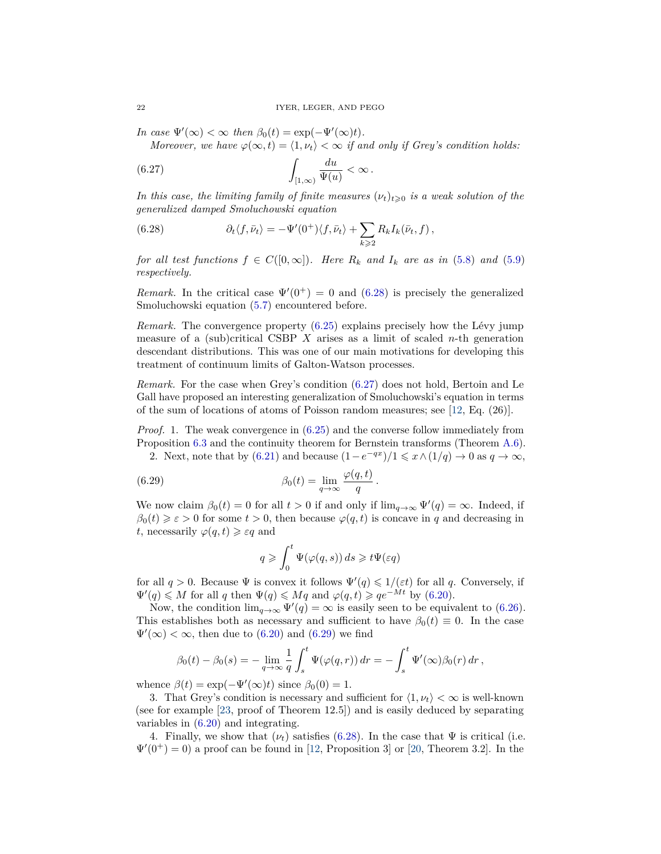*In case*  $\Psi'(\infty) < \infty$  *then*  $\beta_0(t) = \exp(-\Psi'(\infty)t)$ *.* 

<span id="page-21-1"></span>*Moreover, we have*  $\varphi(\infty, t) = \langle 1, v_t \rangle < \infty$  *if and only if Grey's condition holds:* 

(6.27) 
$$
\int_{[1,\infty)} \frac{du}{\Psi(u)} < \infty.
$$

*In this case, the limiting family of finite measures*  $(\nu_t)_{t\geq0}$  *is a weak solution of the generalized damped Smoluchowski equation*

<span id="page-21-0"></span>(6.28) 
$$
\partial_t \langle f, \bar{\nu}_t \rangle = -\Psi'(0^+) \langle f, \bar{\nu}_t \rangle + \sum_{k \geqslant 2} R_k I_k(\bar{\nu}_t, f) ,
$$

*for all test functions*  $f \in C([0,\infty])$ *. Here*  $R_k$  *and*  $I_k$  *are as in* [\(5.8\)](#page-13-3) *and* [\(5.9\)](#page-13-2) *respectively.*

*Remark.* In the critical case  $\Psi'(0^+) = 0$  and [\(6.28\)](#page-21-0) is precisely the generalized Smoluchowski equation [\(5.7\)](#page-13-1) encountered before.

*Remark.* The convergence property [\(6.25\)](#page-20-1) explains precisely how the Lévy jump measure of a (sub)critical CSBP  $X$  arises as a limit of scaled  $n$ -th generation descendant distributions. This was one of our main motivations for developing this treatment of continuum limits of Galton-Watson processes.

*Remark.* For the case when Grey's condition [\(6.27\)](#page-21-1) does not hold, Bertoin and Le Gall have proposed an interesting generalization of Smoluchowski's equation in terms of the sum of locations of atoms of Poisson random measures; see [\[12,](#page-41-10) Eq. (26)].

*Proof.* 1. The weak convergence in [\(6.25\)](#page-20-1) and the converse follow immediately from Proposition [6.3](#page-16-1) and the continuity theorem for Bernstein transforms (Theorem [A.6\)](#page-38-0). 2. Next, note that by [\(6.21\)](#page-19-4) and because  $(1-e^{-qx})/1 \leq x \wedge (1/q) \to 0$  as  $q \to \infty$ ,

*.*

(6.29) 
$$
\beta_0(t) = \lim_{q \to \infty} \frac{\varphi(q, t)}{q}
$$

We now claim  $\beta_0(t) = 0$  for all  $t > 0$  if and only if  $\lim_{q \to \infty} \Psi'(q) = \infty$ . Indeed, if  $\beta_0(t) \geq \varepsilon > 0$  for some  $t > 0$ , then because  $\varphi(q, t)$  is concave in *q* and decreasing in *t*, necessarily  $\varphi(q, t) \geq \varepsilon q$  and

<span id="page-21-2"></span>
$$
q \geqslant \int_0^t \Psi(\varphi(q,s)) \, ds \geqslant t \Psi(\varepsilon q)
$$

for all  $q > 0$ . Because  $\Psi$  is convex it follows  $\Psi'(q) \leq 1/(\varepsilon t)$  for all q. Conversely, if  $\Psi'(q) \leq M$  for all q then  $\Psi(q) \leq Mq$  and  $\varphi(q, t) \geqslant qe^{-Mt}$  by [\(6.20\)](#page-19-3).

Now, the condition  $\lim_{q\to\infty} \Psi'(q) = \infty$  is easily seen to be equivalent to [\(6.26\)](#page-20-2). This establishes both as necessary and sufficient to have  $\beta_0(t) \equiv 0$ . In the case  $\Psi'(\infty) < \infty$ , then due to [\(6.20\)](#page-19-3) and [\(6.29\)](#page-21-2) we find

$$
\beta_0(t) - \beta_0(s) = -\lim_{q \to \infty} \frac{1}{q} \int_s^t \Psi(\varphi(q, r)) dr = -\int_s^t \Psi'(\infty) \beta_0(r) dr,
$$

whence  $\beta(t) = \exp(-\Psi'(\infty)t)$  since  $\beta_0(0) = 1$ .

3. That Grey's condition is necessary and sufficient for  $\langle 1, \nu_t \rangle < \infty$  is well-known (see for example [\[23,](#page-42-20) proof of Theorem 12.5]) and is easily deduced by separating variables in [\(6.20\)](#page-19-3) and integrating.

4. Finally, we show that  $(\nu_t)$  satisfies [\(6.28\)](#page-21-0). In the case that  $\Psi$  is critical (i.e.  $\Psi'(0^+) = 0$  a proof can be found in [\[12,](#page-41-10) Proposition 3] or [\[20,](#page-42-15) Theorem 3.2]. In the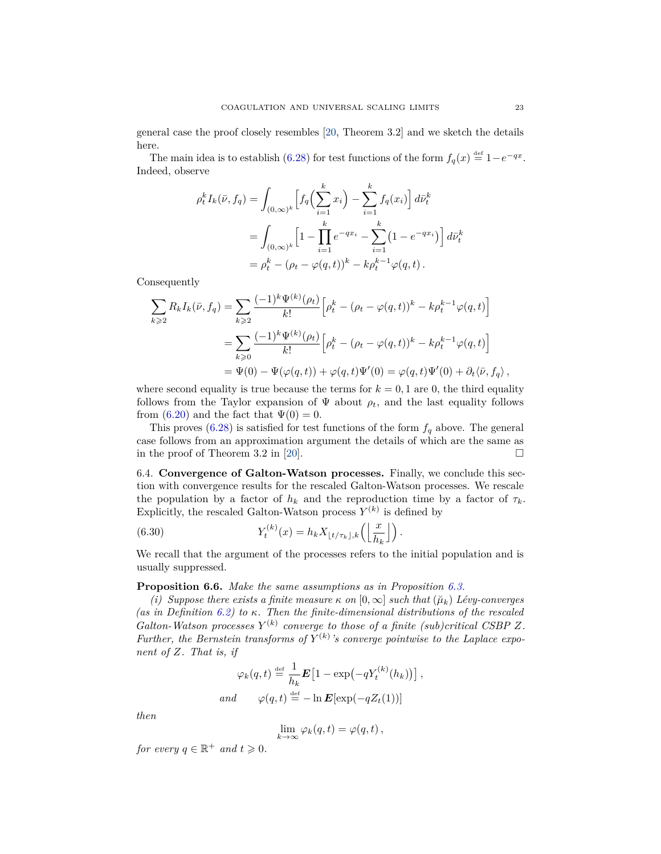general case the proof closely resembles [\[20,](#page-42-15) Theorem 3.2] and we sketch the details here.

The main idea is to establish [\(6.28\)](#page-21-0) for test functions of the form  $f_q(x) \stackrel{\text{def}}{=} 1 - e^{-qx}$ . Indeed, observe

$$
\rho_t^k I_k(\bar{\nu}, f_q) = \int_{(0,\infty)^k} \left[ f_q\left(\sum_{i=1}^k x_i\right) - \sum_{i=1}^k f_q(x_i) \right] d\bar{\nu}_t^k
$$
  
= 
$$
\int_{(0,\infty)^k} \left[ 1 - \prod_{i=1}^k e^{-qx_i} - \sum_{i=1}^k (1 - e^{-qx_i}) \right] d\bar{\nu}_t^k
$$
  
= 
$$
\rho_t^k - (\rho_t - \varphi(q,t))^k - k\rho_t^{k-1} \varphi(q,t).
$$

Consequently

$$
\sum_{k \geqslant 2} R_k I_k(\bar{\nu}, f_q) = \sum_{k \geqslant 2} \frac{(-1)^k \Psi^{(k)}(\rho_t)}{k!} \left[ \rho_t^k - (\rho_t - \varphi(q, t))^k - k \rho_t^{k-1} \varphi(q, t) \right]
$$
\n
$$
= \sum_{k \geqslant 0} \frac{(-1)^k \Psi^{(k)}(\rho_t)}{k!} \left[ \rho_t^k - (\rho_t - \varphi(q, t))^k - k \rho_t^{k-1} \varphi(q, t) \right]
$$
\n
$$
= \Psi(0) - \Psi(\varphi(q, t)) + \varphi(q, t) \Psi'(0) = \varphi(q, t) \Psi'(0) + \partial_t \langle \bar{\nu}, f_q \rangle,
$$

where second equality is true because the terms for  $k = 0, 1$  are 0, the third equality follows from the Taylor expansion of  $\Psi$  about  $\rho_t$ , and the last equality follows from [\(6.20\)](#page-19-3) and the fact that  $\Psi(0) = 0$ .

This proves  $(6.28)$  is satisfied for test functions of the form  $f_q$  above. The general case follows from an approximation argument the details of which are the same as in the proof of Theorem 3.2 in [\[20\]](#page-42-15).  $\Box$ 

<span id="page-22-0"></span>6.4. **Convergence of Galton-Watson processes.** Finally, we conclude this section with convergence results for the rescaled Galton-Watson processes. We rescale the population by a factor of  $h_k$  and the reproduction time by a factor of  $\tau_k$ . Explicitly, the rescaled Galton-Watson process  $Y^{(k)}$  is defined by

<span id="page-22-2"></span>(6.30) 
$$
Y_t^{(k)}(x) = h_k X_{\lfloor t/\tau_k \rfloor, k} \left( \left\lfloor \frac{x}{h_k} \right\rfloor \right).
$$

We recall that the argument of the processes refers to the initial population and is usually suppressed.

### <span id="page-22-1"></span>**Proposition 6.6.** *Make the same assumptions as in Proposition [6.3.](#page-16-1)*

*(i) Suppose there exists a finite measure*  $\kappa$  *on*  $[0, \infty]$  *such that*  $(\check{\mu}_k)$  *Lévy-converges (as in Definition [6.2\)](#page-16-6) to κ. Then the finite-dimensional distributions of the rescaled Galton-Watson processes*  $Y^{(k)}$  *converge to those of a finite (sub)critical CSBP Z. Further, the Bernstein transforms of*  $Y^{(k)}$ 's converge pointwise to the Laplace expo*nent of Z. That is, if*

$$
\varphi_k(q,t) \stackrel{\text{def}}{=} \frac{1}{h_k} \boldsymbol{E} \left[ 1 - \exp\left(-q Y_t^{(k)}(h_k)\right) \right],
$$
  
and 
$$
\varphi(q,t) \stackrel{\text{def}}{=} -\ln \boldsymbol{E} [\exp(-q Z_t(1))]
$$

*then*

$$
\lim_{k \to \infty} \varphi_k(q, t) = \varphi(q, t) \,,
$$

*for every*  $q \in \mathbb{R}^+$  *and*  $t \geq 0$ *.*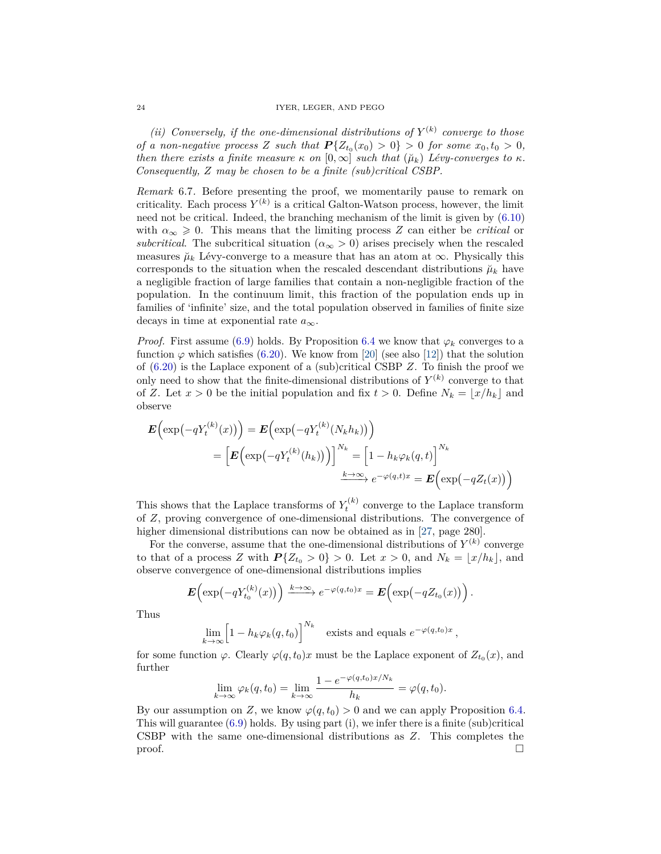#### 24 IYER, LEGER, AND PEGO

(*ii*) *Conversely, if the one-dimensional distributions of*  $Y^{(k)}$  *converge to those of a non-negative process Z such that*  $P\{Z_{t_0}(x_0) > 0\} > 0$  *for some*  $x_0, t_0 > 0$ *, then there exists a finite measure*  $\kappa$  *on*  $[0, \infty]$  *such that*  $(\check{\mu}_k)$  *Lévy-converges to*  $\kappa$ *. Consequently, Z may be chosen to be a finite (sub)critical CSBP.*

<span id="page-23-0"></span>*Remark* 6.7*.* Before presenting the proof, we momentarily pause to remark on criticality. Each process  $Y^{(k)}$  is a critical Galton-Watson process, however, the limit need not be critical. Indeed, the branching mechanism of the limit is given by [\(6.10\)](#page-16-2) with  $\alpha_{\infty} \geq 0$ . This means that the limiting process Z can either be *critical* or *subcritical*. The subcritical situation ( $\alpha_{\infty} > 0$ ) arises precisely when the rescaled measures  $\mu_k$  Lévy-converge to a measure that has an atom at  $\infty$ . Physically this corresponds to the situation when the rescaled descendant distributions  $\mu_k$  have a negligible fraction of large families that contain a non-negligible fraction of the population. In the continuum limit, this fraction of the population ends up in families of 'infinite' size, and the total population observed in families of finite size decays in time at exponential rate *a*∞.

*Proof.* First assume [\(6.9\)](#page-16-4) holds. By Proposition [6.4](#page-19-1) we know that  $\varphi_k$  converges to a function  $\varphi$  which satisfies [\(6.20\)](#page-19-3). We know from [\[20\]](#page-42-15) (see also [\[12\]](#page-41-10)) that the solution of [\(6.20\)](#page-19-3) is the Laplace exponent of a (sub)critical CSBP *Z*. To finish the proof we only need to show that the finite-dimensional distributions of  $Y^{(k)}$  converge to that of *Z*. Let  $x > 0$  be the initial population and fix  $t > 0$ . Define  $N_k = \lfloor x/h_k \rfloor$  and observe

$$
\mathbf{E}\Big(\exp\big(-qY_t^{(k)}(x)\big)\Big) = \mathbf{E}\Big(\exp\big(-qY_t^{(k)}(N_kh_k)\big)\Big)
$$
  
= 
$$
\Big[\mathbf{E}\Big(\exp\big(-qY_t^{(k)}(h_k)\big)\Big)\Big]^{N_k} = \Big[1 - h_k\varphi_k(q,t)\Big]^{N_k}
$$
  

$$
\xrightarrow{k \to \infty} e^{-\varphi(q,t)x} = \mathbf{E}\Big(\exp\big(-qZ_t(x)\big)\Big)
$$

This shows that the Laplace transforms of  $Y_t^{(k)}$  converge to the Laplace transform of *Z*, proving convergence of one-dimensional distributions. The convergence of higher dimensional distributions can now be obtained as in [\[27,](#page-42-21) page 280].

For the converse, assume that the one-dimensional distributions of  $Y^{(k)}$  converge to that of a process *Z* with  $P\{Z_{t_0} > 0\} > 0$ . Let  $x > 0$ , and  $N_k = \lfloor x/h_k \rfloor$ , and observe convergence of one-dimensional distributions implies

$$
\boldsymbol{E}\left(\exp\left(-qY_{t_0}^{(k)}(x)\right)\right) \xrightarrow{k \to \infty} e^{-\varphi(q,t_0)x} = \boldsymbol{E}\left(\exp\left(-qZ_{t_0}(x)\right)\right).
$$

Thus

$$
\lim_{k \to \infty} \left[ 1 - h_k \varphi_k(q, t_0) \right]^{N_k} \quad \text{exists and equals } e^{-\varphi(q, t_0)x},
$$

for some function  $\varphi$ . Clearly  $\varphi(q, t_0)x$  must be the Laplace exponent of  $Z_{t_0}(x)$ , and further

$$
\lim_{k \to \infty} \varphi_k(q, t_0) = \lim_{k \to \infty} \frac{1 - e^{-\varphi(q, t_0)x/N_k}}{h_k} = \varphi(q, t_0).
$$

By our assumption on *Z*, we know  $\varphi(q, t_0) > 0$  and we can apply Proposition [6.4.](#page-19-1) This will guarantee [\(6.9\)](#page-16-4) holds. By using part (i), we infer there is a finite (sub)critical CSBP with the same one-dimensional distributions as *Z*. This completes the  $\Box$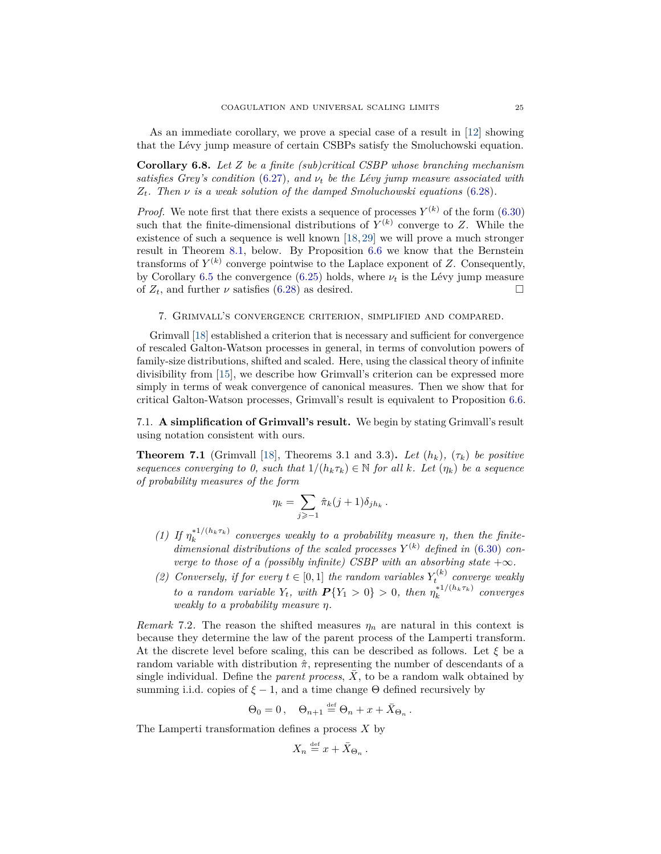As an immediate corollary, we prove a special case of a result in [\[12\]](#page-41-10) showing that the Lévy jump measure of certain CSBPs satisfy the Smoluchowski equation.

<span id="page-24-3"></span>**Corollary 6.8.** *Let Z be a finite (sub)critical CSBP whose branching mechanism satisfies Grey's condition* [\(6.27\)](#page-21-1)*, and ν<sup>t</sup> be the Lévy jump measure associated with*  $Z_t$ *. Then*  $\nu$  *is a weak solution of the damped Smoluchowski equations* [\(6.28\)](#page-21-0)*.* 

*Proof.* We note first that there exists a sequence of processes  $Y^{(k)}$  of the form [\(6.30\)](#page-22-2) such that the finite-dimensional distributions of  $Y^{(k)}$  converge to Z. While the existence of such a sequence is well known [\[18,](#page-42-10) [29\]](#page-42-22) we will prove a much stronger result in Theorem [8.1,](#page-29-2) below. By Proposition [6.6](#page-22-1) we know that the Bernstein transforms of  $Y^{(k)}$  converge pointwise to the Laplace exponent of  $Z$ . Consequently, by Corollary [6.5](#page-20-0) the convergence [\(6.25\)](#page-20-1) holds, where  $\nu_t$  is the Lévy jump measure of  $Z_t$ , and further  $\nu$  satisfies [\(6.28\)](#page-21-0) as desired.

<span id="page-24-0"></span>7. Grimvall's convergence criterion, simplified and compared.

Grimvall [\[18\]](#page-42-10) established a criterion that is necessary and sufficient for convergence of rescaled Galton-Watson processes in general, in terms of convolution powers of family-size distributions, shifted and scaled. Here, using the classical theory of infinite divisibility from [\[15\]](#page-42-11), we describe how Grimvall's criterion can be expressed more simply in terms of weak convergence of canonical measures. Then we show that for critical Galton-Watson processes, Grimvall's result is equivalent to Proposition [6.6.](#page-22-1)

<span id="page-24-1"></span>7.1. **A simplification of Grimvall's result.** We begin by stating Grimvall's result using notation consistent with ours.

<span id="page-24-4"></span>**Theorem 7.1** (Grimvall [\[18\]](#page-42-10), Theorems 3.1 and 3.3). Let  $(h_k)$ ,  $(\tau_k)$  be positive *sequences converging to 0, such that*  $1/(h_k \tau_k) \in \mathbb{N}$  *for all k. Let*  $(\eta_k)$  *be a sequence of probability measures of the form*

$$
\eta_k = \sum_{j \geqslant -1} \hat{\pi}_k(j+1) \delta_{jh_k} \, .
$$

- *(1) If*  $\eta_k^{*1/(h_k \tau_k)}$  converges weakly to a probability measure  $\eta$ , then the finitedimensional distributions of the scaled processes  $Y^{(k)}$  defined in [\(6.30\)](#page-22-2) con*verge to those of a (possibly infinite) CSBP with an absorbing state*  $+\infty$ *.*
- *(2) Conversely, if for every*  $t \in [0,1]$  *the random variables*  $Y_t^{(k)}$  *converge weakly to a random variable*  $Y_t$ *, with*  $P(Y_1 > 0) > 0$ *, then*  $\eta_k^{*1/(h_k \tau_k)}$  *converges weakly to a probability measure η.*

<span id="page-24-2"></span>*Remark* 7.2. The reason the shifted measures  $\eta_n$  are natural in this context is because they determine the law of the parent process of the Lamperti transform. At the discrete level before scaling, this can be described as follows. Let *ξ* be a random variable with distribution  $\hat{\pi}$ , representing the number of descendants of a single individual. Define the *parent process*,  $X$ , to be a random walk obtained by summing i.i.d. copies of  $\xi - 1$ , and a time change  $\Theta$  defined recursively by

$$
\Theta_0=0\,,\quad \Theta_{n+1}\stackrel{\text{\tiny def}}{=} \Theta_n+x+\bar X_{\Theta_n}\,.
$$

The Lamperti transformation defines a process *X* by

$$
X_n \stackrel{\text{def}}{=} x + \bar{X}_{\Theta_n} \, .
$$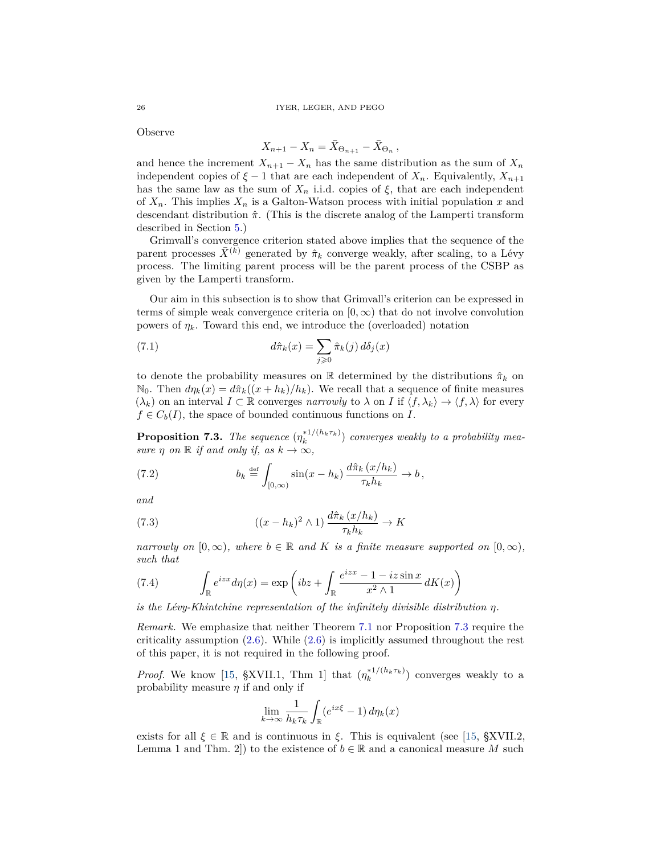Observe

$$
X_{n+1} - X_n = \overline{X}_{\Theta_{n+1}} - \overline{X}_{\Theta_n},
$$

and hence the increment  $X_{n+1} - X_n$  has the same distribution as the sum of  $X_n$ independent copies of  $\xi - 1$  that are each independent of  $X_n$ . Equivalently,  $X_{n+1}$ has the same law as the sum of  $X_n$  i.i.d. copies of  $\xi$ , that are each independent of  $X_n$ . This implies  $X_n$  is a Galton-Watson process with initial population x and descendant distribution  $\hat{\pi}$ . (This is the discrete analog of the Lamperti transform described in Section [5.](#page-11-1))

Grimvall's convergence criterion stated above implies that the sequence of the parent processes  $\bar{X}^{(k)}$  generated by  $\hat{\pi}_k$  converge weakly, after scaling, to a Lévy process. The limiting parent process will be the parent process of the CSBP as given by the Lamperti transform.

Our aim in this subsection is to show that Grimvall's criterion can be expressed in terms of simple weak convergence criteria on  $[0, \infty)$  that do not involve convolution powers of  $\eta_k$ . Toward this end, we introduce the (overloaded) notation

(7.1) 
$$
d\hat{\pi}_k(x) = \sum_{j\geqslant 0} \hat{\pi}_k(j) d\delta_j(x)
$$

to denote the probability measures on  $\mathbb R$  determined by the distributions  $\hat{\pi}_k$  on  $\mathbb{N}_0$ . Then  $d\eta_k(x) = d\hat{\pi}_k((x+h_k)/h_k)$ . We recall that a sequence of finite measures  $(\lambda_k)$  on an interval  $I \subset \mathbb{R}$  converges *narrowly* to  $\lambda$  on *I* if  $\langle f, \lambda_k \rangle \rightarrow \langle f, \lambda \rangle$  for every  $f \in C_b(I)$ , the space of bounded continuous functions on *I*.

<span id="page-25-0"></span>**Proposition 7.3.** *The sequence*  $(\eta_k^{*1/(h_k \tau_k)})$  *converges weakly to a probability measure n on*  $\mathbb R$  *if and only if, as*  $k \to \infty$ *,* 

<span id="page-25-1"></span>(7.2) 
$$
b_k \stackrel{\text{def}}{=} \int_{[0,\infty)} \sin(x - h_k) \frac{d\hat{\pi}_k(x/h_k)}{\tau_k h_k} \to b,
$$

*and*

<span id="page-25-2"></span>(7.3) 
$$
((x-h_k)^2 \wedge 1) \frac{d\hat{\pi}_k (x/h_k)}{\tau_k h_k} \to K
$$

*narrowly on*  $[0, \infty)$ *, where*  $b \in \mathbb{R}$  *and K is a finite measure supported on*  $[0, \infty)$ *, such that*

(7.4) 
$$
\int_{\mathbb{R}} e^{izx} d\eta(x) = \exp\left(ibz + \int_{\mathbb{R}} \frac{e^{izx} - 1 - iz\sin x}{x^2 \wedge 1} dK(x)\right)
$$

*is the Lévy-Khintchine representation of the infinitely divisible distribution η.*

*Remark.* We emphasize that neither Theorem [7.1](#page-24-4) nor Proposition [7.3](#page-25-0) require the criticality assumption [\(2.6\)](#page-7-4). While [\(2.6\)](#page-7-4) is implicitly assumed throughout the rest of this paper, it is not required in the following proof.

*Proof.* We know [\[15,](#page-42-11) §XVII.1, Thm 1] that  $(\eta_k^{*1/(h_k \tau_k)})$  converges weakly to a probability measure *η* if and only if

$$
\lim_{k \to \infty} \frac{1}{h_k \tau_k} \int_{\mathbb{R}} (e^{ix\xi} - 1) \, d\eta_k(x)
$$

exists for all  $\xi \in \mathbb{R}$  and is continuous in  $\xi$ . This is equivalent (see [\[15,](#page-42-11) §XVII.2, Lemma 1 and Thm. 2]) to the existence of  $b \in \mathbb{R}$  and a canonical measure M such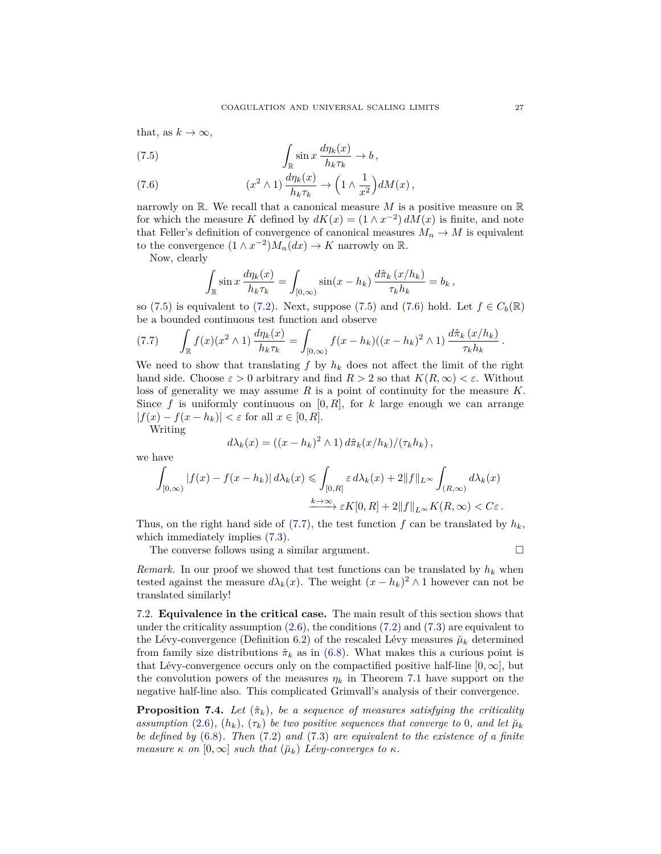that, as  $k \to \infty$ ,

<span id="page-26-2"></span>(7.5) 
$$
\int_{\mathbb{R}} \sin x \, \frac{d\eta_k(x)}{h_k \tau_k} \to b,
$$

<span id="page-26-3"></span>(7.6) 
$$
(x^2 \wedge 1) \frac{d\eta_k(x)}{h_k \tau_k} \to \left(1 \wedge \frac{1}{x^2}\right) dM(x) ,
$$

narrowly on R. We recall that a canonical measure *M* is a positive measure on R for which the measure *K* defined by  $dK(x) = (1 \wedge x^{-2}) dM(x)$  is finite, and note that Feller's definition of convergence of canonical measures  $M_n \to M$  is equivalent to the convergence  $(1 \wedge x^{-2})M_n(dx) \to K$  narrowly on R.

Now, clearly

$$
\int_{\mathbb{R}} \sin x \, \frac{d\eta_k(x)}{h_k \tau_k} = \int_{[0,\infty)} \sin(x - h_k) \, \frac{d\hat{\pi}_k(x/h_k)}{\tau_k h_k} = b_k,
$$

so [\(7.5\)](#page-26-2) is equivalent to [\(7.2\)](#page-25-1). Next, suppose (7.5) and [\(7.6\)](#page-26-3) hold. Let  $f \in C_b(\mathbb{R})$ be a bounded continuous test function and observe

<span id="page-26-4"></span>
$$
(7.7) \qquad \int_{\mathbb{R}} f(x)(x^2 \wedge 1) \, \frac{d\eta_k(x)}{h_k \tau_k} = \int_{[0,\infty)} f(x-h_k)((x-h_k)^2 \wedge 1) \, \frac{d\hat{\pi}_k(x/h_k)}{\tau_k h_k} \, .
$$

We need to show that translating  $f$  by  $h_k$  does not affect the limit of the right hand side. Choose  $\varepsilon > 0$  arbitrary and find  $R > 2$  so that  $K(R, \infty) < \varepsilon$ . Without loss of generality we may assume *R* is a point of continuity for the measure *K*. Since f is uniformly continuous on  $[0, R]$ , for k large enough we can arrange  $|f(x) - f(x - h_k)| < \varepsilon$  for all  $x \in [0, R]$ .

Writing

$$
d\lambda_k(x) = ((x-h_k)^2 \wedge 1) d\hat{\pi}_k(x/h_k) / (\tau_k h_k),
$$

we have

$$
\int_{[0,\infty)} |f(x) - f(x - h_k)| d\lambda_k(x) \leq \int_{[0,R]} \varepsilon d\lambda_k(x) + 2||f||_{L^{\infty}} \int_{(R,\infty)} d\lambda_k(x)
$$

$$
\xrightarrow{k \to \infty} \varepsilon K[0,R] + 2||f||_{L^{\infty}} K(R,\infty) < C\varepsilon.
$$

Thus, on the right hand side of  $(7.7)$ , the test function  $f$  can be translated by  $h_k$ , which immediately implies  $(7.3)$ .

The converse follows using a similar argument.

*Remark.* In our proof we showed that test functions can be translated by  $h_k$  when tested against the measure  $d\lambda_k(x)$ . The weight  $(x - h_k)^2 \wedge 1$  however can not be translated similarly!

<span id="page-26-0"></span>7.2. **Equivalence in the critical case.** The main result of this section shows that under the criticality assumption  $(2.6)$ , the conditions  $(7.2)$  and  $(7.3)$  are equivalent to the Lévy-convergence (Definition [6.2\)](#page-16-6) of the rescaled Lévy measures  $\mu_k$  determined from family size distributions  $\hat{\pi}_k$  as in [\(6.8\)](#page-16-7). What makes this a curious point is that Lévy-convergence occurs only on the compactified positive half-line  $[0, \infty]$ , but the convolution powers of the measures  $\eta_k$  in Theorem [7.1](#page-24-4) have support on the negative half-line also. This complicated Grimvall's analysis of their convergence.

<span id="page-26-1"></span>**Proposition 7.4.** Let  $(\hat{\pi}_k)$ , be a sequence of measures satisfying the criticality *assumption* [\(2.6\)](#page-7-4)*,* ( $h_k$ *),* ( $\tau_k$ *) be two positive sequences that converge to 0<i>, and let*  $\mu_k$ *be defined by* [\(6.8\)](#page-16-7)*. Then* [\(7.2\)](#page-25-1) *and* [\(7.3\)](#page-25-2) *are equivalent to the existence of a finite measure*  $\kappa$  *on*  $[0, \infty]$  *such that*  $(\check{\mu}_k)$  *Lévy-converges to*  $\kappa$ *.*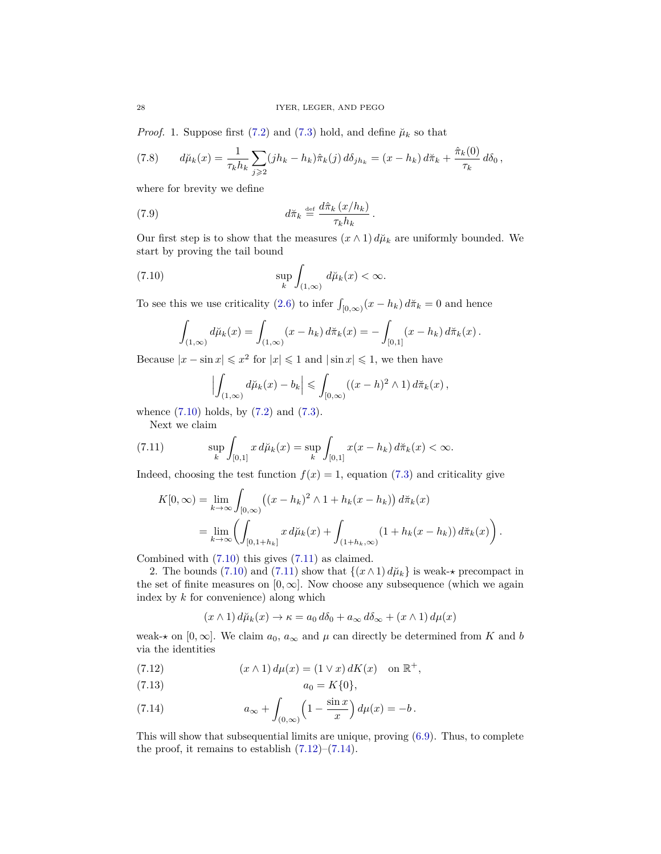*Proof.* 1. Suppose first [\(7.2\)](#page-25-1) and [\(7.3\)](#page-25-2) hold, and define  $\mu_k$  so that

<span id="page-27-5"></span>(7.8) 
$$
d\breve{\mu}_k(x) = \frac{1}{\tau_k h_k} \sum_{j \geq 2} (jh_k - h_k) \hat{\pi}_k(j) d\delta_{jh_k} = (x - h_k) d\breve{\pi}_k + \frac{\hat{\pi}_k(0)}{\tau_k} d\delta_0,
$$

where for brevity we define

(7.9) 
$$
d\tilde{\pi}_k \stackrel{\text{def}}{=} \frac{d\hat{\pi}_k (x/h_k)}{\tau_k h_k}
$$

Our first step is to show that the measures  $(x \wedge 1) d\mu_k$  are uniformly bounded. We start by proving the tail bound

*.*

(7.10) 
$$
\sup_{k} \int_{(1,\infty)} d\breve{\mu}_k(x) < \infty.
$$

To see this we use criticality [\(2.6\)](#page-7-4) to infer  $\int_{[0,\infty)} (x - h_k) d\tilde{\pi}_k = 0$  and hence

<span id="page-27-0"></span>
$$
\int_{(1,\infty)} d\breve{\mu}_k(x) = \int_{(1,\infty)} (x - h_k) d\breve{\pi}_k(x) = - \int_{[0,1]} (x - h_k) d\breve{\pi}_k(x).
$$

Because  $|x - \sin x| \leq x^2$  for  $|x| \leq 1$  and  $|\sin x| \leq 1$ , we then have

$$
\left|\int_{(1,\infty)} d\breve{\mu}_k(x) - b_k\right| \leqslant \int_{[0,\infty)} ((x-h)^2 \wedge 1) d\breve{\pi}_k(x),
$$

whence [\(7.10\)](#page-27-0) holds, by [\(7.2\)](#page-25-1) and [\(7.3\)](#page-25-2).

<span id="page-27-1"></span>Next we claim

(7.11) 
$$
\sup_{k} \int_{[0,1]} x \, d\mu_k(x) = \sup_{k} \int_{[0,1]} x(x - h_k) \, d\pi_k(x) < \infty.
$$

Indeed, choosing the test function  $f(x) = 1$ , equation [\(7.3\)](#page-25-2) and criticality give

$$
K[0, \infty) = \lim_{k \to \infty} \int_{[0, \infty)} ((x - h_k)^2 \wedge 1 + h_k(x - h_k)) d\tilde{\pi}_k(x)
$$
  
= 
$$
\lim_{k \to \infty} \left( \int_{[0, 1 + h_k]} x d\tilde{\mu}_k(x) + \int_{(1 + h_k, \infty)} (1 + h_k(x - h_k)) d\tilde{\pi}_k(x) \right).
$$

Combined with [\(7.10\)](#page-27-0) this gives [\(7.11\)](#page-27-1) as claimed.

2. The bounds [\(7.10\)](#page-27-0) and [\(7.11\)](#page-27-1) show that  $\{(x \wedge 1) d\mu_k\}$  is weak- $\star$  precompact in the set of finite measures on  $[0, \infty]$ . Now choose any subsequence (which we again index by *k* for convenience) along which

$$
(x \wedge 1) d\tilde{\mu}_k(x) \rightarrow \kappa = a_0 d\delta_0 + a_\infty d\delta_\infty + (x \wedge 1) d\mu(x)
$$

weak- $\star$  on [0,  $\infty$ ]. We claim  $a_0$ ,  $a_\infty$  and  $\mu$  can directly be determined from *K* and *b* via the identities

<span id="page-27-2"></span>(7.12) 
$$
(x \wedge 1) d\mu(x) = (1 \vee x) dK(x) \text{ on } \mathbb{R}^+,
$$

<span id="page-27-4"></span>
$$
(7.13) \t\t\t a_0 = K\{0\},\
$$

<span id="page-27-3"></span>(7.14) 
$$
a_{\infty} + \int_{(0,\infty)} \left(1 - \frac{\sin x}{x}\right) d\mu(x) = -b.
$$

This will show that subsequential limits are unique, proving [\(6.9\)](#page-16-4). Thus, to complete the proof, it remains to establish  $(7.12)$ – $(7.14)$ .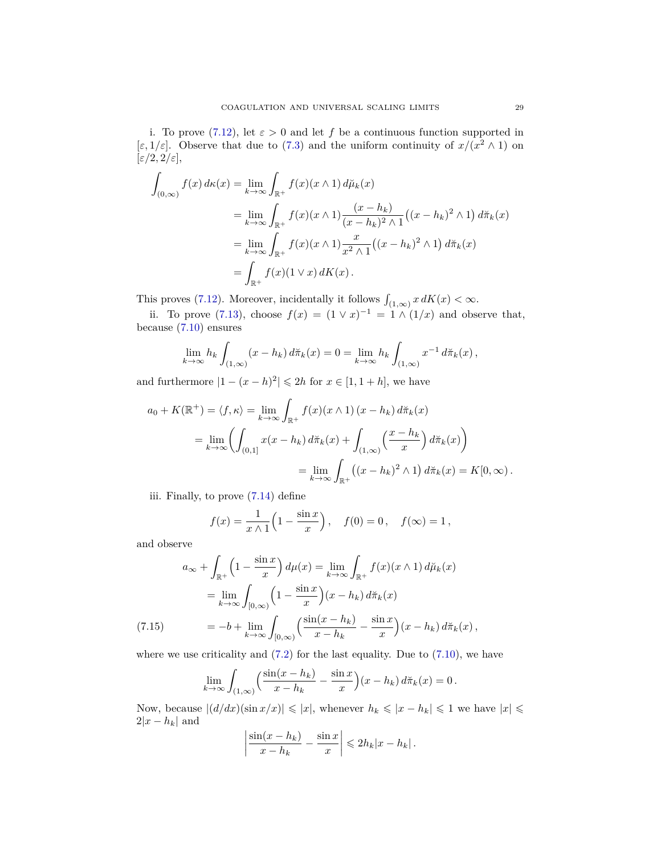i. To prove [\(7.12\)](#page-27-2), let  $\varepsilon > 0$  and let *f* be a continuous function supported in [ $\varepsilon$ , 1/ $\varepsilon$ ]. Observe that due to [\(7.3\)](#page-25-2) and the uniform continuity of  $x/(x^2 \wedge 1)$  on  $[\varepsilon/2, 2/\varepsilon],$ 

$$
\int_{(0,\infty)} f(x) d\kappa(x) = \lim_{k \to \infty} \int_{\mathbb{R}^+} f(x)(x \wedge 1) d\breve{\mu}_k(x)
$$
  
\n
$$
= \lim_{k \to \infty} \int_{\mathbb{R}^+} f(x)(x \wedge 1) \frac{(x - h_k)}{(x - h_k)^2 \wedge 1} ((x - h_k)^2 \wedge 1) d\breve{\pi}_k(x)
$$
  
\n
$$
= \lim_{k \to \infty} \int_{\mathbb{R}^+} f(x)(x \wedge 1) \frac{x}{x^2 \wedge 1} ((x - h_k)^2 \wedge 1) d\breve{\pi}_k(x)
$$
  
\n
$$
= \int_{\mathbb{R}^+} f(x)(1 \vee x) dK(x).
$$

This proves [\(7.12\)](#page-27-2). Moreover, incidentally it follows  $\int_{(1,\infty)} x \, dK(x) < \infty$ .

ii. To prove [\(7.13\)](#page-27-4), choose  $f(x) = (1 \vee x)^{-1} = 1 \wedge (1/x)$  and observe that, because [\(7.10\)](#page-27-0) ensures

$$
\lim_{k \to \infty} h_k \int_{(1,\infty)} (x - h_k) d\pi_k(x) = 0 = \lim_{k \to \infty} h_k \int_{(1,\infty)} x^{-1} d\pi_k(x),
$$

and furthermore  $|1 - (x - h)^2| \le 2h$  for  $x \in [1, 1 + h]$ , we have

$$
a_0 + K(\mathbb{R}^+) = \langle f, \kappa \rangle = \lim_{k \to \infty} \int_{\mathbb{R}^+} f(x)(x \wedge 1) (x - h_k) d\breve{\pi}_k(x)
$$
  
= 
$$
\lim_{k \to \infty} \left( \int_{(0,1]} x(x - h_k) d\breve{\pi}_k(x) + \int_{(1,\infty)} \left( \frac{x - h_k}{x} \right) d\breve{\pi}_k(x) \right)
$$
  
= 
$$
\lim_{k \to \infty} \int_{\mathbb{R}^+} \left( (x - h_k)^2 \wedge 1 \right) d\breve{\pi}_k(x) = K[0, \infty).
$$

iii. Finally, to prove [\(7.14\)](#page-27-3) define

$$
f(x) = \frac{1}{x \wedge 1} \left( 1 - \frac{\sin x}{x} \right), \quad f(0) = 0, \quad f(\infty) = 1,
$$

and observe

$$
a_{\infty} + \int_{\mathbb{R}^+} \left(1 - \frac{\sin x}{x}\right) d\mu(x) = \lim_{k \to \infty} \int_{\mathbb{R}^+} f(x)(x \wedge 1) d\mu(x)
$$

$$
= \lim_{k \to \infty} \int_{[0,\infty)} \left(1 - \frac{\sin x}{x}\right) (x - h_k) d\pi_k(x)
$$

$$
(7.15) \qquad = -b + \lim_{k \to \infty} \int_{[0,\infty)} \left(\frac{\sin(x - h_k)}{x - h_k} - \frac{\sin x}{x}\right) (x - h_k) d\pi_k(x),
$$

<span id="page-28-0"></span>where we use criticality and  $(7.2)$  for the last equality. Due to  $(7.10)$ , we have

$$
\lim_{k \to \infty} \int_{(1,\infty)} \left( \frac{\sin(x-h_k)}{x-h_k} - \frac{\sin x}{x} \right) (x-h_k) d\pi_k(x) = 0.
$$

Now, because  $|(d/dx)(\sin x/x)| \leq |x|$ , whenever  $h_k \leq |x - h_k| \leq 1$  we have  $|x| \leq$  $2|x-h_k|$  and

$$
\left|\frac{\sin(x-h_k)}{x-h_k} - \frac{\sin x}{x}\right| \leq 2h_k|x-h_k|.
$$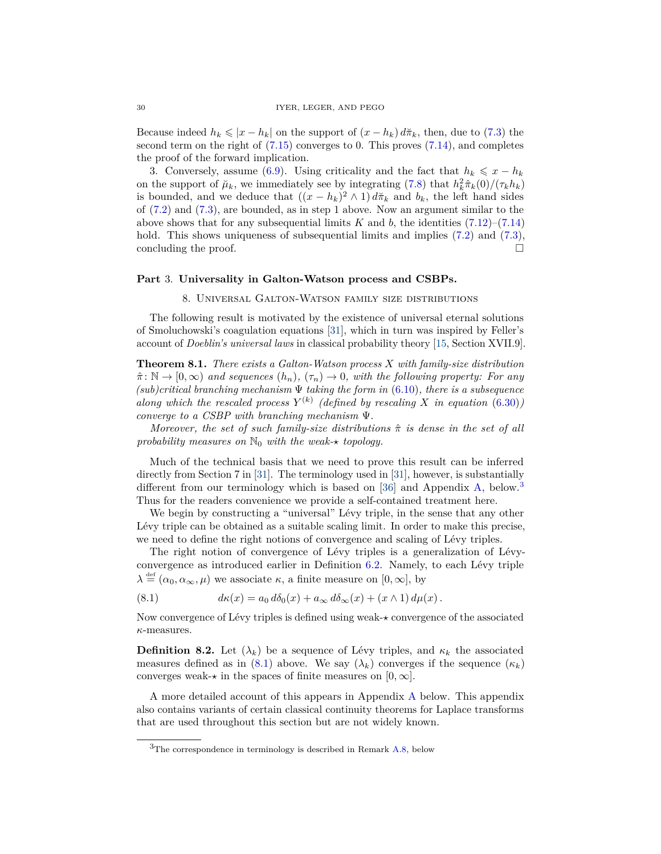Because indeed  $h_k \leqslant |x - h_k|$  on the support of  $(x - h_k) d\pi_k$ , then, due to [\(7.3\)](#page-25-2) the second term on the right of [\(7.15\)](#page-28-0) converges to 0. This proves [\(7.14\)](#page-27-3), and completes the proof of the forward implication.

3. Conversely, assume [\(6.9\)](#page-16-4). Using criticality and the fact that  $h_k \leq x - h_k$ on the support of  $\mu_k$ , we immediately see by integrating [\(7.8\)](#page-27-5) that  $h_k^2 \hat{\pi}_k(0) / (\tau_k h_k)$ is bounded, and we deduce that  $((x - h_k)^2 \wedge 1) d\tilde{\pi}_k$  and  $b_k$ , the left hand sides of [\(7.2\)](#page-25-1) and [\(7.3\)](#page-25-2), are bounded, as in step 1 above. Now an argument similar to the above shows that for any subsequential limits  $K$  and  $b$ , the identities  $(7.12)$ – $(7.14)$ hold. This shows uniqueness of subsequential limits and implies  $(7.2)$  and  $(7.3)$ , concluding the proof.

## <span id="page-29-1"></span><span id="page-29-0"></span>**Part** 3. **Universality in Galton-Watson process and CSBPs.**

#### 8. Universal Galton-Watson family size distributions

The following result is motivated by the existence of universal eternal solutions of Smoluchowski's coagulation equations [\[31\]](#page-42-9), which in turn was inspired by Feller's account of *Doeblin's universal laws* in classical probability theory [\[15,](#page-42-11) Section XVII.9].

<span id="page-29-2"></span>**Theorem 8.1.** *There exists a Galton-Watson process X with family-size distribution*  $\hat{\pi}: \mathbb{N} \to [0, \infty)$  and sequences  $(h_n)$ ,  $(\tau_n) \to 0$ , with the following property: For any *(sub)critical branching mechanism* Ψ *taking the form in* [\(6.10\)](#page-16-2)*, there is a subsequence along which the rescaled process*  $Y^{(k)}$  (defined by rescaling X in equation [\(6.30\)](#page-22-2)) *converge to a CSBP with branching mechanism* Ψ*.*

*Moreover, the set of such family-size distributions π*ˆ *is dense in the set of all probability measures on*  $\mathbb{N}_0$  *with the weak-\* topology.* 

Much of the technical basis that we need to prove this result can be inferred directly from Section 7 in [\[31\]](#page-42-9). The terminology used in [\[31\]](#page-42-9), however, is substantially different from our terminology which is based on [\[36\]](#page-42-16) and Appendix [A,](#page-37-0) below.<sup>[3](#page-29-3)</sup> Thus for the readers convenience we provide a self-contained treatment here.

We begin by constructing a "universal" Lévy triple, in the sense that any other Lévy triple can be obtained as a suitable scaling limit. In order to make this precise, we need to define the right notions of convergence and scaling of Lévy triples.

The right notion of convergence of Lévy triples is a generalization of Lévyconvergence as introduced earlier in Definition [6.2.](#page-16-6) Namely, to each Lévy triple  $\lambda \stackrel{\text{def}}{=} (\alpha_0, \alpha_\infty, \mu)$  we associate  $\kappa$ , a finite measure on  $[0, \infty]$ , by

<span id="page-29-4"></span>(8.1) 
$$
d\kappa(x) = a_0 d\delta_0(x) + a_\infty d\delta_\infty(x) + (x \wedge 1) d\mu(x).
$$

Now convergence of Lévy triples is defined using weak- $\star$  convergence of the associated *κ*-measures.

<span id="page-29-5"></span>**Definition 8.2.** Let  $(\lambda_k)$  be a sequence of Lévy triples, and  $\kappa_k$  the associated measures defined as in [\(8.1\)](#page-29-4) above. We say  $(\lambda_k)$  converges if the sequence  $(\kappa_k)$ converges weak- $\star$  in the spaces of finite measures on  $[0, \infty]$ .

A more detailed account of this appears in Appendix [A](#page-37-0) below. This appendix also contains variants of certain classical continuity theorems for Laplace transforms that are used throughout this section but are not widely known.

<span id="page-29-3"></span> ${}^{3}$ The correspondence in terminology is described in Remark [A.8,](#page-41-13) below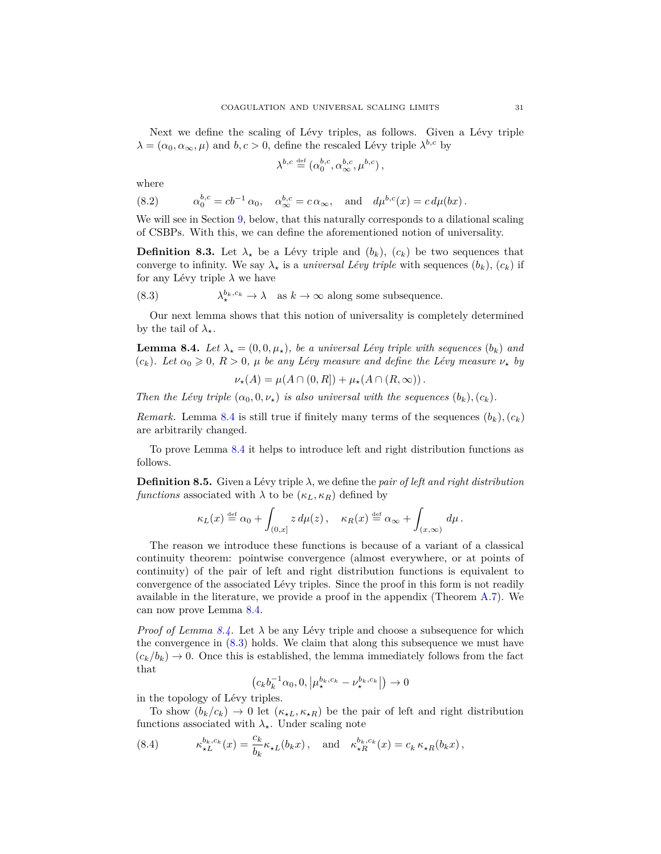Next we define the scaling of Lévy triples, as follows. Given a Lévy triple  $\lambda = (\alpha_0, \alpha_\infty, \mu)$  and  $b, c > 0$ , define the rescaled Lévy triple  $\lambda^{b,c}$  by

$$
\lambda^{b,c} \stackrel{\text{def}}{=} (\alpha_0^{b,c}, \alpha_\infty^{b,c}, \mu^{b,c}),
$$

where

<span id="page-30-2"></span>(8.2) 
$$
\alpha_0^{b,c} = cb^{-1} \alpha_0, \quad \alpha_\infty^{b,c} = c \alpha_\infty, \quad \text{and} \quad d\mu^{b,c}(x) = c d\mu(bx).
$$

We will see in Section [9,](#page-34-0) below, that this naturally corresponds to a dilational scaling of CSBPs. With this, we can define the aforementioned notion of universality.

**Definition 8.3.** Let  $\lambda_{\star}$  be a Lévy triple and  $(b_k)$ ,  $(c_k)$  be two sequences that converge to infinity. We say  $\lambda_{\star}$  is a *universal Lévy triple* with sequences  $(b_k)$ ,  $(c_k)$  if for any Lévy triple  $\lambda$  we have

<span id="page-30-1"></span>(8.3) 
$$
\lambda_{\star}^{b_k, c_k} \to \lambda \quad \text{as } k \to \infty \text{ along some subsequence.}
$$

Our next lemma shows that this notion of universality is completely determined by the tail of  $\lambda_{\star}$ .

<span id="page-30-0"></span>**Lemma 8.4.** Let  $\lambda_{\star} = (0, 0, \mu_{\star})$ , be a universal Lévy triple with sequences  $(b_k)$  and  $(c_k)$ *. Let*  $\alpha_0 \geq 0$ *, R* > 0*,*  $\mu$  *be any Lévy measure and define the Lévy measure*  $\nu_*$  *by* 

$$
\nu_{\star}(A) = \mu(A \cap (0,R]) + \mu_{\star}(A \cap (R,\infty)).
$$

*Then the Lévy triple*  $(\alpha_0, 0, \nu_\star)$  *is also universal with the sequences*  $(b_k)$ ,  $(c_k)$ *.* 

*Remark.* Lemma [8.4](#page-30-0) is still true if finitely many terms of the sequences  $(b_k)$ ,  $(c_k)$ are arbitrarily changed.

To prove Lemma [8.4](#page-30-0) it helps to introduce left and right distribution functions as follows.

**Definition 8.5.** Given a Lévy triple *λ*, we define the *pair of left and right distribution functions* associated with  $\lambda$  to be ( $\kappa_L$ ,  $\kappa_R$ ) defined by

$$
\kappa_L(x) \stackrel{\text{def}}{=} \alpha_0 + \int_{(0,x]} z \, d\mu(z) \, , \quad \kappa_R(x) \stackrel{\text{def}}{=} \alpha_\infty + \int_{(x,\infty)} d\mu \, .
$$

The reason we introduce these functions is because of a variant of a classical continuity theorem: pointwise convergence (almost everywhere, or at points of continuity) of the pair of left and right distribution functions is equivalent to convergence of the associated Lévy triples. Since the proof in this form is not readily available in the literature, we provide a proof in the appendix (Theorem [A.7\)](#page-40-0). We can now prove Lemma [8.4.](#page-30-0)

*Proof of Lemma [8.4.](#page-30-0)* Let  $\lambda$  be any Lévy triple and choose a subsequence for which the convergence in [\(8.3\)](#page-30-1) holds. We claim that along this subsequence we must have  $(c_k/b_k) \rightarrow 0$ . Once this is established, the lemma immediately follows from the fact that

$$
(c_k b_k^{-1} \alpha_0, 0, \left| \mu_{\star}^{b_k, c_k} - \nu_{\star}^{b_k, c_k} \right|) \to 0
$$

in the topology of Lévy triples.

To show  $(b_k/c_k) \to 0$  let  $(\kappa_{\star L}, \kappa_{\star R})$  be the pair of left and right distribution functions associated with  $\lambda_{\star}$ . Under scaling note

<span id="page-30-3"></span>(8.4) 
$$
\kappa_{\star L}^{b_k,c_k}(x) = \frac{c_k}{b_k} \kappa_{\star L}(b_k x), \text{ and } \kappa_{\star R}^{b_k,c_k}(x) = c_k \kappa_{\star R}(b_k x),
$$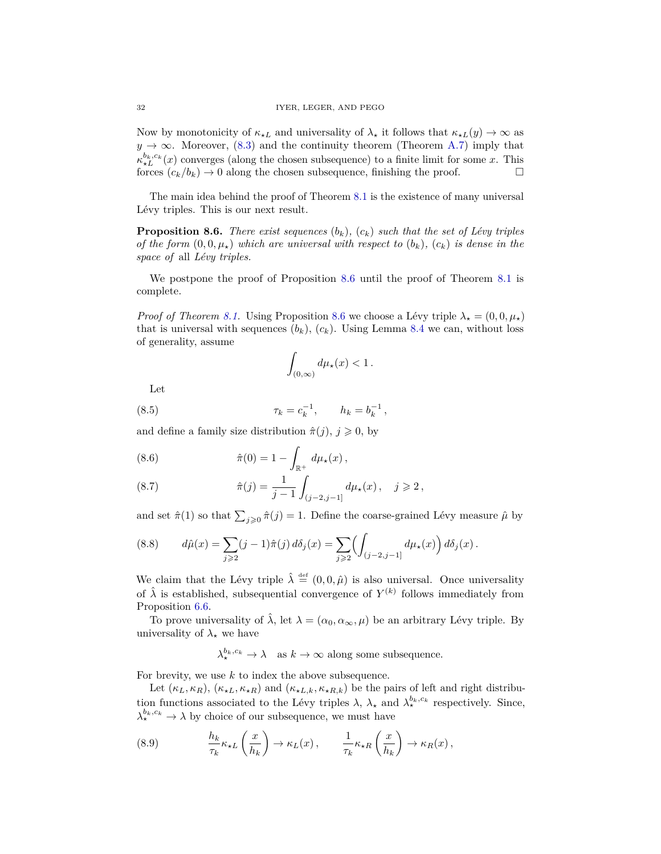Now by monotonicity of  $\kappa_{\star L}$  and universality of  $\lambda_{\star}$  it follows that  $\kappa_{\star L}(y) \to \infty$  as  $y \to \infty$ . Moreover, [\(8.3\)](#page-30-1) and the continuity theorem (Theorem [A.7\)](#page-40-0) imply that  $\kappa_{\star L}^{b_k,c_k}(x)$  converges (along the chosen subsequence) to a finite limit for some *x*. This forces  $(c_k/b_k) \to 0$  along the chosen subsequence, finishing the proof.

The main idea behind the proof of Theorem [8.1](#page-29-2) is the existence of many universal Lévy triples. This is our next result.

<span id="page-31-0"></span>**Proposition 8.6.** *There exist sequences*  $(b_k)$ *,*  $(c_k)$  *such that the set of Lévy triples of the form*  $(0,0,\mu_{\star})$  *which are universal with respect to*  $(b_k)$ *,*  $(c_k)$  *is dense in the space of* all *Lévy triples.*

We postpone the proof of Proposition [8.6](#page-31-0) until the proof of Theorem [8.1](#page-29-2) is complete.

*Proof of Theorem [8.1.](#page-29-2)* Using Proposition [8.6](#page-31-0) we choose a Lévy triple  $\lambda_{\star} = (0, 0, \mu_{\star})$ that is universal with sequences  $(b_k)$ ,  $(c_k)$ . Using Lemma [8.4](#page-30-0) we can, without loss of generality, assume

$$
\int_{(0,\infty)} d\mu_\star(x) < 1\,.
$$

Let

(8.5) 
$$
\tau_k = c_k^{-1}, \qquad h_k = b_k^{-1},
$$

and define a family size distribution  $\hat{\pi}(j)$ ,  $j \geq 0$ , by

(8.6) 
$$
\hat{\pi}(0) = 1 - \int_{\mathbb{R}^+} d\mu_{\star}(x),
$$

(8.7) 
$$
\hat{\pi}(j) = \frac{1}{j-1} \int_{(j-2,j-1]} d\mu_{\star}(x), \quad j \geq 2,
$$

and set  $\hat{\pi}(1)$  so that  $\sum_{j\geqslant 0} \hat{\pi}(j) = 1$ . Define the coarse-grained Lévy measure  $\hat{\mu}$  by

(8.8) 
$$
d\hat{\mu}(x) = \sum_{j \geq 2} (j-1)\hat{\pi}(j) d\delta_j(x) = \sum_{j \geq 2} \left( \int_{(j-2,j-1]} d\mu_{\star}(x) \right) d\delta_j(x).
$$

We claim that the Lévy triple  $\hat{\lambda} \stackrel{\text{def}}{=} (0,0,\hat{\mu})$  is also universal. Once universality of  $\hat{\lambda}$  is established, subsequential convergence of  $Y^{(k)}$  follows immediately from Proposition [6.6.](#page-22-1)

To prove universality of  $\hat{\lambda}$ , let  $\lambda = (\alpha_0, \alpha_\infty, \mu)$  be an arbitrary Lévy triple. By universality of  $\lambda_{\star}$  we have

 $\lambda_{\star}^{b_k,c_k} \to \lambda$  as  $k \to \infty$  along some subsequence.

For brevity, we use *k* to index the above subsequence.

Let  $(\kappa_L, \kappa_R)$ ,  $(\kappa_{\star L}, \kappa_{\star R})$  and  $(\kappa_{\star L, k}, \kappa_{\star R, k})$  be the pairs of left and right distribution functions associated to the Lévy triples  $\lambda$ ,  $\lambda_{\star}$  and  $\lambda_{\star}^{b_k,c_k}$  respectively. Since,  $\lambda_{\star}^{b_k,c_k} \to \lambda$  by choice of our subsequence, we must have

(8.9) 
$$
\frac{h_k}{\tau_k} \kappa_{\star L} \left( \frac{x}{h_k} \right) \to \kappa_L(x), \qquad \frac{1}{\tau_k} \kappa_{\star R} \left( \frac{x}{h_k} \right) \to \kappa_R(x),
$$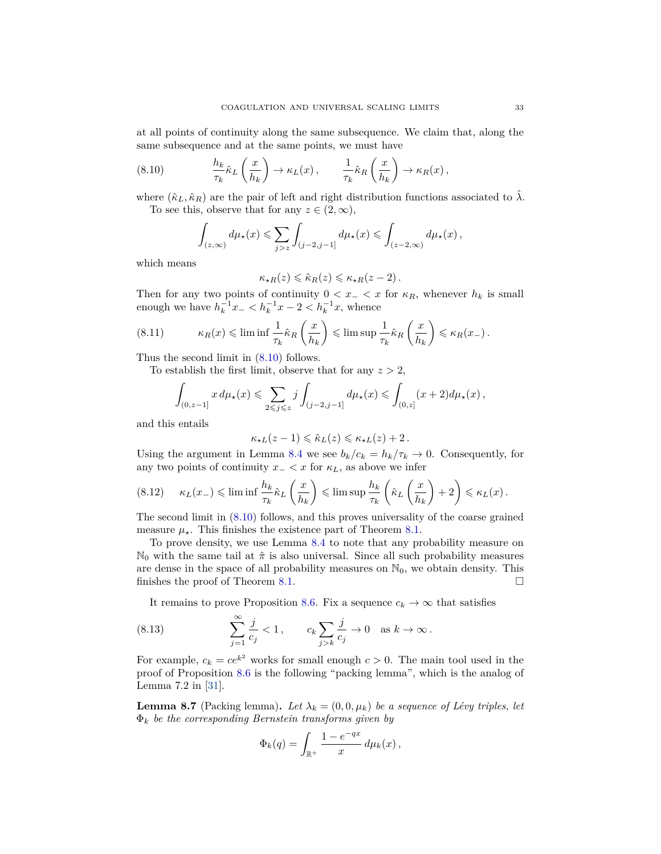at all points of continuity along the same subsequence. We claim that, along the same subsequence and at the same points, we must have

(8.10) 
$$
\frac{h_k}{\tau_k} \hat{\kappa}_L \left( \frac{x}{h_k} \right) \to \kappa_L(x) , \qquad \frac{1}{\tau_k} \hat{\kappa}_R \left( \frac{x}{h_k} \right) \to \kappa_R(x) ,
$$

where  $(\hat{\kappa}_L, \hat{\kappa}_R)$  are the pair of left and right distribution functions associated to  $\hat{\lambda}$ . To see this, observe that for any  $z \in (2, \infty)$ ,

<span id="page-32-0"></span>
$$
\int_{(z,\infty)} d\mu_{\star}(x) \leqslant \sum_{j>z} \int_{(j-2,j-1]} d\mu_{\star}(x) \leqslant \int_{(z-2,\infty)} d\mu_{\star}(x) ,
$$

which means

$$
\kappa_{\star R}(z)\leqslant \hat{\kappa}_{R}(z)\leqslant \kappa_{\star R}(z-2)\,.
$$

Then for any two points of continuity  $0 < x<sub>-</sub> < x$  for  $\kappa_R$ , whenever  $h_k$  is small enough we have  $h_k^{-1}x - h_k^{-1}x - 2 < h_k^{-1}x$ , whence

(8.11) 
$$
\kappa_R(x) \leq \liminf \frac{1}{\tau_k} \hat{\kappa}_R\left(\frac{x}{h_k}\right) \leq \limsup \frac{1}{\tau_k} \hat{\kappa}_R\left(\frac{x}{h_k}\right) \leq \kappa_R(x_-).
$$

Thus the second limit in [\(8.10\)](#page-32-0) follows.

To establish the first limit, observe that for any  $z > 2$ ,

$$
\int_{(0,z-1]} x d\mu_\star(x) \leqslant \sum_{2\leqslant j\leqslant z} j \int_{(j-2,j-1]} d\mu_\star(x) \leqslant \int_{(0,z]} (x+2) d\mu_\star(x) ,
$$

and this entails

$$
\kappa_{\star L}(z-1) \leqslant \hat\kappa_L(z) \leqslant \kappa_{\star L}(z) + 2\,.
$$

Using the argument in Lemma [8.4](#page-30-0) we see  $b_k/c_k = h_k/\tau_k \to 0$ . Consequently, for any two points of continuity  $x<sub>-</sub> < x$  for  $\kappa<sub>L</sub>$ , as above we infer

$$
(8.12) \quad \kappa_L(x_-) \leq \liminf \frac{h_k}{\tau_k} \hat{\kappa}_L\left(\frac{x}{h_k}\right) \leq \limsup \frac{h_k}{\tau_k} \left(\hat{\kappa}_L\left(\frac{x}{h_k}\right) + 2\right) \leq \kappa_L(x) \,.
$$

The second limit in [\(8.10\)](#page-32-0) follows, and this proves universality of the coarse grained measure  $\mu_{\star}$ . This finishes the existence part of Theorem [8.1.](#page-29-2)

To prove density, we use Lemma [8.4](#page-30-0) to note that any probability measure on  $\mathbb{N}_0$  with the same tail at  $\hat{\pi}$  is also universal. Since all such probability measures are dense in the space of all probability measures on  $\mathbb{N}_0$ , we obtain density. This finishes the proof of Theorem [8.1.](#page-29-2)  $\Box$ 

It remains to prove Proposition [8.6.](#page-31-0) Fix a sequence  $c_k \to \infty$  that satisfies

(8.13) 
$$
\sum_{j=1}^{\infty} \frac{j}{c_j} < 1, \qquad c_k \sum_{j>k} \frac{j}{c_j} \to 0 \quad \text{as } k \to \infty.
$$

For example,  $c_k = ce^{k^2}$  works for small enough  $c > 0$ . The main tool used in the proof of Proposition [8.6](#page-31-0) is the following "packing lemma", which is the analog of Lemma 7.2 in [\[31\]](#page-42-9).

<span id="page-32-1"></span>**Lemma 8.7** (Packing lemma). Let  $\lambda_k = (0, 0, \mu_k)$  be a sequence of Lévy triples, let Φ*<sup>k</sup> be the corresponding Bernstein transforms given by*

$$
\Phi_k(q) = \int_{\mathbb{R}^+} \frac{1 - e^{-qx}}{x} d\mu_k(x),
$$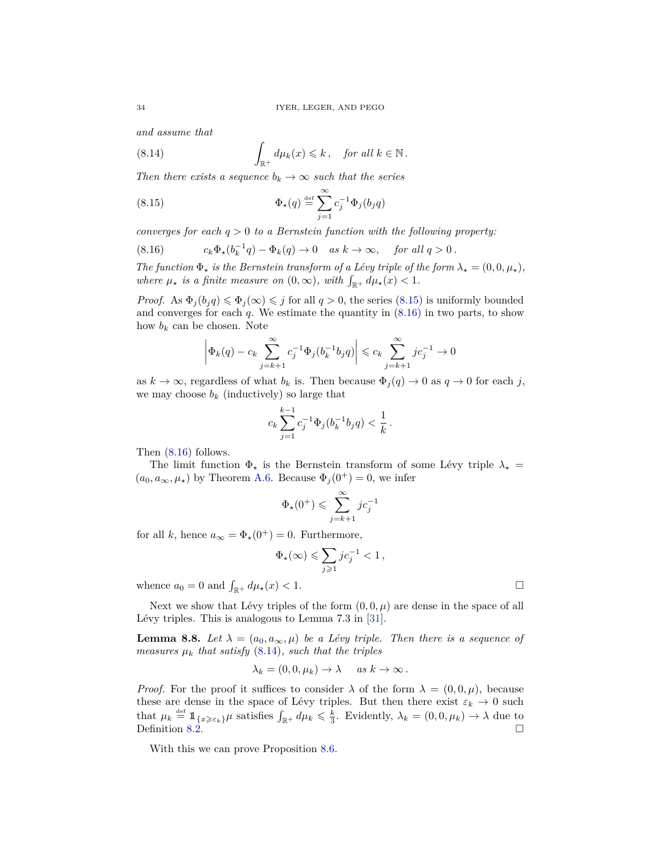<span id="page-33-2"></span>*and assume that*

(8.14) 
$$
\int_{\mathbb{R}^+} d\mu_k(x) \leq k, \quad \text{for all } k \in \mathbb{N}.
$$

*Then there exists a sequence*  $b_k \rightarrow \infty$  *such that the series* 

<span id="page-33-0"></span>(8.15) 
$$
\Phi_{\star}(q) \stackrel{\text{def}}{=} \sum_{j=1}^{\infty} c_j^{-1} \Phi_j(b_j q)
$$

*converges for each q >* 0 *to a Bernstein function with the following property:*

<span id="page-33-1"></span>(8.16) 
$$
c_k \Phi_{\star}(b_k^{-1}q) - \Phi_k(q) \to 0 \quad as \ k \to \infty, \quad \text{for all } q > 0.
$$

*The function*  $\Phi_{\star}$  *is the Bernstein transform of a Lévy triple of the form*  $\lambda_{\star} = (0, 0, \mu_{\star})$ *, where*  $\mu_{\star}$  *is a finite measure on*  $(0, \infty)$ *, with*  $\int_{\mathbb{R}^+} d\mu_{\star}(x) < 1$ *.* 

*Proof.* As  $\Phi_i(b_i q) \leq \Phi_i(\infty) \leq j$  for all  $q > 0$ , the series [\(8.15\)](#page-33-0) is uniformly bounded and converges for each *q*. We estimate the quantity in [\(8.16\)](#page-33-1) in two parts, to show how  $b_k$  can be chosen. Note

$$
\left|\Phi_k(q)-c_k\sum_{j=k+1}^{\infty}c_j^{-1}\Phi_j(b_k^{-1}b_jq)\right|\leqslant c_k\sum_{j=k+1}^{\infty}jc_j^{-1}\rightarrow 0
$$

as  $k \to \infty$ , regardless of what  $b_k$  is. Then because  $\Phi_j(q) \to 0$  as  $q \to 0$  for each *j*, we may choose  $b_k$  (inductively) so large that

$$
c_k \sum_{j=1}^{k-1} c_j^{-1} \Phi_j(b_k^{-1} b_j q) < \frac{1}{k} \, .
$$

Then [\(8.16\)](#page-33-1) follows.

The limit function  $\Phi_{\star}$  is the Bernstein transform of some Lévy triple  $\lambda_{\star}$  =  $(a_0, a_\infty, \mu_\star)$  by Theorem [A.6.](#page-38-0) Because  $\Phi_i(0^+) = 0$ , we infer

$$
\Phi_{\star}(0^+) \leqslant \sum_{j=k+1}^{\infty}jc_j^{-1}
$$

for all *k*, hence  $a_{\infty} = \Phi_{\star}(0^+) = 0$ . Furthermore,

$$
\Phi_{\star}(\infty)\leqslant \sum_{j\geqslant 1}jc_j^{-1}<1\,,
$$

whence  $a_0 = 0$  and  $\int_{\mathbb{R}^+} d\mu_\star(x) < 1$ .

Next we show that Lévy triples of the form  $(0, 0, \mu)$  are dense in the space of all Lévy triples. This is analogous to Lemma 7.3 in [\[31\]](#page-42-9).

<span id="page-33-3"></span>**Lemma 8.8.** *Let*  $\lambda = (a_0, a_\infty, \mu)$  *be a Lévy triple. Then there is a sequence of measures*  $\mu_k$  *that satisfy* [\(8.14\)](#page-33-2)*, such that the triples* 

$$
\lambda_k = (0, 0, \mu_k) \to \lambda \quad \text{as } k \to \infty \, .
$$

*Proof.* For the proof it suffices to consider  $\lambda$  of the form  $\lambda = (0, 0, \mu)$ , because these are dense in the space of Lévy triples. But then there exist  $\varepsilon_k \to 0$  such that  $\mu_k \stackrel{\text{def}}{=} \mathbb{1}_{\{x \geq \varepsilon_k\}} \mu$  satisfies  $\int_{\mathbb{R}^+} d\mu_k \leq \frac{k}{3}$ . Evidently,  $\lambda_k = (0, 0, \mu_k) \to \lambda$  due to Definition [8.2.](#page-29-5)

With this we can prove Proposition [8.6.](#page-31-0)

$$
\Box
$$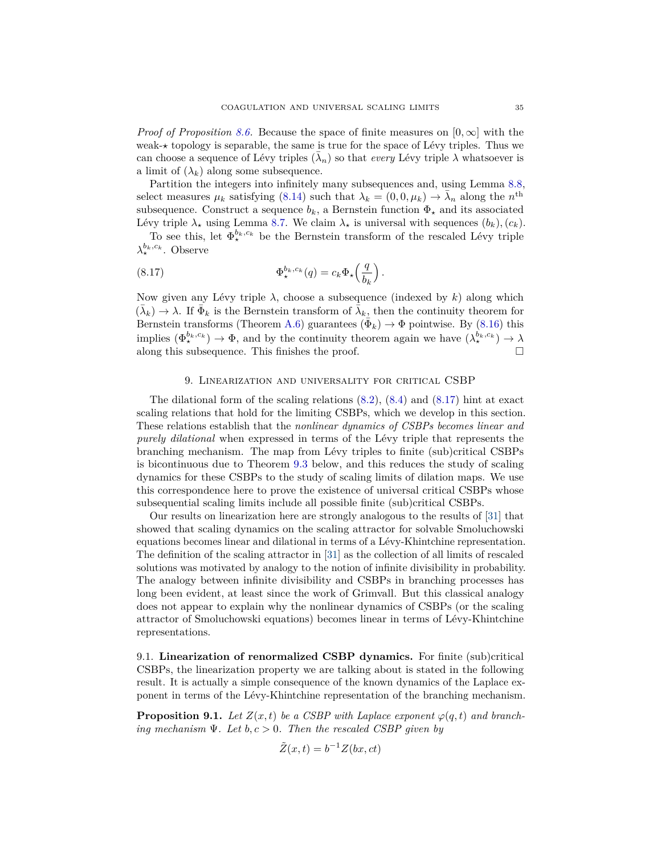*Proof of Proposition* [8.6.](#page-31-0) Because the space of finite measures on  $[0, \infty]$  with the weak- $\star$  topology is separable, the same is true for the space of Lévy triples. Thus we can choose a sequence of Lévy triples  $(\bar{\lambda}_n)$  so that *every* Lévy triple  $\lambda$  whatsoever is a limit of  $(\lambda_k)$  along some subsequence.

Partition the integers into infinitely many subsequences and, using Lemma [8.8,](#page-33-3) select measures  $\mu_k$  satisfying [\(8.14\)](#page-33-2) such that  $\lambda_k = (0, 0, \mu_k) \rightarrow \bar{\lambda}_n$  along the  $n^{\text{th}}$ subsequence. Construct a sequence  $b_k$ , a Bernstein function  $\Phi_{\star}$  and its associated Lévy triple  $\lambda_{\star}$  using Lemma [8.7.](#page-32-1) We claim  $\lambda_{\star}$  is universal with sequences  $(b_k)$ ,  $(c_k)$ .

To see this, let  $\Phi_{\star}^{b_k,c_k}$  be the Bernstein transform of the rescaled Lévy triple  $\lambda_{\star}^{b_k, c_k}$ . Observe

<span id="page-34-3"></span>(8.17) 
$$
\Phi_{\star}^{b_k,c_k}(q) = c_k \Phi_{\star} \left( \frac{q}{b_k} \right).
$$

Now given any Lévy triple  $\lambda$ , choose a subsequence (indexed by  $k$ ) along which  $(\bar{\lambda}_k) \to \lambda$ . If  $\bar{\Phi}_k$  is the Bernstein transform of  $\bar{\lambda}_k$ , then the continuity theorem for Bernstein transforms (Theorem [A.6\)](#page-38-0) guarantees  $(\bar{\Phi}_k) \to \Phi$  pointwise. By [\(8.16\)](#page-33-1) this implies  $(\Phi_{\star}^{b_k,c_k}) \to \Phi$ , and by the continuity theorem again we have  $(\lambda_{\star}^{b_k,c_k}) \to \lambda$ along this subsequence. This finishes the proof.  $\square$ 

#### 9. Linearization and universality for critical CSBP

<span id="page-34-0"></span>The dilational form of the scaling relations [\(8.2\)](#page-30-2), [\(8.4\)](#page-30-3) and [\(8.17\)](#page-34-3) hint at exact scaling relations that hold for the limiting CSBPs, which we develop in this section. These relations establish that the *nonlinear dynamics of CSBPs becomes linear and purely dilational* when expressed in terms of the Lévy triple that represents the branching mechanism. The map from Lévy triples to finite (sub)critical CSBPs is bicontinuous due to Theorem [9.3](#page-35-0) below, and this reduces the study of scaling dynamics for these CSBPs to the study of scaling limits of dilation maps. We use this correspondence here to prove the existence of universal critical CSBPs whose subsequential scaling limits include all possible finite (sub)critical CSBPs.

Our results on linearization here are strongly analogous to the results of [\[31\]](#page-42-9) that showed that scaling dynamics on the scaling attractor for solvable Smoluchowski equations becomes linear and dilational in terms of a Lévy-Khintchine representation. The definition of the scaling attractor in [\[31\]](#page-42-9) as the collection of all limits of rescaled solutions was motivated by analogy to the notion of infinite divisibility in probability. The analogy between infinite divisibility and CSBPs in branching processes has long been evident, at least since the work of Grimvall. But this classical analogy does not appear to explain why the nonlinear dynamics of CSBPs (or the scaling attractor of Smoluchowski equations) becomes linear in terms of Lévy-Khintchine representations.

<span id="page-34-1"></span>9.1. **Linearization of renormalized CSBP dynamics.** For finite (sub)critical CSBPs, the linearization property we are talking about is stated in the following result. It is actually a simple consequence of the known dynamics of the Laplace exponent in terms of the Lévy-Khintchine representation of the branching mechanism.

<span id="page-34-2"></span>**Proposition 9.1.** *Let*  $Z(x,t)$  *be a CSBP with Laplace exponent*  $\varphi(q,t)$  *and branching mechanism* Ψ*. Let b, c >* 0*. Then the rescaled CSBP given by*

$$
\tilde{Z}(x,t) = b^{-1}Z(bx,ct)
$$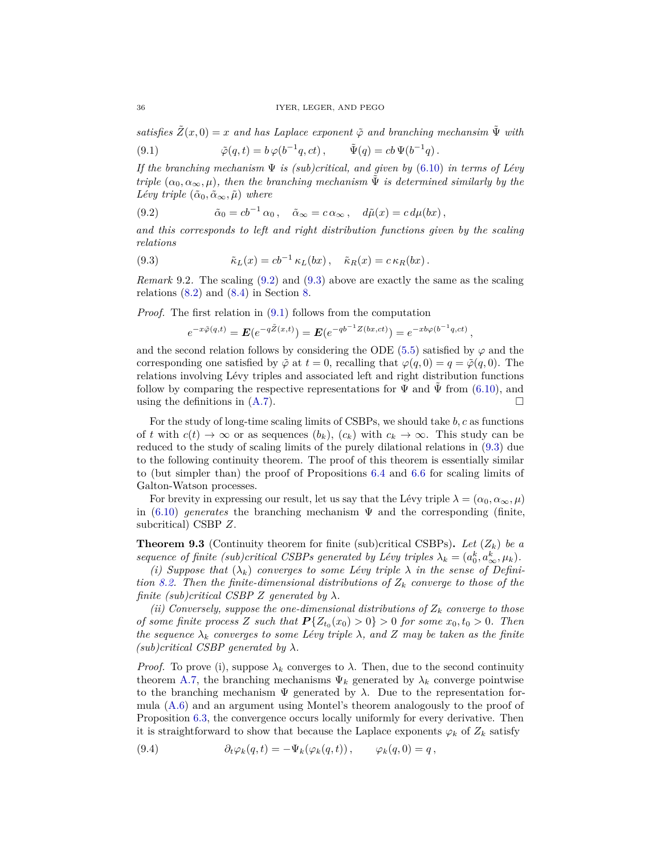*satisfies*  $\tilde{Z}(x,0) = x$  *and has Laplace exponent*  $\tilde{\varphi}$  *and branching mechansim*  $\tilde{\Psi}$  *with* 

<span id="page-35-3"></span>(9.1) 
$$
\tilde{\varphi}(q,t) = b \varphi(b^{-1}q,ct), \qquad \tilde{\Psi}(q) = cb \Psi(b^{-1}q).
$$

*If the branching mechanism* Ψ *is (sub)critical, and given by* [\(6.10\)](#page-16-2) *in terms of Lévy triple*  $(\alpha_0, \alpha_\infty, \mu)$ *, then the branching mechanism*  $\Psi$  *is determined similarly by the Lévy triple*  $(\tilde{\alpha}_0, \tilde{\alpha}_{\infty}, \tilde{\mu})$  *where* 

<span id="page-35-1"></span>(9.2) 
$$
\tilde{\alpha}_0 = cb^{-1} \alpha_0 , \quad \tilde{\alpha}_{\infty} = c \alpha_{\infty} , \quad d\tilde{\mu}(x) = c d\mu(bx) ,
$$

*and this corresponds to left and right distribution functions given by the scaling relations*

(9.3) 
$$
\tilde{\kappa}_L(x) = cb^{-1} \kappa_L(bx), \quad \tilde{\kappa}_R(x) = c \kappa_R(bx).
$$

*Remark* 9.2*.* The scaling [\(9.2\)](#page-35-1) and [\(9.3\)](#page-35-2) above are exactly the same as the scaling relations  $(8.2)$  and  $(8.4)$  in Section [8.](#page-29-1)

*Proof.* The first relation in [\(9.1\)](#page-35-3) follows from the computation

<span id="page-35-2"></span>
$$
e^{-x\tilde{\varphi}(q,t)} = \mathbf{E}(e^{-q\tilde{Z}(x,t)}) = \mathbf{E}(e^{-qb^{-1}Z(bx,ct)}) = e^{-xb\varphi(b^{-1}q,ct)},
$$

and the second relation follows by considering the ODE  $(5.5)$  satisfied by  $\varphi$  and the corresponding one satisfied by  $\tilde{\varphi}$  at  $t = 0$ , recalling that  $\varphi(q, 0) = q = \tilde{\varphi}(q, 0)$ . The relations involving Lévy triples and associated left and right distribution functions follow by comparing the respective representations for  $\Psi$  and  $\Psi$  from [\(6.10\)](#page-16-2), and using the definitions in [\(A.7\)](#page-39-0).

For the study of long-time scaling limits of CSBPs, we should take *b, c* as functions of *t* with  $c(t) \to \infty$  or as sequences  $(b_k)$ ,  $(c_k)$  with  $c_k \to \infty$ . This study can be reduced to the study of scaling limits of the purely dilational relations in [\(9.3\)](#page-35-2) due to the following continuity theorem. The proof of this theorem is essentially similar to (but simpler than) the proof of Propositions [6.4](#page-19-1) and [6.6](#page-22-1) for scaling limits of Galton-Watson processes.

For brevity in expressing our result, let us say that the Lévy triple  $\lambda = (\alpha_0, \alpha_\infty, \mu)$ in  $(6.10)$  *generates* the branching mechanism  $\Psi$  and the corresponding (finite, subcritical) CSBP *Z*.

<span id="page-35-0"></span>**Theorem 9.3** (Continuity theorem for finite (sub)critical CSBPs). Let  $(Z_k)$  be a *sequence of finite (sub)critical CSBPs generated by Lévy triples*  $\lambda_k = (a_0^k, a_\infty^k, \mu_k)$ .

(*i)* Suppose that  $(\lambda_k)$  converges to some Lévy triple  $\lambda$  in the sense of Defini*tion [8.2.](#page-29-5) Then the finite-dimensional distributions of Z<sup>k</sup> converge to those of the finite (sub)critical CSBP Z generated by*  $\lambda$ *.* 

*(ii) Conversely, suppose the one-dimensional distributions of*  $Z_k$  *converge to those of some finite process Z such that*  $P\{Z_{t_0}(x_0) > 0\} > 0$  *for some*  $x_0, t_0 > 0$ *. Then the sequence*  $\lambda_k$  *converges to some Lévy triple*  $\lambda$ *, and*  $Z$  *may be taken as the finite (sub)critical CSBP generated by λ.*

*Proof.* To prove (i), suppose  $\lambda_k$  converges to  $\lambda$ . Then, due to the second continuity theorem [A.7,](#page-40-0) the branching mechanisms  $\Psi_k$  generated by  $\lambda_k$  converge pointwise to the branching mechanism  $\Psi$  generated by  $\lambda$ . Due to the representation formula [\(A.6\)](#page-39-1) and an argument using Montel's theorem analogously to the proof of Proposition [6.3,](#page-16-1) the convergence occurs locally uniformly for every derivative. Then it is straightforward to show that because the Laplace exponents  $\varphi_k$  of  $Z_k$  satisfy

<span id="page-35-4"></span>(9.4) 
$$
\partial_t \varphi_k(q,t) = -\Psi_k(\varphi_k(q,t)), \qquad \varphi_k(q,0) = q,
$$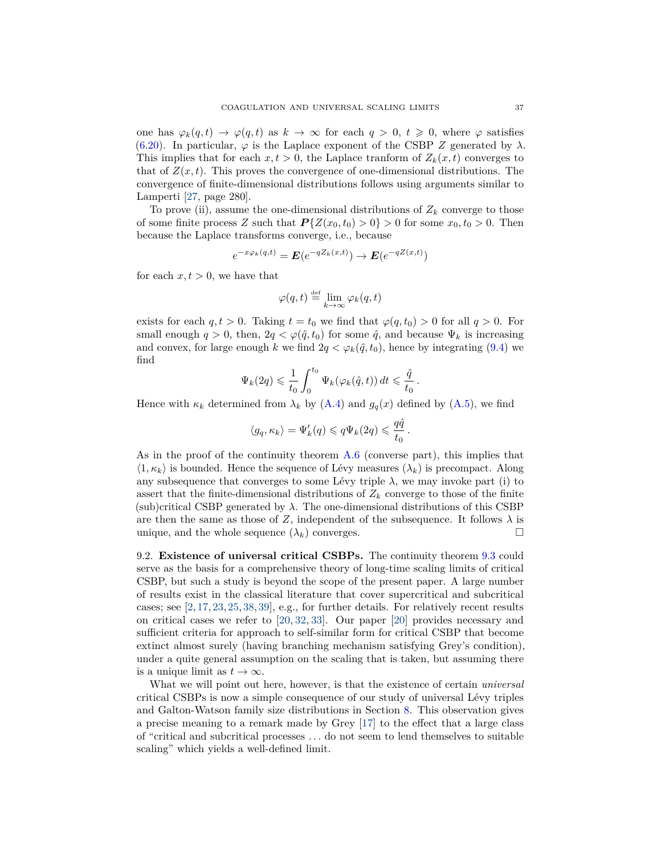one has  $\varphi_k(q,t) \to \varphi(q,t)$  as  $k \to \infty$  for each  $q > 0$ ,  $t \geq 0$ , where  $\varphi$  satisfies [\(6.20\)](#page-19-3). In particular,  $\varphi$  is the Laplace exponent of the CSBP *Z* generated by  $\lambda$ . This implies that for each  $x, t > 0$ , the Laplace tranform of  $Z_k(x, t)$  converges to that of  $Z(x,t)$ . This proves the convergence of one-dimensional distributions. The convergence of finite-dimensional distributions follows using arguments similar to Lamperti [\[27,](#page-42-21) page 280].

To prove (ii), assume the one-dimensional distributions of  $Z_k$  converge to those of some finite process *Z* such that  $P\{Z(x_0,t_0) > 0\} > 0$  for some  $x_0, t_0 > 0$ . Then because the Laplace transforms converge, i.e., because

$$
e^{-x\varphi_k(q,t)} = \mathbf{E}(e^{-qZ_k(x,t)}) \to \mathbf{E}(e^{-qZ(x,t)})
$$

for each  $x, t > 0$ , we have that

$$
\varphi(q,t)\stackrel{\scriptscriptstyle\rm def}{=} \lim_{k\to\infty}\varphi_k(q,t)
$$

exists for each  $q, t > 0$ . Taking  $t = t_0$  we find that  $\varphi(q, t_0) > 0$  for all  $q > 0$ . For small enough  $q > 0$ , then,  $2q < \varphi(\hat{q}, t_0)$  for some  $\hat{q}$ , and because  $\Psi_k$  is increasing and convex, for large enough *k* we find  $2q < \varphi_k(\hat{q}, t_0)$ , hence by integrating [\(9.4\)](#page-35-4) we find

$$
\Psi_k(2q) \leq \frac{1}{t_0} \int_0^{t_0} \Psi_k(\varphi_k(\hat{q}, t)) dt \leq \frac{\hat{q}}{t_0}.
$$

Hence with  $\kappa_k$  determined from  $\lambda_k$  by [\(A.4\)](#page-39-2) and  $g_q(x)$  defined by [\(A.5\)](#page-39-3), we find

$$
\langle g_q, \kappa_k \rangle = \Psi_k'(q) \leqslant q \Psi_k(2q) \leqslant \frac{q\hat{q}}{t_0}
$$

*.*

As in the proof of the continuity theorem [A.6](#page-38-0) (converse part), this implies that  $\langle 1, \kappa_k \rangle$  is bounded. Hence the sequence of Lévy measures  $(\lambda_k)$  is precompact. Along any subsequence that converges to some Lévy triple  $\lambda$ , we may invoke part (i) to assert that the finite-dimensional distributions of  $Z_k$  converge to those of the finite  $(\text{sub})$ critical CSBP generated by  $\lambda$ . The one-dimensional distributions of this CSBP are then the same as those of *Z*, independent of the subsequence. It follows  $\lambda$  is unique, and the whole sequence  $(\lambda_k)$  converges.

<span id="page-36-0"></span>9.2. **Existence of universal critical CSBPs.** The continuity theorem [9.3](#page-35-0) could serve as the basis for a comprehensive theory of long-time scaling limits of critical CSBP, but such a study is beyond the scope of the present paper. A large number of results exist in the classical literature that cover supercritical and subcritical cases; see  $[2, 17, 23, 25, 38, 39]$  $[2, 17, 23, 25, 38, 39]$  $[2, 17, 23, 25, 38, 39]$  $[2, 17, 23, 25, 38, 39]$  $[2, 17, 23, 25, 38, 39]$  $[2, 17, 23, 25, 38, 39]$  $[2, 17, 23, 25, 38, 39]$  $[2, 17, 23, 25, 38, 39]$  $[2, 17, 23, 25, 38, 39]$  $[2, 17, 23, 25, 38, 39]$  $[2, 17, 23, 25, 38, 39]$ , e.g., for further details. For relatively recent results on critical cases we refer to [\[20,](#page-42-15) [32,](#page-42-26) [33\]](#page-42-27). Our paper [\[20\]](#page-42-15) provides necessary and sufficient criteria for approach to self-similar form for critical CSBP that become extinct almost surely (having branching mechanism satisfying Grey's condition), under a quite general assumption on the scaling that is taken, but assuming there is a unique limit as  $t \to \infty$ .

What we will point out here, however, is that the existence of certain *universal* critical CSBPs is now a simple consequence of our study of universal Lévy triples and Galton-Watson family size distributions in Section [8.](#page-29-1) This observation gives a precise meaning to a remark made by Grey [\[17\]](#page-42-12) to the effect that a large class of "critical and subcritical processes *. . .* do not seem to lend themselves to suitable scaling" which yields a well-defined limit.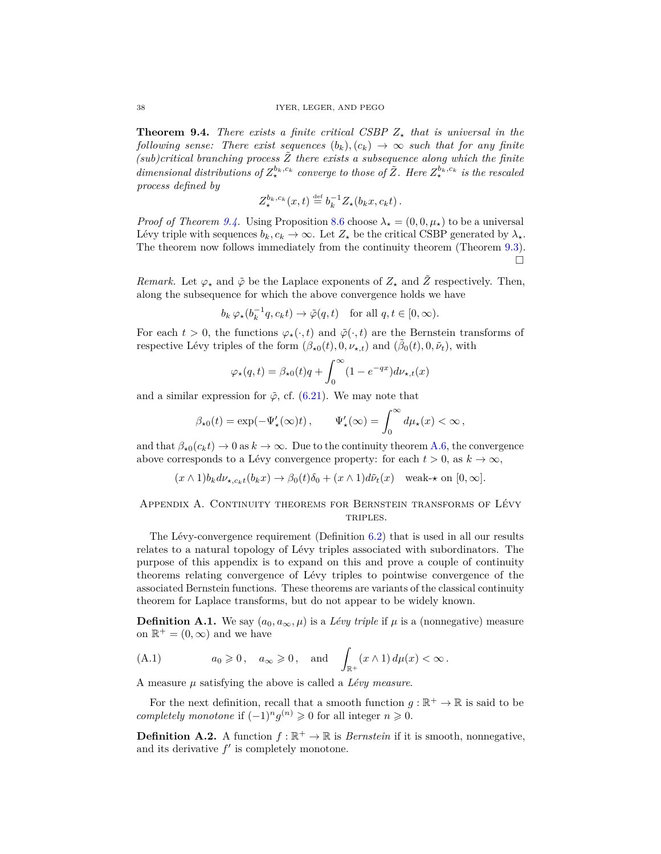<span id="page-37-1"></span>**Theorem 9.4.** *There exists a finite critical CSBP*  $Z_{\star}$  *that is universal in the following sense: There exist sequences*  $(b_k)$ ,  $(c_k) \rightarrow \infty$  *such that for any finite*  $(sub)critical\ branching\ process\ \tilde{Z}$  there exists a subsequence along which the finite *dimensional distributions of*  $Z_{\star}^{b_k,c_k}$  *converge to those of*  $\tilde{Z}$ *. Here*  $Z_{\star}^{b_k,c_k}$  *is the rescaled process defined by*

$$
Z_{\star}^{b_k,c_k}(x,t) \stackrel{\text{def}}{=} b_k^{-1} Z_{\star}(b_k x, c_k t).
$$

*Proof of Theorem [9.4.](#page-37-1)* Using Proposition [8.6](#page-31-0) choose  $\lambda_{\star} = (0, 0, \mu_{\star})$  to be a universal Lévy triple with sequences  $b_k, c_k \to \infty$ . Let  $Z_{\star}$  be the critical CSBP generated by  $\lambda_{\star}$ . The theorem now follows immediately from the continuity theorem (Theorem [9.3\)](#page-35-0).  $\Box$ 

*Remark.* Let  $\varphi_{\star}$  and  $\tilde{\varphi}$  be the Laplace exponents of  $Z_{\star}$  and  $\tilde{Z}$  respectively. Then, along the subsequence for which the above convergence holds we have

$$
b_k \varphi_{\star}(b_k^{-1}q, c_k t) \to \tilde{\varphi}(q, t)
$$
 for all  $q, t \in [0, \infty)$ .

For each  $t > 0$ , the functions  $\varphi_{\star}(\cdot, t)$  and  $\tilde{\varphi}(\cdot, t)$  are the Bernstein transforms of respective Lévy triples of the form  $(\beta_{\star 0}(t), 0, \nu_{\star,t})$  and  $(\tilde{\beta}_0(t), 0, \tilde{\nu}_t)$ , with

$$
\varphi_{\star}(q,t) = \beta_{\star 0}(t)q + \int_0^{\infty} (1 - e^{-qx}) d\nu_{\star,t}(x)
$$

and a similar expression for  $\tilde{\varphi}$ , cf. [\(6.21\)](#page-19-4). We may note that

$$
\beta_{\star 0}(t) = \exp(-\Psi_\star'(\infty) t)\,, \qquad \Psi_\star'(\infty) = \int_0^\infty d\mu_\star(x) < \infty\,,
$$

and that  $\beta_{*0}(c_k t) \to 0$  as  $k \to \infty$ . Due to the continuity theorem [A.6,](#page-38-0) the convergence above corresponds to a Lévy convergence property: for each  $t > 0$ , as  $k \to \infty$ ,

$$
(x \wedge 1)b_k d\nu_{\star,c_kt}(b_k x) \to \beta_0(t)\delta_0 + (x \wedge 1)d\tilde{\nu}_t(x) \quad \text{weak-}\star \text{ on } [0,\infty].
$$

<span id="page-37-0"></span>Appendix A. Continuity theorems for Bernstein transforms of Lévy TRIPLES.

The Lévy-convergence requirement (Definition [6.2\)](#page-16-6) that is used in all our results relates to a natural topology of Lévy triples associated with subordinators. The purpose of this appendix is to expand on this and prove a couple of continuity theorems relating convergence of Lévy triples to pointwise convergence of the associated Bernstein functions. These theorems are variants of the classical continuity theorem for Laplace transforms, but do not appear to be widely known.

**Definition A.1.** We say  $(a_0, a_\infty, \mu)$  is a *Lévy triple* if  $\mu$  is a (nonnegative) measure on  $\mathbb{R}^+ = (0, \infty)$  and we have

(A.1) 
$$
a_0 \ge 0
$$
,  $a_{\infty} \ge 0$ , and  $\int_{\mathbb{R}^+} (x \wedge 1) d\mu(x) < \infty$ .

A measure *µ* satisfying the above is called a *Lévy measure*.

For the next definition, recall that a smooth function  $g : \mathbb{R}^+ \to \mathbb{R}$  is said to be *completely monotone* if  $(-1)^n g^{(n)} \geq 0$  for all integer  $n \geq 0$ .

**Definition A.2.** A function  $f : \mathbb{R}^+ \to \mathbb{R}$  is *Bernstein* if it is smooth, nonnegative, and its derivative  $f'$  is completely monotone.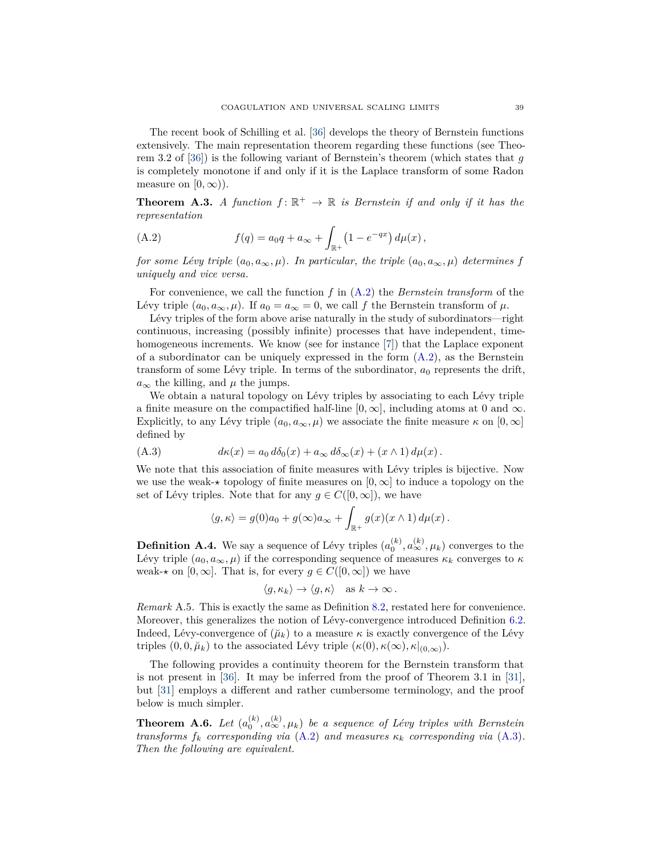The recent book of Schilling et al. [\[36\]](#page-42-16) develops the theory of Bernstein functions extensively. The main representation theorem regarding these functions (see Theorem 3.2 of [\[36\]](#page-42-16)) is the following variant of Bernstein's theorem (which states that *g* is completely monotone if and only if it is the Laplace transform of some Radon measure on  $[0, \infty)$ ).

<span id="page-38-2"></span>**Theorem A.3.** *A function*  $f: \mathbb{R}^+ \to \mathbb{R}$  *is Bernstein if and only if it has the representation*

<span id="page-38-3"></span>(A.2) 
$$
f(q) = a_0 q + a_\infty + \int_{\mathbb{R}^+} (1 - e^{-qx}) d\mu(x),
$$

*for some Lévy triple*  $(a_0, a_\infty, \mu)$ *. In particular, the triple*  $(a_0, a_\infty, \mu)$  *determines f uniquely and vice versa.*

For convenience, we call the function *f* in [\(A.2\)](#page-38-3) the *Bernstein transform* of the Lévy triple  $(a_0, a_\infty, \mu)$ . If  $a_0 = a_\infty = 0$ , we call f the Bernstein transform of  $\mu$ .

Lévy triples of the form above arise naturally in the study of subordinators—right continuous, increasing (possibly infinite) processes that have independent, time-homogeneous increments. We know (see for instance [\[7\]](#page-41-14)) that the Laplace exponent of a subordinator can be uniquely expressed in the form  $(A.2)$ , as the Bernstein transform of some Lévy triple. In terms of the subordinator,  $a_0$  represents the drift,  $a_{\infty}$  the killing, and  $\mu$  the jumps.

We obtain a natural topology on Lévy triples by associating to each Lévy triple a finite measure on the compactified half-line  $[0, \infty]$ , including atoms at 0 and  $\infty$ . Explicitly, to any Lévy triple  $(a_0, a_\infty, \mu)$  we associate the finite measure  $\kappa$  on  $[0, \infty]$ defined by

(A.3) 
$$
d\kappa(x) = a_0 d\delta_0(x) + a_\infty d\delta_\infty(x) + (x \wedge 1) d\mu(x).
$$

We note that this association of finite measures with Lévy triples is bijective. Now we use the weak- $\star$  topology of finite measures on  $[0, \infty]$  to induce a topology on the set of Lévy triples. Note that for any  $q \in C([0,\infty])$ , we have

<span id="page-38-4"></span>
$$
\langle g, \kappa \rangle = g(0)a_0 + g(\infty)a_\infty + \int_{\mathbb{R}^+} g(x)(x \wedge 1) d\mu(x).
$$

<span id="page-38-5"></span>**Definition A.4.** We say a sequence of Lévy triples  $(a_0^{(k)}, a_{\infty}^{(k)}, \mu_k)$  converges to the Lévy triple  $(a_0, a_\infty, \mu)$  if the corresponding sequence of measures  $\kappa_k$  converges to  $\kappa$ weak- $\star$  on [0,  $\infty$ ]. That is, for every  $g \in C([0,\infty])$  we have

$$
\langle g, \kappa_k \rangle \to \langle g, \kappa \rangle
$$
 as  $k \to \infty$ .

<span id="page-38-1"></span>*Remark* A.5*.* This is exactly the same as Definition [8.2,](#page-29-5) restated here for convenience. Moreover, this generalizes the notion of Lévy-convergence introduced Definition [6.2.](#page-16-6) Indeed, Lévy-convergence of  $(\mu_k)$  to a measure  $\kappa$  is exactly convergence of the Lévy triples  $(0, 0, \breve{\mu}_k)$  to the associated Lévy triple  $(\kappa(0), \kappa(\infty), \kappa|_{(0,\infty)})$ .

The following provides a continuity theorem for the Bernstein transform that is not present in [\[36\]](#page-42-16). It may be inferred from the proof of Theorem 3.1 in [\[31\]](#page-42-9), but [\[31\]](#page-42-9) employs a different and rather cumbersome terminology, and the proof below is much simpler.

<span id="page-38-0"></span>**Theorem A.6.** Let  $(a_0^{(k)}, a_{\infty}^{(k)}, \mu_k)$  be a sequence of Lévy triples with Bernstein *transforms*  $f_k$  *corresponding via*  $(A.2)$  *and measures*  $\kappa_k$  *corresponding via*  $(A.3)$ *. Then the following are equivalent.*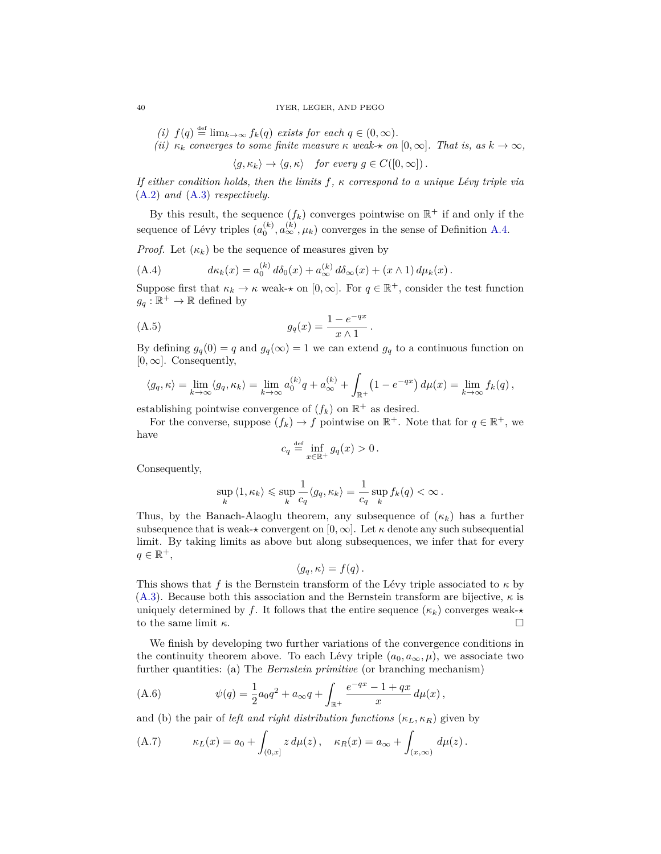*(i)*  $f(q) \stackrel{\text{def}}{=} \lim_{k \to \infty} f_k(q)$  *exists for each*  $q \in (0, \infty)$ *.* 

*(ii)*  $\kappa_k$  *converges to some finite measure*  $\kappa$  *weak* $\star$  *on* [0*,*  $\infty$ ]*. That is, as*  $k \to \infty$ *,* 

 $\langle g, \kappa_k \rangle \to \langle g, \kappa \rangle$  *for every*  $g \in C([0, \infty])$ .

*If either condition holds, then the limits f, κ correspond to a unique Lévy triple via* [\(A.2\)](#page-38-3) *and* [\(A.3\)](#page-38-4) *respectively.*

By this result, the sequence  $(f_k)$  converges pointwise on  $\mathbb{R}^+$  if and only if the sequence of Lévy triples  $(a_0^{(k)}, a_{\infty}^{(k)}, \mu_k)$  converges in the sense of Definition [A.4.](#page-38-5)

*Proof.* Let  $(\kappa_k)$  be the sequence of measures given by

<span id="page-39-2"></span>(A.4) 
$$
d\kappa_k(x) = a_0^{(k)} d\delta_0(x) + a_\infty^{(k)} d\delta_\infty(x) + (x \wedge 1) d\mu_k(x).
$$

Suppose first that  $\kappa_k \to \kappa$  weak- $\star$  on  $[0, \infty]$ . For  $q \in \mathbb{R}^+$ , consider the test function  $g_q : \mathbb{R}^+ \to \mathbb{R}$  defined by

(A.5) 
$$
g_q(x) = \frac{1 - e^{-qx}}{x \wedge 1}.
$$

By defining  $g_q(0) = q$  and  $g_q(\infty) = 1$  we can extend  $g_q$  to a continuous function on  $[0, \infty]$ . Consequently,

$$
\langle g_q, \kappa \rangle = \lim_{k \to \infty} \langle g_q, \kappa_k \rangle = \lim_{k \to \infty} a_0^{(k)} q + a_{\infty}^{(k)} + \int_{\mathbb{R}^+} \left(1 - e^{-qx}\right) d\mu(x) = \lim_{k \to \infty} f_k(q),
$$

establishing pointwise convergence of  $(f_k)$  on  $\mathbb{R}^+$  as desired.

For the converse, suppose  $(f_k) \to f$  pointwise on  $\mathbb{R}^+$ . Note that for  $q \in \mathbb{R}^+$ , we have

<span id="page-39-3"></span>
$$
c_q \stackrel{\text{def}}{=} \inf_{x \in \mathbb{R}^+} g_q(x) > 0 \, .
$$

Consequently,

$$
\sup_{k} \langle 1, \kappa_k \rangle \leqslant \sup_{k} \frac{1}{c_q} \langle g_q, \kappa_k \rangle = \frac{1}{c_q} \sup_{k} f_k(q) < \infty.
$$

Thus, by the Banach-Alaoglu theorem, any subsequence of  $(\kappa_k)$  has a further subsequence that is weak- $\star$  convergent on  $[0, \infty]$ . Let  $\kappa$  denote any such subsequential limit. By taking limits as above but along subsequences, we infer that for every  $q \in \mathbb{R}^+,$ 

$$
\langle g_q, \kappa \rangle = f(q) \, .
$$

This shows that *f* is the Bernstein transform of the Lévy triple associated to  $\kappa$  by [\(A.3\)](#page-38-4). Because both this association and the Bernstein transform are bijective,  $\kappa$  is uniquely determined by *f*. It follows that the entire sequence  $(\kappa_k)$  converges weak- $\star$ to the same limit  $\kappa$ .

We finish by developing two further variations of the convergence conditions in the continuity theorem above. To each Lévy triple  $(a_0, a_\infty, \mu)$ , we associate two further quantities: (a) The *Bernstein primitive* (or branching mechanism)

<span id="page-39-1"></span>(A.6) 
$$
\psi(q) = \frac{1}{2}a_0q^2 + a_\infty q + \int_{\mathbb{R}^+} \frac{e^{-qx} - 1 + qx}{x} d\mu(x),
$$

and (b) the pair of *left and right distribution functions*  $(\kappa_L, \kappa_R)$  given by

<span id="page-39-0"></span>(A.7) 
$$
\kappa_L(x) = a_0 + \int_{(0,x]} z \, d\mu(z), \quad \kappa_R(x) = a_\infty + \int_{(x,\infty)} d\mu(z).
$$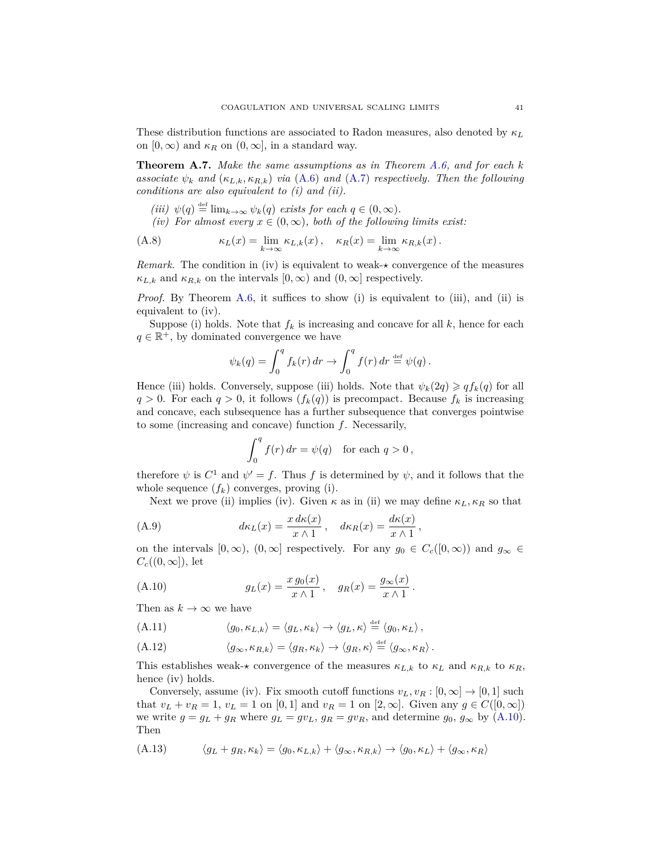These distribution functions are associated to Radon measures, also denoted by *κ<sup>L</sup>* on  $[0, \infty)$  and  $\kappa_R$  on  $(0, \infty]$ , in a standard way.

<span id="page-40-0"></span>**Theorem A.7.** *Make the same assumptions as in Theorem [A.6,](#page-38-0) and for each k associate*  $\psi_k$  *and*  $(\kappa_{L,k}, \kappa_{R,k})$  *via* [\(A.6\)](#page-39-1) *and* [\(A.7\)](#page-39-0) *respectively. Then the following conditions are also equivalent to (i) and (ii).*

- $(iii)$   $\psi(q) \stackrel{\text{def}}{=} \lim_{k \to \infty} \psi_k(q)$  *exists for each*  $q \in (0, \infty)$ *.*
- *(iv)* For almost every  $x \in (0, \infty)$ , both of the following limits exist:

(A.8) 
$$
\kappa_L(x) = \lim_{k \to \infty} \kappa_{L,k}(x), \quad \kappa_R(x) = \lim_{k \to \infty} \kappa_{R,k}(x).
$$

*Remark.* The condition in (iv) is equivalent to weak- $\star$  convergence of the measures  $\kappa_{L,k}$  and  $\kappa_{R,k}$  on the intervals  $[0,\infty)$  and  $(0,\infty]$  respectively.

*Proof.* By Theorem [A.6,](#page-38-0) it suffices to show (i) is equivalent to (iii), and (ii) is equivalent to (iv).

Suppose (i) holds. Note that  $f_k$  is increasing and concave for all  $k$ , hence for each  $q \in \mathbb{R}^+$ , by dominated convergence we have

$$
\psi_k(q) = \int_0^q f_k(r) dr \to \int_0^q f(r) dr \stackrel{\text{def}}{=} \psi(q) .
$$

Hence (iii) holds. Conversely, suppose (iii) holds. Note that  $\psi_k(2q) \geq q f_k(q)$  for all  $q > 0$ . For each  $q > 0$ , it follows  $(f_k(q))$  is precompact. Because  $f_k$  is increasing and concave, each subsequence has a further subsequence that converges pointwise to some (increasing and concave) function *f*. Necessarily,

$$
\int_0^q f(r) dr = \psi(q) \text{ for each } q > 0,
$$

therefore  $\psi$  is  $C^1$  and  $\psi' = f$ . Thus f is determined by  $\psi$ , and it follows that the whole sequence  $(f_k)$  converges, proving (i).

Next we prove (ii) implies (iv). Given  $\kappa$  as in (ii) we may define  $\kappa_L, \kappa_R$  so that

(A.9) 
$$
d\kappa_L(x) = \frac{x \, d\kappa(x)}{x \wedge 1}, \quad d\kappa_R(x) = \frac{d\kappa(x)}{x \wedge 1},
$$

on the intervals  $[0, \infty)$ ,  $(0, \infty]$  respectively. For any  $g_0 \in C_c([0, \infty))$  and  $g_\infty \in$  $C_c((0,\infty])$ , let

<span id="page-40-1"></span>(A.10) 
$$
g_L(x) = \frac{x g_0(x)}{x \wedge 1}, \quad g_R(x) = \frac{g_\infty(x)}{x \wedge 1}.
$$

Then as  $k \to \infty$  we have

$$
(A.11) \t\t \langle g_0, \kappa_{L,k} \rangle = \langle g_L, \kappa_k \rangle \to \langle g_L, \kappa \rangle \stackrel{\text{def}}{=} \langle g_0, \kappa_L \rangle,
$$

$$
(A.12) \qquad \langle g_{\infty}, \kappa_{R,k} \rangle = \langle g_R, \kappa_k \rangle \to \langle g_R, \kappa \rangle \stackrel{\text{def}}{=} \langle g_{\infty}, \kappa_R \rangle.
$$

This establishes weak- $\star$  convergence of the measures  $\kappa_{L,k}$  to  $\kappa_L$  and  $\kappa_{R,k}$  to  $\kappa_R$ , hence (iv) holds.

Conversely, assume (iv). Fix smooth cutoff functions  $v_L, v_R : [0, \infty] \to [0, 1]$  such that  $v_L + v_R = 1$ ,  $v_L = 1$  on [0, 1] and  $v_R = 1$  on [2,  $\infty$ ]. Given any  $g \in C([0, \infty])$ we write  $g = g_L + g_R$  where  $g_L = gv_L, g_R = gv_R$ , and determine  $g_0, g_\infty$  by [\(A.10\)](#page-40-1). Then

$$
(A.13) \qquad \langle g_L + g_R, \kappa_k \rangle = \langle g_0, \kappa_{L,k} \rangle + \langle g_\infty, \kappa_{R,k} \rangle \to \langle g_0, \kappa_L \rangle + \langle g_\infty, \kappa_R \rangle
$$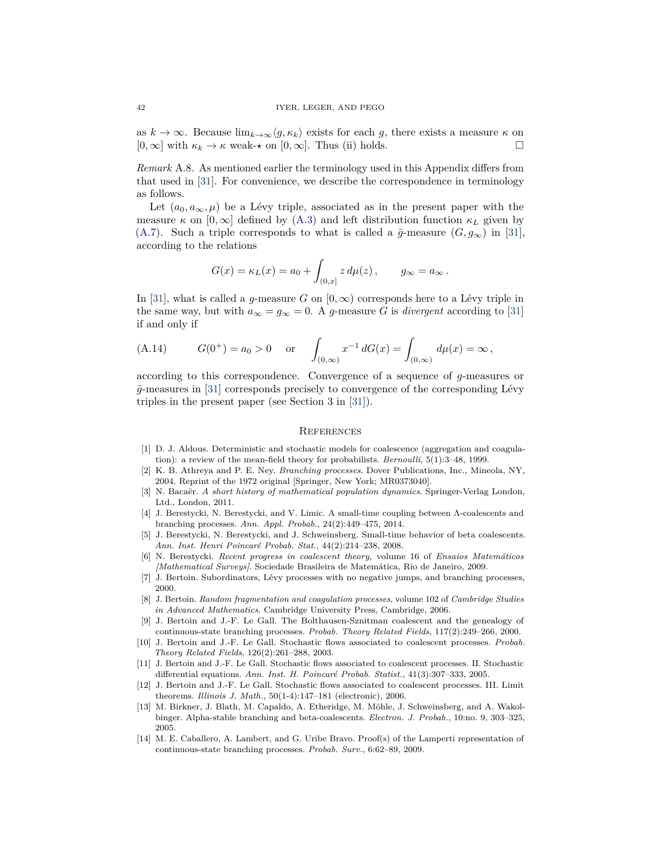as  $k \to \infty$ . Because  $\lim_{k \to \infty} \langle g, \kappa_k \rangle$  exists for each g, there exists a measure  $\kappa$  on  $[0, \infty]$  with  $\kappa_k \to \kappa$  weak- $\star$  on  $[0, \infty]$ . Thus (ii) holds.

<span id="page-41-13"></span>*Remark* A.8*.* As mentioned earlier the terminology used in this Appendix differs from that used in [\[31\]](#page-42-9). For convenience, we describe the correspondence in terminology as follows.

Let  $(a_0, a_\infty, \mu)$  be a Lévy triple, associated as in the present paper with the measure  $\kappa$  on  $[0,\infty]$  defined by [\(A.3\)](#page-38-4) and left distribution function  $\kappa_L$  given by [\(A.7\)](#page-39-0). Such a triple corresponds to what is called a  $\bar{g}$ -measure  $(G, g_{\infty})$  in [\[31\]](#page-42-9), according to the relations

$$
G(x) = \kappa_L(x) = a_0 + \int_{(0,x]} z d\mu(z), \qquad g_{\infty} = a_{\infty}.
$$

In [\[31\]](#page-42-9), what is called a *g*-measure *G* on  $[0, \infty)$  corresponds here to a Lévy triple in the same way, but with  $a_{\infty} = g_{\infty} = 0$ . A *g*-measure *G* is *divergent* according to [\[31\]](#page-42-9) if and only if

(A.14) 
$$
G(0^+) = a_0 > 0
$$
 or  $\int_{(0,\infty)} x^{-1} dG(x) = \int_{(0,\infty)} d\mu(x) = \infty$ ,

according to this correspondence. Convergence of a sequence of *g*-measures or  $\bar{g}$ -measures in [\[31\]](#page-42-9) corresponds precisely to convergence of the corresponding Lévy triples in the present paper (see Section 3 in [\[31\]](#page-42-9)).

#### <span id="page-41-0"></span>**REFERENCES**

- <span id="page-41-11"></span>[1] D. J. Aldous. Deterministic and stochastic models for coalescence (aggregation and coagulation): a review of the mean-field theory for probabilists. *Bernoulli*, 5(1):3–48, 1999.
- <span id="page-41-2"></span>[2] K. B. Athreya and P. E. Ney. *Branching processes*. Dover Publications, Inc., Mineola, NY, 2004. Reprint of the 1972 original [Springer, New York; MR0373040].
- <span id="page-41-1"></span>[3] N. Bacaër. *A short history of mathematical population dynamics*. Springer-Verlag London, Ltd., London, 2011.
- <span id="page-41-5"></span>[4] J. Berestycki, N. Berestycki, and V. Limic. A small-time coupling between Λ-coalescents and branching processes. *Ann. Appl. Probab.*, 24(2):449–475, 2014.
- <span id="page-41-6"></span>[5] J. Berestycki, N. Berestycki, and J. Schweinsberg. Small-time behavior of beta coalescents. *Ann. Inst. Henri Poincaré Probab. Stat.*, 44(2):214–238, 2008.
- <span id="page-41-4"></span>[6] N. Berestycki. *Recent progress in coalescent theory*, volume 16 of *Ensaios Matemáticos [Mathematical Surveys]*. Sociedade Brasileira de Matemática, Rio de Janeiro, 2009.
- <span id="page-41-14"></span>[7] J. Bertoin. Subordinators, Lévy processes with no negative jumps, and branching processes, 2000.
- <span id="page-41-3"></span>[8] J. Bertoin. *Random fragmentation and coagulation processes*, volume 102 of *Cambridge Studies in Advanced Mathematics*. Cambridge University Press, Cambridge, 2006.
- <span id="page-41-7"></span>[9] J. Bertoin and J.-F. Le Gall. The Bolthausen-Sznitman coalescent and the genealogy of continuous-state branching processes. *Probab. Theory Related Fields*, 117(2):249–266, 2000.
- <span id="page-41-9"></span>[10] J. Bertoin and J.-F. Le Gall. Stochastic flows associated to coalescent processes. *Probab. Theory Related Fields*, 126(2):261–288, 2003.
- [11] J. Bertoin and J.-F. Le Gall. Stochastic flows associated to coalescent processes. II. Stochastic differential equations. *Ann. Inst. H. Poincaré Probab. Statist.*, 41(3):307–333, 2005.
- <span id="page-41-10"></span>[12] J. Bertoin and J.-F. Le Gall. Stochastic flows associated to coalescent processes. III. Limit theorems. *Illinois J. Math.*, 50(1-4):147–181 (electronic), 2006.
- <span id="page-41-8"></span>[13] M. Birkner, J. Blath, M. Capaldo, A. Etheridge, M. Möhle, J. Schweinsberg, and A. Wakolbinger. Alpha-stable branching and beta-coalescents. *Electron. J. Probab.*, 10:no. 9, 303–325, 2005.
- <span id="page-41-12"></span>[14] M. E. Caballero, A. Lambert, and G. Uribe Bravo. Proof(s) of the Lamperti representation of continuous-state branching processes. *Probab. Surv.*, 6:62–89, 2009.